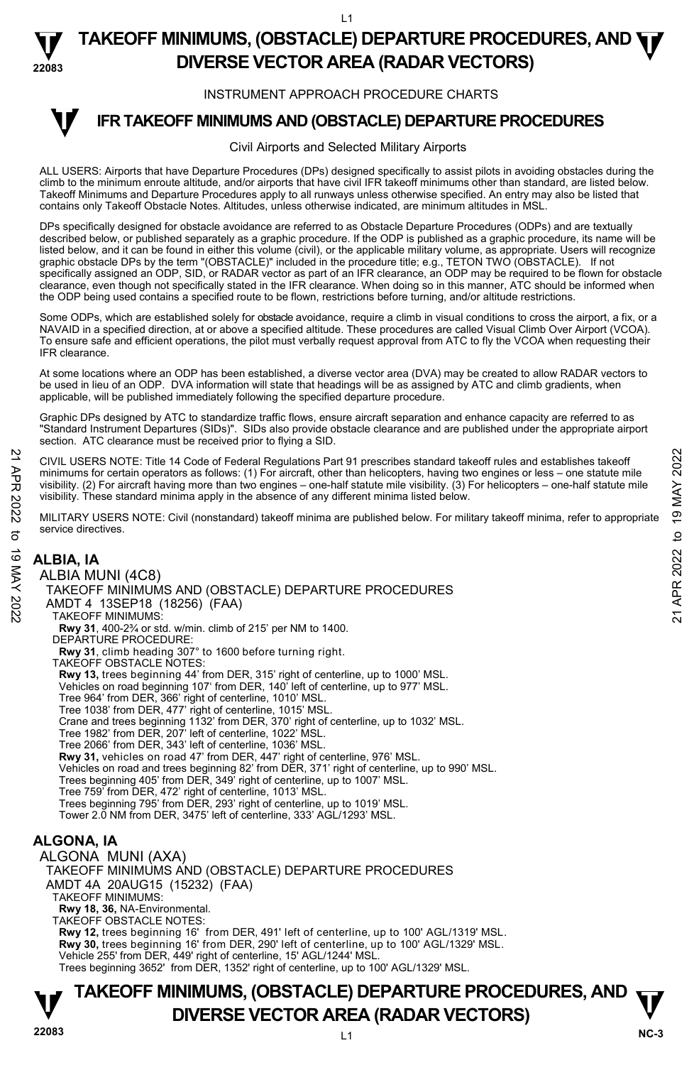#### **22083 TAKEOFF MINIMUMS, (OBSTACLE) DEPARTURE PROCEDURES, AND**  $\Psi$ **DIVERSE VECTOR AREA (RADAR VECTORS)**

#### INSTRUMENT APPROACH PROCEDURE CHARTS

# **IFR TAKEOFF MINIMUMS AND (OBSTACLE) DEPARTURE PROCEDURES**

#### Civil Airports and Selected Military Airports

ALL USERS: Airports that have Departure Procedures (DPs) designed specifically to assist pilots in avoiding obstacles during the climb to the minimum enroute altitude, and/or airports that have civil IFR takeoff minimums other than standard, are listed below. Takeoff Minimums and Departure Procedures apply to all runways unless otherwise specified. An entry may also be listed that contains only Takeoff Obstacle Notes. Altitudes, unless otherwise indicated, are minimum altitudes in MSL.

DPs specifically designed for obstacle avoidance are referred to as Obstacle Departure Procedures (ODPs) and are textually described below, or published separately as a graphic procedure. If the ODP is published as a graphic procedure, its name will be listed below, and it can be found in either this volume (civil), or the applicable military volume, as appropriate. Users will recognize graphic obstacle DPs by the term "(OBSTACLE)" included in the procedure title; e.g., TETON TWO (OBSTACLE). If not<br>specifically assigned an ODP, SID, or RADAR vector as part of an IFR clearance, an ODP may be required to be clearance, even though not specifically stated in the IFR clearance. When doing so in this manner, ATC should be informed when the ODP being used contains a specified route to be flown, restrictions before turning, and/or altitude restrictions.

Some ODPs, which are established solely for obstacle avoidance, require a climb in visual conditions to cross the airport, a fix, or a NAVAID in a specified direction, at or above a specified altitude. These procedures are called Visual Climb Over Airport (VCOA). To ensure safe and efficient operations, the pilot must verbally request approval from ATC to fly the VCOA when requesting their IFR clearance.

At some locations where an ODP has been established, a diverse vector area (DVA) may be created to allow RADAR vectors to be used in lieu of an ODP. DVA information will state that headings will be as assigned by ATC and climb gradients, when applicable, will be published immediately following the specified departure procedure.

Graphic DPs designed by ATC to standardize traffic flows, ensure aircraft separation and enhance capacity are referred to as "Standard Instrument Departures (SIDs)". SIDs also provide obstacle clearance and are published under the appropriate airport section. ATC clearance must be received prior to flying a SID.

CIVIL USERS NOTE: Title 14 Code of Federal Regulations Part 91 prescribes standard takeoff rules and establishes takeoff minimums for certain operators as follows: (1) For aircraft, other than helicopters, having two engines or less – one statute mile visibility. (2) For aircraft having more than two engines – one-half statute mile visibility. (3) For helicopters – one-half statute mile visibility. These standard minima apply in the absence of any different minima listed below. CIVIL USERS NOTE: Title 14 Code of Federal Regulations Part 91 prescribes standard takeoff rules and establishes takeoff<br>
The minimums for certain operators as follows: (1) For aircraft, other than helicopters, having two

MILITARY USERS NOTE: Civil (nonstandard) takeoff minima are published below. For military takeoff minima, refer to appropriate service directives.

# **ALBIA, IA**

**T** 

ALBIA MUNI (4C8) TAKEOFF MINIMUMS AND (OBSTACLE) DEPARTURE PROCEDURES AMDT 4 13SEP18 (18256) (FAA) TAKEOFF MINIMUMS: **Rwy 31**, 400-2¾ or std. w/min. climb of 215' per NM to 1400. DEPARTURE PROCEDURE: **Rwy 31**, climb heading 307° to 1600 before turning right. TAKEOFF OBSTACLE NOTES: **Rwy 13,** trees beginning 44' from DER, 315' right of centerline, up to 1000' MSL. Vehicles on road beginning 107' from DER, 140' left of centerline, up to 977' MSL. Tree 964' from DER, 366' right of centerline, 1010' MSL. Tree 1038' from DER, 477' right of centerline, 1015' MSL. Crane and trees beginning 1132' from DER, 370' right of centerline, up to 1032' MSL. Tree 1982' from DER, 207' left of centerline, 1022' MSL. Tree 2066' from DER, 343' left of centerline, 1036' MSL. **Rwy 31,** vehicles on road 47' from DER, 447' right of centerline, 976' MSL.<br>Vehicles on road and trees beginning 82' from DER, 371' right of centerline, up to 990' MSL. Trees beginning 405' from DER, 349' right of centerline, up to 1007' MSL. Tree 759' from DER, 472' right of centerline, 1013' MSL. Trees beginning 795' from DER, 293' right of centerline, up to 1019' MSL. Tower 2.0 NM from DER, 3475' left of centerline, 333' AGL/1293' MSL. **ALGONA, IA** 

ALGONA MUNI (AXA) TAKEOFF MINIMUMS AND (OBSTACLE) DEPARTURE PROCEDURES AMDT 4A 20AUG15 (15232) (FAA) TAKEOFF MINIMUMS: **Rwy 18, 36,** NA-Environmental. TAKEOFF OBSTACLE NOTES: **Rwy 12,** trees beginning 16' from DER, 491' left of centerline, up to 100' AGL/1319' MSL. **Rwy 30,** trees beginning 16' from DER, 290' left of centerline, up to 100' AGL/1329' MSL. Vehicle 255' from DER, 449' right of centerline, 15' AGL/1244' MSL. Trees beginning 3652' from DER, 1352' right of centerline, up to 100' AGL/1329' MSL.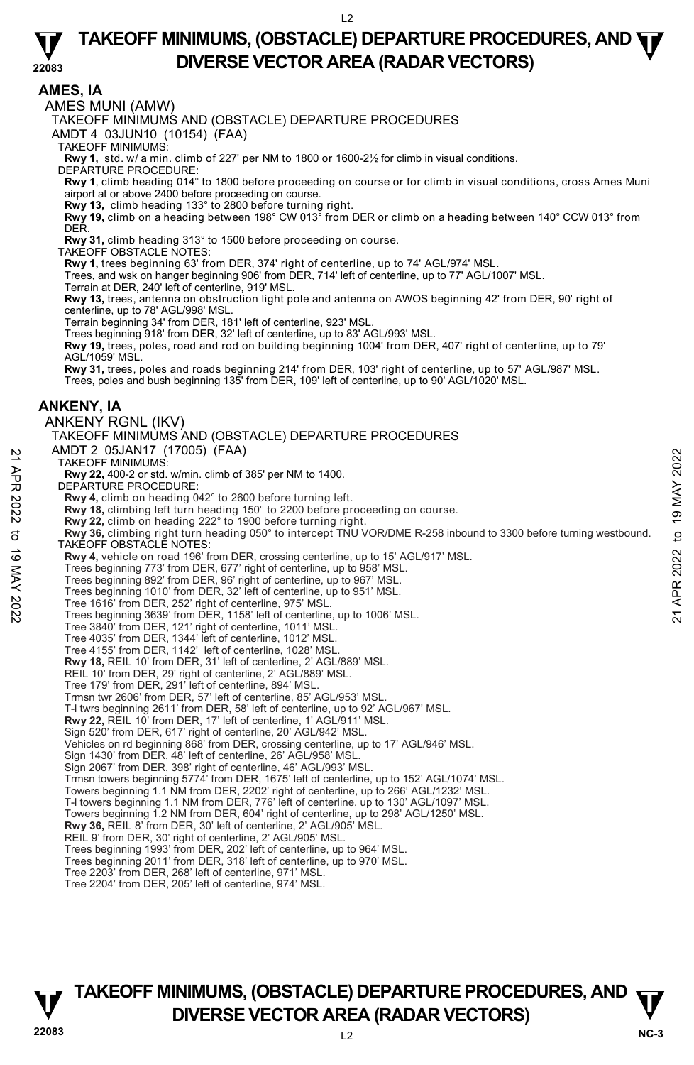**22083** 

**AMES, IA** 

AMES MUNI (AMW)

TAKEOFF MINIMUMS AND (OBSTACLE) DEPARTURE PROCEDURES

AMDT 4 03JUN10 (10154) (FAA)

TAKEOFF MINIMUMS:

**Rwy 1,** std. w/ a min. climb of 227' per NM to 1800 or 1600-2½ for climb in visual conditions. DEPARTURE PROCEDURE:

**Rwy 1**, climb heading 014° to 1800 before proceeding on course or for climb in visual conditions, cross Ames Muni airport at or above 2400 before proceeding on course.

**Rwy 13,** climb heading 133° to 2800 before turning right. **Rwy 19,** climb on a heading between 198° CW 013° from DER or climb on a heading between 140° CCW 013° from **DER** 

**Rwy 31,** climb heading 313° to 1500 before proceeding on course. TAKEOFF OBSTACLE NOTES:

**Rwy 1,** trees beginning 63' from DER, 374' right of centerline, up to 74' AGL/974' MSL.

Trees, and wsk on hanger beginning 906' from DER, 714' left of centerline, up to 77' AGL/1007' MSL.

Terrain at DER, 240' left of centerline, 919' MSL.

**Rwy 13,** trees, antenna on obstruction light pole and antenna on AWOS beginning 42' from DER, 90' right of centerline, up to 78' AGL/998' MSL.

Terrain beginning 34' from DER, 181' left of centerline, 923' MSL. Trees beginning 918' from DER, 32' left of centerline, up to 83' AGL/993' MSL.

**Rwy 19,** trees, poles, road and rod on building beginning 1004' from DER, 407' right of centerline, up to 79' AGL/1059' MSL.

**Rwy 31,** trees, poles and roads beginning 214' from DER, 103' right of centerline, up to 57' AGL/987' MSL. Trees, poles and bush beginning 135' from DER, 109' left of centerline, up to 90' AGL/1020' MSL.

#### **ANKENY, IA**

ANKENY RGNL (IKV)

# TAKEOFF MINIMUMS AND (OBSTACLE) DEPARTURE PROCEDURES

AMDT 2 05JAN17 (17005) (FAA)

TAKEOFF MINIMUMS:

**Rwy 22,** 400-2 or std. w/min. climb of 385' per NM to 1400. DEPARTURE PROCEDURE:

**Rwy 4,** climb on heading 042° to 2600 before turning left.

**Rwy 18,** climbing left turn heading 150° to 2200 before proceeding on course.

**Rwy 22,** climb on heading 222° to 1900 before turning right.

**Rwy 36,** climbing right turn heading 050° to intercept TNU VOR/DME R-258 inbound to 3300 before turning westbound. TAKEOFF OBSTACLE NOTES: AND T 2 UO3DANT (17000) (FAA)<br>
22 TAKEOFF MINIMUMS:<br>
22 TAKEOFF MINIMUMS:<br>
22 A00-2 or std. w/min. climb of 385' per NM to 1400.<br>
22 DEPARTURE PROCEDURE:<br>
22 You before turning left.<br>
22 You before turning left.<br>
22 You b

**Rwy 4,** vehicle on road 196' from DER, crossing centerline, up to 15' AGL/917' MSL.

Trees beginning 773' from DER, 677' right of centerline, up to 958' MSL. Trees beginning 892' from DER, 96' right of centerline, up to 967' MSL.

Trees beginning 1010' from DER, 32' left of centerline, up to 951' MSL.

Tree 1616' from DER, 252' right of centerline, 975' MSL. Trees beginning 3639' from DER, 1158' left of centerline, up to 1006' MSL.

Tree 3840' from DER, 121' right of centerline, 1011' MSL.

Tree 4035' from DER, 1344' left of centerline, 1012' MSL. Tree 4155' from DER, 1142' left of centerline, 1028' MSL.

**Rwy 18,** REIL 10' from DER, 31' left of centerline, 2' AGL/889' MSL.

REIL 10' from DER, 29' right of centerline, 2' AGL/889' MSL.

Tree 179' from DER, 291' left of centerline, 894' MSL.

Trmsn twr 2606' from DER, 57' left of centerline, 85' AGL/953' MSL.

T-l twrs beginning 2611' from DER, 58' left of centerline, up to 92' AGL/967' MSL.

 **Rwy 22,** REIL 10' from DER, 17' left of centerline, 1' AGL/911' MSL.

Sign 520' from DER, 617' right of centerline, 20' AGL/942' MSL.

Vehicles on rd beginning 868' from DER, crossing centerline, up to 17' AGL/946' MSL.

Sign 1430' from DER, 48' left of centerline, 26' AGL/958' MSL. Sign 2067' from DER, 398' right of centerline, 46' AGL/993' MSL.

Trmsn towers beginning 5774' from DER, 1675' left of centerline, up to 152' AGL/1074' MSL.

Towers beginning 1.1 NM from DER, 2202' right of centerline, up to 266' AGL/1232' MSL.

T-l towers beginning 1.1 NM from DER, 776' left of centerline, up to 130' AGL/1097' MSL. Towers beginning 1.2 NM from DER, 604' right of centerline, up to 298' AGL/1250' MSL.

**Rwy 36,** REIL 8' from DER, 30' left of centerline, 2' AGL/905' MSL.

REIL 9' from DER, 30' right of centerline, 2' AGL/905' MSL. Trees beginning 1993' from DER, 202' left of centerline, up to 964' MSL.

Trees beginning 2011' from DER, 318' left of centerline, up to 970' MSL.

Tree 2203' from DER, 268' left of centerline, 971' MSL. Tree 2204' from DER, 205' left of centerline, 974' MSL.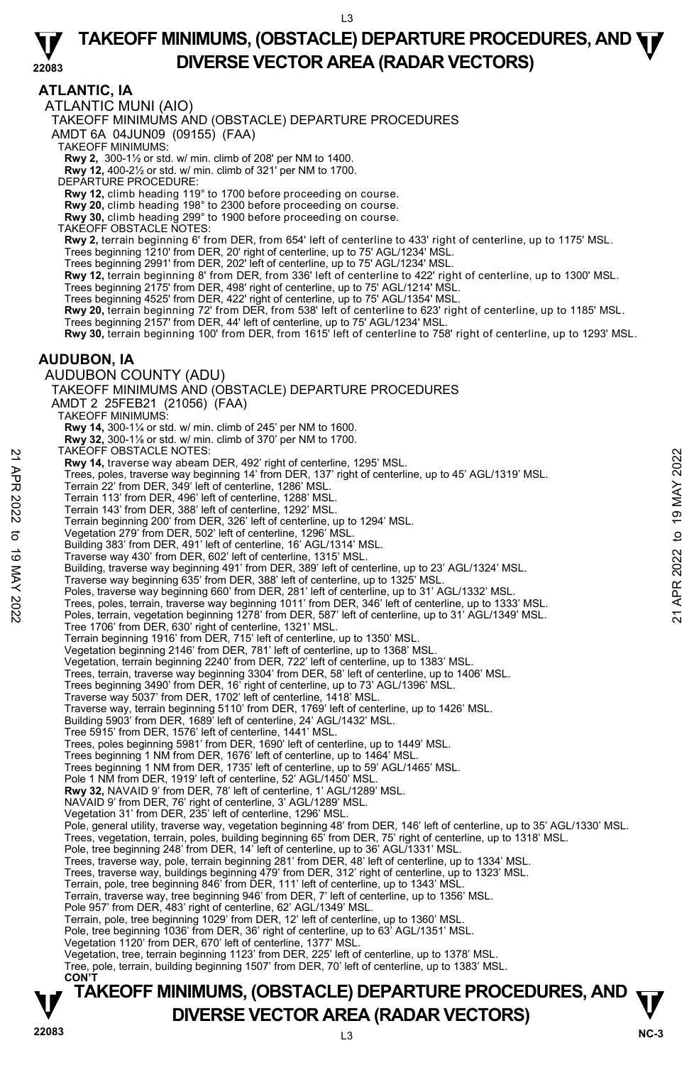#### **ATLANTIC, IA**

ATLANTIC MUNI (AIO)

TAKEOFF MINIMUMS AND (OBSTACLE) DEPARTURE PROCEDURES

AMDT 6A 04JUN09 (09155) (FAA)

TAKEOFF MINIMUMS:

**Rwy 2,** 300-1½ or std. w/ min. climb of 208' per NM to 1400. **Rwy 12,** 400-2½ or std. w/ min. climb of 321' per NM to 1700.

DEPARTURE PROCEDURE:

**Rwy 12,** climb heading 119° to 1700 before proceeding on course.

**Rwy 20,** climb heading 198° to 2300 before proceeding on course. **Rwy 30,** climb heading 299° to 1900 before proceeding on course.

TAKEOFF OBSTACLE NOTES:

**Rwy 2,** terrain beginning 6' from DER, from 654' left of centerline to 433' right of centerline, up to 1175' MSL.<br>Trees beginning 1210' from DER, 20' right of centerline, up to 75' AGL/1234' MSL.

Trees beginning 2991' from DER, 202' left of centerline, up to 75' AGL/1234' MSL.

**Rwy 12,** terrain beginning 8' from DER, from 336' left of centerline to 422' right of centerline, up to 1300' MSL.

Trees beginning 2175' from DER, 498' right of centerline, up to 75' AGL/1214' MSL.

Trees beginning 4525' from DER, 422' right of centerline, up to 75' AGL/1354' MSL.

**Rwy 20,** terrain beginning 72' from DER, from 538' left of centerline to 623' right of centerline, up to 1185' MSL. Trees beginning 2157' from DER, 44' left of centerline, up to 75' AGL/1234' MSL.

**Rwy 30,** terrain beginning 100' from DER, from 1615' left of centerline to 758' right of centerline, up to 1293' MSL.

#### **AUDUBON, IA**

AUDUBON COUNTY (ADU) TAKEOFF MINIMUMS AND (OBSTACLE) DEPARTURE PROCEDURES AMDT 2 25FEB21 (21056) (FAA) TAKEOFF MINIMUMS: **Rwy 14,** 300-1¼ or std. w/ min. climb of 245' per NM to 1600. **Rwy 32,** 300-1⅛ or std. w/ min. climb of 370' per NM to 1700. TAKEOFF OBSTACLE NOTES: **Rwy 14,** traverse way abeam DER, 492' right of centerline, 1295' MSL. Trees, poles, traverse way beginning 14' from DER, 137' right of centerline, up to 45' AGL/1319' MSL. Terrain 22' from DER, 349' left of centerline, 1286' MSL. Terrain 113' from DER, 496' left of centerline, 1288' MSL. Terrain 143' from DER, 388' left of centerline, 1292' MSL. Terrain beginning 200' from DER, 326' left of centerline, up to 1294' MSL. Vegetation 279' from DER, 502' left of centerline, 1296' MSL. Building 383' from DER, 491' left of centerline, 16' AGL/1314' MSL. Traverse way 430' from DER, 602' left of centerline, 1315' MSL. Building, traverse way beginning 491' from DER, 389' left of centerline, up to 23' AGL/1324' MSL. Traverse way beginning 635' from DER, 388' left of centerline, up to 1325' MSL. Poles, traverse way beginning 660' from DER, 281' left of centerline, up to 31' AGL/1332' MSL. NACUPF UBSTACLE NOTES:<br>
Trees, poles, traverse way beginning 14' from DER, 137' right of centerline, up to 45' AGL/1319' MSL.<br>
Trees, poles, traverse way beginning 14' from DER, 137' right of centerline, up to 45' AGL/131 Tree 1706' from DER, 630' right of centerline, 1321' MSL. Terrain beginning 1916' from DER, 715' left of centerline, up to 1350' MSI Vegetation beginning 2146' from DER, 781' left of centerline, up to 1368' MSL. Vegetation, terrain beginning 2240' from DER, 722' left of centerline, up to 1383' MSL. Trees, terrain, traverse way beginning 3304' from DER, 58' left of centerline, up to 1406' MSL. Trees beginning 3490' from DER, 16' right of centerline, up to 73' AGL/1396' MSL. Traverse way 5037' from DER, 1702' left of centerline, 1418' MSL. Traverse way, terrain beginning 5110' from DER, 1769' left of centerline, up to 1426' MSL. Building 5903<sup>'</sup> from DER, 1689' left of centerline, 24' AGL/1432' MSL. Tree 5915' from DER, 1576' left of centerline, 1441' MSL. Trees, poles beginning 5981' from DER, 1690' left of centerline, up to 1449' MSL. Trees beginning 1 NM from DER, 1676' left of centerline, up to 1464' MSL. Trees beginning 1 NM from DER, 1735' left of centerline, up to 59' AGL/1465' MSL. Pole 1 NM from DER, 1919' left of centerline, 52' AGL/1450' MSL. **Rwy 32,** NAVAID 9' from DER, 78' left of centerline, 1' AGL/1289' MSL. NAVAID 9' from DER, 76' right of centerline, 3' AGL/1289' MSL. Vegetation 31' from DER, 235' left of centerline, 1296' MSL. Pole, general utility, traverse way, vegetation beginning 48' from DER, 146' left of centerline, up to 35' AGL/1330' MSL. Trees, vegetation, terrain, poles, building beginning 65' from DER, 75' right of centerline, up to 1318' MSL.<br>Pole, tree beginning 248' from DER, 14' left of centerline, up to 36' AGL/1331' MSL. Trees, traverse way, pole, terrain beginning 281' from DER, 48' left of centerline, up to 1334' MSL. Trees, traverse way, buildings beginning 479' from DER, 312' right of centerline, up to 1323' MSL.<br>Terrain, pole, tree beginning 846' from DER, 111' left of centerline, up to 1343' MSL. Terrain, traverse way, tree beginning 946' from DER, 7' left of centerline, up to 1356' MSL. Pole 957' from DER, 483' right of centerline, 62' AGL/1349' MSL. Terrain, pole, tree beginning 1029' from DER, 12' left of centerline, up to 1360' MSL. Pole, tree beginning 1036' from DER, 36' right of centerline, up to 63' AGL/1351' MSL. Vegetation 1120' from DER, 670' left of centerline, 1377' MSL. Vegetation, tree, terrain beginning 1123' from DER, 225' left of centerline, up to 1378' MSL. Tree, pole, terrain, building beginning 1507' from DER, 70' left of centerline, up to 1383' MSL. **CON'T**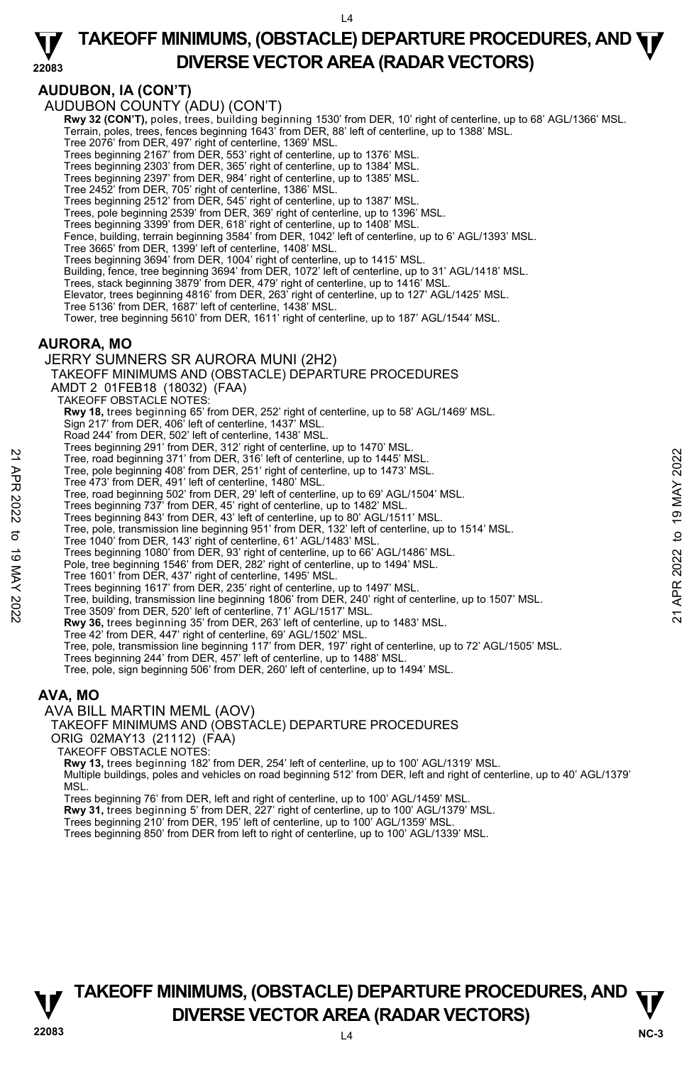# **AUDUBON, IA (CON'T)**

AUDUBON COUNTY (ADU) (CON'T)

**Rwy 32 (CON'T),** poles, trees, building beginning 1530' from DER, 10' right of centerline, up to 68' AGL/1366' MSL.<br>Terrain, poles, trees, fences beginning 1643' from DER, 88' left of centerline, up to 1388' MSL.

Tree 2076' from DER, 497' right of centerline, 1369' MSL.<br>Trees beginning 2167' from DER, 553' right of centerline, up to 1376' MSL.<br>Trees beginning 2303' from DER, 365' right of centerline, up to 1384' MSL.

Trees beginning 2397' from DER, 984' right of centerline, up to 1385' MSL. Tree 2452' from DER, 705' right of centerline, 1386' MSL.

Trees beginning 2512' from DER, 545' right of centerline, up to 1387' MSL. Trees, pole beginning 2539' from DER, 369' right of centerline, up to 1396' MSL.

Trees beginning 3399' from DER, 618' right of centerline, up to 1408' MSL.

Fence, building, terrain beginning 3584' from DER, 1042' left of centerline, up to 6' AGL/1393' MSL. Tree 3665' from DER, 1399' left of centerline, 1408' MSL.

Trees beginning 3694' from DER, 1004' right of centerline, up to 1415' MSL.

Building, fence, tree beginning 3694' from DER, 1072' left of centerline, up to 31' AGL/1418' MSL.

Trees, stack beginning 3879' from DER, 479' right of centerline, up to 1416' MSL.<br>Elevator, trees beginning 4816' from DER, 263' right of centerline, up to 127' AGL/1425' MSL.

Tree 5136' from DER, 1687' left of centerline, 1438' MSL.

Tower, tree beginning 5610' from DER, 1611' right of centerline, up to 187' AGL/1544' MSL.

#### **AURORA, MO**

JERRY SUMNERS SR AURORA MUNI (2H2)

TAKEOFF MINIMUMS AND (OBSTACLE) DEPARTURE PROCEDURES

AMDT 2 01FEB18 (18032) (FAA)

TAKEOFF OBSTACLE NOTES:

**Rwy 18,** trees beginning 65' from DER, 252' right of centerline, up to 58' AGL/1469' MSL.<br>Sign 217' from DER, 406' left of centerline, 1437' MSL.

Road 244' from DER, 502' left of centerline, 1438' MSL.

Trees beginning 291' from DER, 312' right of centerline, up to 1470' MSL.

- Tree, road beginning 371' from DER, 316' left of centerline, up to 1445' MSL.
- Tree, pole beginning 408' from DER, 251' right of centerline, up to 1473' MSL.
- Tree 473' from DER, 491' left of centerline, 1480' MSL.

Tree, road beginning 502' from DER, 29' left of centerline, up to 69' AGL/1504' MSL.

- Trees beginning 737' from DER, 45' right of centerline, up to 1482' MSL.
- Trees beginning 843' from DER, 43' left of centerline, up to 80' AGL/1511' MSL.
- Tree, pole, transmission line beginning 951' from DER, 132' left of centerline, up to 1514' MSL.

Tree 1040' from DER, 143' right of centerline, 61' AGL/1483' MSL.

Trees beginning 1080' from DER, 93' right of centerline, up to 66' AGL/1486' MSL.

Pole, tree beginning 1546' from DER, 282' right of centerline, up to 1494' MSL.

Tree 1601' from DER, 437' right of centerline, 1495' MSL.

Trees beginning 1617' from DER, 235' right of centerline, up to 1497' MSL.

Tree, building, transmission line beginning 1806' from DER, 240' right of centerline, up to 1507' MSL. 22 Tree, pole beginning 371' from DER, 316' left of centerline, up to 1445' MSL.<br>
Tree, pole beginning 371' from DER, 316' left of centerline, up to 1473' MSL.<br>
Tree and beginning 371' from DER, 419' left of centerline, u

Tree 3509' from DER, 520' left of centerline, 71' AGL/1517' MSL.

**Rwy 36,** trees beginning 35' from DER, 263' left of centerline, up to 1483' MSL.

- Tree 42' from DER, 447' right of centerline, 69' AGL/1502' MSL.
- Tree, pole, transmission line beginning 117' from DER, 197' right of centerline, up to 72' AGL/1505' MSL.

Trees beginning 244' from DER, 457' left of centerline, up to 1488' MSL.

Tree, pole, sign beginning 506' from DER, 260' left of centerline, up to 1494' MSL.

#### **AVA, MO**

AVA BILL MARTIN MEML (AOV)

TAKEOFF MINIMUMS AND (OBSTACLE) DEPARTURE PROCEDURES

ORIG 02MAY13 (21112) (FAA)

TAKEOFF OBSTACLE NOTES:

**Rwy 13,** trees beginning 182' from DER, 254' left of centerline, up to 100' AGL/1319' MSL.

Multiple buildings, poles and vehicles on road beginning 512' from DER, left and right of centerline, up to 40' AGL/1379' **MSL** 

Trees beginning 76' from DER, left and right of centerline, up to 100' AGL/1459' MSL.<br>**Rwy 31,** trees beginning 5' from DER, 227' right of centerline, up to 100' AGL/1379' MSL.

Trees beginning 210' from DER, 195' left of centerline, up to 100' AGL/1359' MSL.

Trees beginning 850' from DER from left to right of centerline, up to 100' AGL/1339' MSL.

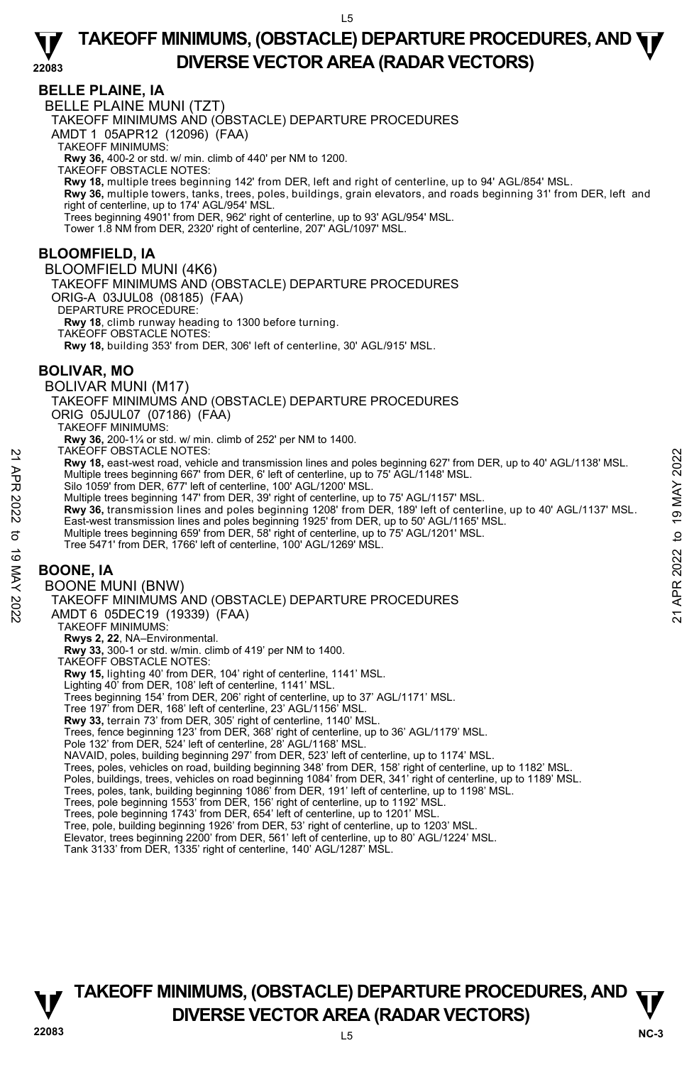### **BELLE PLAINE, IA**

BELLE PLAINE MUNI (TZT) TAKEOFF MINIMUMS AND (OBSTACLE) DEPARTURE PROCEDURES AMDT 1 05APR12 (12096) (FAA) TAKEOFF MINIMUMS: **Rwy 36,** 400-2 or std. w/ min. climb of 440' per NM to 1200. TAKEOFF OBSTACLE NOTES: **Rwy 18,** multiple trees beginning 142' from DER, left and right of centerline, up to 94' AGL/854' MSL. **Rwy 36,** multiple towers, tanks, trees, poles, buildings, grain elevators, and roads beginning 31' from DER, left and right of centerline, up to 174' AGL/954' MSL. Trees beginning 4901' from DER, 962' right of centerline, up to 93' AGL/954' MSL. Tower 1.8 NM from DER, 2320' right of centerline, 207' AGL/1097' MSL. **BLOOMFIELD, IA**  BLOOMFIELD MUNI (4K6) TAKEOFF MINIMUMS AND (OBSTACLE) DEPARTURE PROCEDURES ORIG-A 03JUL08 (08185) (FAA) DEPARTURE PROCEDURE: **Rwy 18**, climb runway heading to 1300 before turning. TAKEOFF OBSTACLE NOTES: **Rwy 18,** building 353' from DER, 306' left of centerline, 30' AGL/915' MSL. **BOLIVAR, MO**  BOLIVAR MUNI (M17) TAKEOFF MINIMUMS AND (OBSTACLE) DEPARTURE PROCEDURES ORIG 05JUL07 (07186) (FAA) TAKEOFF MINIMUMS: **Rwy 36,** 200-1¼ or std. w/ min. climb of 252' per NM to 1400. TAKEOFF OBSTACLE NOTES: **Rwy 18,** east-west road, vehicle and transmission lines and poles beginning 627' from DER, up to 40' AGL/1138' MSL. Multiple trees beginning 667' from DER, 6' left of centerline, up to 75' AGL/1148' MSL. Silo 1059' from DER, 677' left of centerline, 100' AGL/1200' MSL. Multiple trees beginning 147' from DER, 39' right of centerline, up to 75' AGL/1157' MSL. **Rwy 36,** transmission lines and poles beginning 1208' from DER, 189' left of centerline, up to 40' AGL/1137' MSL. East-west transmission lines and poles beginning 1925' from DER, up to 50' AGL/1165' MSL. Multiple trees beginning 659' from DER, 58' right of centerline, up to 75' AGL/1201' MSL. Tree 5471' from DER, 1766' left of centerline, 100' AGL/1269' MSL. **BOONE, IA**  BOONE MUNI (BNW) TAKEOFF MINIMUMS AND (OBSTACLE) DEPARTURE PROCEDURES AMDT 6 05DEC19 (19339) (FAA) TAKEOFF MINIMUMS: **Rwys 2, 22,** NA–Environmental.<br>**Rwy 33,** 300-1 or std. w/min. climb of 419' per NM to 1400. TAKEOFF OBSTACLE NOTES: **Rwy 15,** lighting 40' from DER, 104' right of centerline, 1141' MSL. Lighting 40' from DER, 108' left of centerline, 1141' MSL. Trees beginning 154' from DER, 206' right of centerline, up to 37' AGL/1171' MSL. Tree 197' from DER, 168' left of centerline, 23' AGL/1156' MSL. **Rwy 33,** terrain 73' from DER, 305' right of centerline, 1140' MSL. Trees, fence beginning 123' from DER, 368' right of centerline, up to 36' AGL/1179' MSL. Pole 132' from DER, 524' left of centerline, 28' AGL/1168' MSL. NAVAID, poles, building beginning 297' from DER, 523' left of centerline, up to 1174' MSL. Trees, poles, vehicles on road, building beginning 348' from DER, 158' right of centerline, up to 1182' MSL. Poles, buildings, trees, vehicles on road beginning 1084' from DER, 341' right of centerline, up to 1189' MSL. Trees, poles, tank, building beginning 1086' from DER, 191' left of centerline, up to 1198' MSL. Trees, pole beginning 1553' from DER, 156' right of centerline, up to 1192' MSL. Trees, pole beginning 1743' from DER, 654' left of centerline, up to 1201' MSL. Tree, pole, building beginning 1926' from DER, 53' right of centerline, up to 1203' MSL. Elevator, trees beginning 2200' from DER, 561' left of centerline, up to 80' AGL/1224' MSL.<br>Tank 3133' from DER, 1335' right of centerline, 140' AGL/1287' MSL. PIARCH-P USSTACLE NOTES:<br>
21 ARROLLA TROILS: NOTES (S' left of centerline, up to 75' AGL/1148' MSL.<br>
21 Multiple trees beginning 667' from DER, 6' left of centerline, up to 75' AGL/1148' MSL.<br>
31 Silo 1059' from DER, 18'

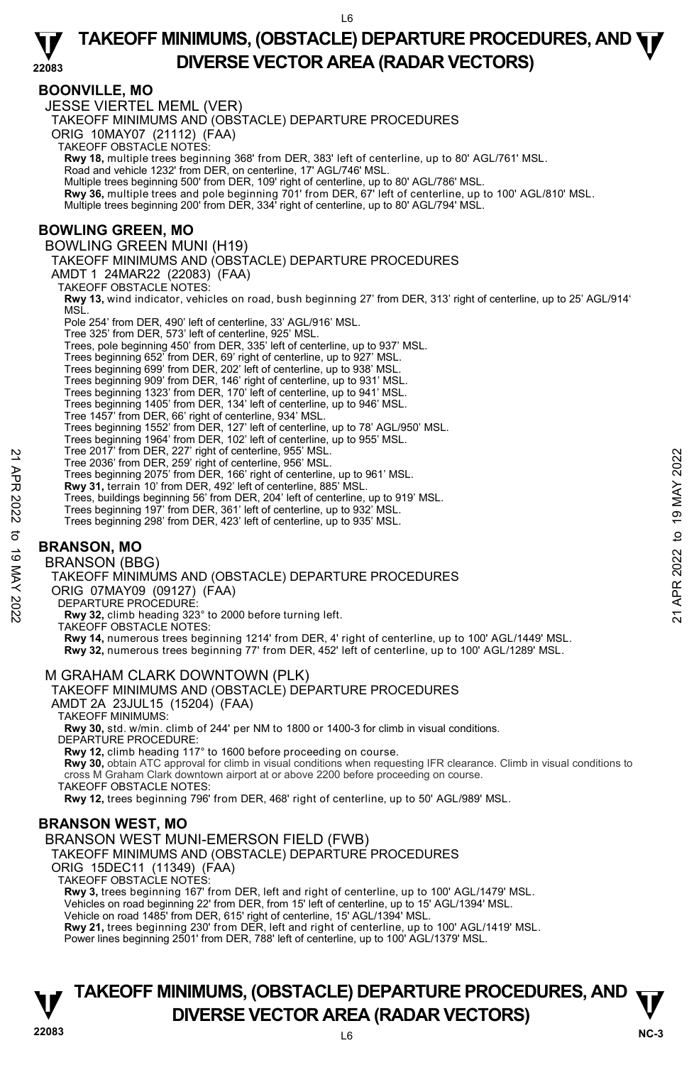# **BOONVILLE, MO**

JESSE VIERTEL MEML (VER) TAKEOFF MINIMUMS AND (OBSTACLE) DEPARTURE PROCEDURES ORIG 10MAY07 (21112) (FAA) TAKEOFF OBSTACLE NOTES: **Rwy 18,** multiple trees beginning 368' from DER, 383' left of centerline, up to 80' AGL/761' MSL.<br>Road and vehicle 1232' from DER, on centerline, 17' AGL/746' MSL. Multiple trees beginning 500' from DER, 109' right of centerline, up to 80' AGL/786' MSL. **Rwy 36,** multiple trees and pole beginning 701' from DER, 67' left of centerline, up to 100' AGL/810' MSL. Multiple trees beginning 200' from DER, 334' right of centerline, up to 80' AGL/794' MSL. **BOWLING GREEN, MO**  BOWLING GREEN MUNI (H19) TAKEOFF MINIMUMS AND (OBSTACLE) DEPARTURE PROCEDURES AMDT 1 24MAR22 (22083) (FAA) TAKEOFF OBSTACLE NOTES: **Rwy 13,** wind indicator, vehicles on road, bush beginning 27' from DER, 313' right of centerline, up to 25' AGL/914' MSL. Pole 254' from DER, 490' left of centerline, 33' AGL/916' MSL. Tree 325' from DER, 573' left of centerline, 925' MSL. Trees, pole beginning 450' from DER, 335' left of centerline, up to 937' MSL. Trees beginning 652' from DER, 69' right of centerline, up to 927' MSL. Trees beginning 699' from DER, 202' left of centerline, up to 938' MSL. Trees beginning 909' from DER, 146' right of centerline, up to 931' MSL. Trees beginning 1323' from DER, 170' left of centerline, up to 941' MSL. Trees beginning 1405' from DER, 134' left of centerline, up to 946' MSL. Tree 1457' from DER, 66' right of centerline, 934' MSL. Trees beginning 1552' from DER, 127' left of centerline, up to 78' AGL/950' MSL. Trees beginning 1964' from DER, 102' left of centerline, up to 955' MSL. Tree 2017' from DER, 227' right of centerline, 955' MSL. Tree 2036' from DER, 259' right of centerline, 956' MSL. Trees beginning 2075' from DER, 166' right of centerline, up to 961' MSL. **Rwy 31,** terrain 10' from DER, 492' left of centerline, 885' MSL. Trees, buildings beginning 56' from DER, 204' left of centerline, up to 919' MSL. Trees beginning 197' from DER, 361' left of centerline, up to 932' MSL. Trees beginning 298' from DER, 423' left of centerline, up to 935' MSL. **BRANSON, MO**  BRANSON (BBG) TAKEOFF MINIMUMS AND (OBSTACLE) DEPARTURE PROCEDURES ORIG 07MAY09 (09127) (FAA) DEPARTURE PROCEDURE **Rwy 32,** climb heading 323° to 2000 before turning left. TAKEOFF OBSTACLE NOTES: **Rwy 14,** numerous trees beginning 1214' from DER, 4' right of centerline, up to 100' AGL/1449' MSL. **Rwy 32,** numerous trees beginning 77' from DER, 452' left of centerline, up to 100' AGL/1289' MSL. M GRAHAM CLARK DOWNTOWN (PLK) TAKEOFF MINIMUMS AND (OBSTACLE) DEPARTURE PROCEDURES Tree 2036' from DER, 22f ' right of centerline, 956' MSL.<br>
Tree 2036' from DER, 2259' right of centerline, 865' MSL.<br>
Trees beginning 2075' from DER, 426' left of centerline, up to 961' MSL.<br> **RW 31**, terrain 10' from DER,

AMDT 2A 23JUL15 (15204) (FAA)

TAKEOFF MINIMUMS:

**Rwy 30,** std. w/min. climb of 244' per NM to 1800 or 1400-3 for climb in visual conditions. DEPARTURE PROCEDURE:

**Rwy 12,** climb heading 117° to 1600 before proceeding on course.

**Rwy 30,** obtain ATC approval for climb in visual conditions when requesting IFR clearance. Climb in visual conditions to cross M Graham Clark downtown airport at or above 2200 before proceeding on course.

TAKEOFF OBSTACLE NOTES:

**Rwy 12,** trees beginning 796' from DER, 468' right of centerline, up to 50' AGL/989' MSL.

# **BRANSON WEST, MO**

BRANSON WEST MUNI-EMERSON FIELD (FWB)

TAKEOFF MINIMUMS AND (OBSTACLE) DEPARTURE PROCEDURES

ORIG 15DEC11 (11349) (FAA)

TAKEOFF OBSTACLE NOTES:

**Rwy 3,** trees beginning 167' from DER, left and right of centerline, up to 100' AGL/1479' MSL. Vehicles on road beginning 22' from DER, from 15' left of centerline, up to 15' AGL/1394' MSL.

Vehicle on road 1485' from DER, 615' right of centerline, 15' AGL/1394' MSL. **Rwy 21,** trees beginning 230' from DER, left and right of centerline, up to 100' AGL/1419' MSL.

Power lines beginning 2501' from DER, 788' left of centerline, up to 100' AGL/1379' MSL.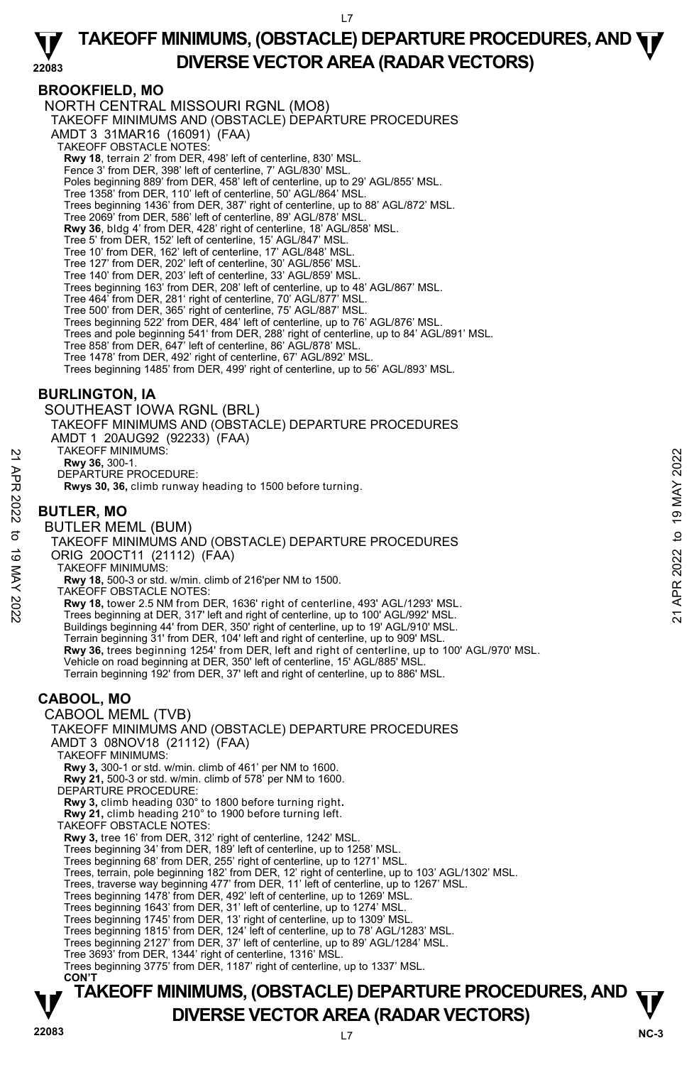### **BROOKFIELD, MO**

NORTH CENTRAL MISSOURI RGNL (MO8) TAKEOFF MINIMUMS AND (OBSTACLE) DEPARTURE PROCEDURES AMDT 3 31MAR16 (16091) (FAA) TAKEOFF OBSTACLE NOTES: **Rwy 18**, terrain 2' from DER, 498' left of centerline, 830' MSL. Fence 3' from DER, 398' left of centerline, 7' AGL/830' MSL. Poles beginning 889' from DER, 458' left of centerline, up to 29' AGL/855' MSL. Tree 1358' from DER, 110' left of centerline, 50' AGL/864' MSL. Trees beginning 1436' from DER, 387' right of centerline, up to 88' AGL/872' MSL. Tree 2069' from DER, 586' left of centerline, 89' AGL/878' MSL. **Rwy 36**, bldg 4' from DER, 428' right of centerline, 18' AGL/858' MSL. Tree 5' from DER, 152' left of centerline, 15' AGL/847' MSL. Tree 10' from DER, 162' left of centerline, 17' AGL/848' MSL. Tree 127' from DER, 202' left of centerline, 30' AGL/856' MSL. Tree 140' from DER, 203' left of centerline, 33' AGL/859' MSL. Trees beginning 163' from DER, 208' left of centerline, up to 48' AGL/867' MSL. Tree 464' from DER, 281' right of centerline, 70' AGL/877' MSL. Tree 500' from DER, 365' right of centerline, 75' AGL/887' MSL. Trees beginning 522' from DER, 484' left of centerline, up to 76' AGL/876' MSL Trees and pole beginning 541' from DER, 288' right of centerline, up to 84' AGL/891' MSL. Tree 858' from DER, 647' left of centerline, 86' AGL/878' MSL. Tree 1478' from DER, 492' right of centerline, 67' AGL/892' MSL. Trees beginning 1485' from DER, 499' right of centerline, up to 56' AGL/893' MSL. **BURLINGTON, IA**  SOUTHEAST IOWA RGNL (BRL) TAKEOFF MINIMUMS AND (OBSTACLE) DEPARTURE PROCEDURES

AMDT 1 20AUG92 (92233) (FAA)

TAKEOFF MINIMUMS:

**Rwy 36,** 300-1.

DEPARTURE PROCEDURE:

**Rwys 30, 36,** climb runway heading to 1500 before turning.

# **BUTLER, MO**

BUTLER MEML (BUM)

TAKEOFF MINIMUMS AND (OBSTACLE) DEPARTURE PROCEDURES ORIG 20OCT11 (21112) (FAA) TAKEOFF MINIMUMS: 22 TAKEOFF MINIMUMS:<br>
22 DEPARTURE PROCEDURE:<br>
22 DEPARTURE PROCEDURE:<br>
22 **BUTLER, MO**<br>
22 **BUTLER MEMIL (BUM)**<br>
7 **AVE SUTLER MEMIL (BUM)**<br>
7 TAKEOFF MINIMUMS AND (OBSTACLE) DEPARTURE PROCEDURES<br>
22 ORIG 200CT11 (21112)

**Rwy 18,** 500-3 or std. w/min. climb of 216'per NM to 1500.

TAKEOFF OBSTACLE NOTES:

**Rwy 18,** tower 2.5 NM from DER, 1636' right of centerline, 493' AGL/1293' MSL. Trees beginning at DER, 317' left and right of centerline, up to 100' AGL/992' MSL. Buildings beginning 44' from DER, 350' right of centerline, up to 19' AGL/910' MSL. Terrain beginning 31' from DER, 104' left and right of centerline, up to 909' MSL.<br>**Rwy 36,** trees beginning 1254' from DER, left and right of centerline, up to 100' AGL/970' MSL. Vehicle on road beginning at DER, 350' left of centerline, 15' AGL/885' MSL. Terrain beginning 192' from DER, 37' left and right of centerline, up to 886' MSL.

# **CABOOL, MO**

CABOOL MEML (TVB) TAKEOFF MINIMUMS AND (OBSTACLE) DEPARTURE PROCEDURES AMDT 3 08NOV18 (21112) (FAA) TAKEOFF MINIMUMS: **Rwy 3,** 300-1 or std. w/min. climb of 461' per NM to 1600. **Rwy 21,** 500-3 or std. w/min. climb of 578' per NM to 1600. DEPARTURE PROCEDURE: **Rwy 3,** climb heading 030° to 1800 before turning right**. Rwy 21,** climb heading 210° to 1900 before turning left. TAKEOFF OBSTACLE NOTES: **Rwy 3,** tree 16' from DER, 312' right of centerline, 1242' MSL.<br>Trees beginning 34' from DER, 189' left of centerline, up to 1258' MSL. Trees beginning 68' from DER, 255' right of centerline, up to 1271' MSL. Trees, terrain, pole beginning 182' from DER, 12' right of centerline, up to 103' AGL/1302' MSL.<br>Trees, traverse way beginning 477' from DER, 11' left of centerline, up to 1267' MSL. Trees beginning 1478' from DER, 492' left of centerline, up to 1269' MSL. Trees beginning 1643' from DER, 31' left of centerline, up to 1274' MSL. Trees beginning 1745' from DER, 13' right of centerline, up to 1309' MSL.<br>Trees beginning 1815' from DER, 124' left of centerline, up to 78' AGL/1283' MSL.<br>Trees beginning 2127' from DER, 37' left of centerline, up to 89' Tree 3693' from DER, 1344' right of centerline, 1316' MSL. Trees beginning 3775' from DER, 1187' right of centerline, up to 1337' MSL. **CON'T**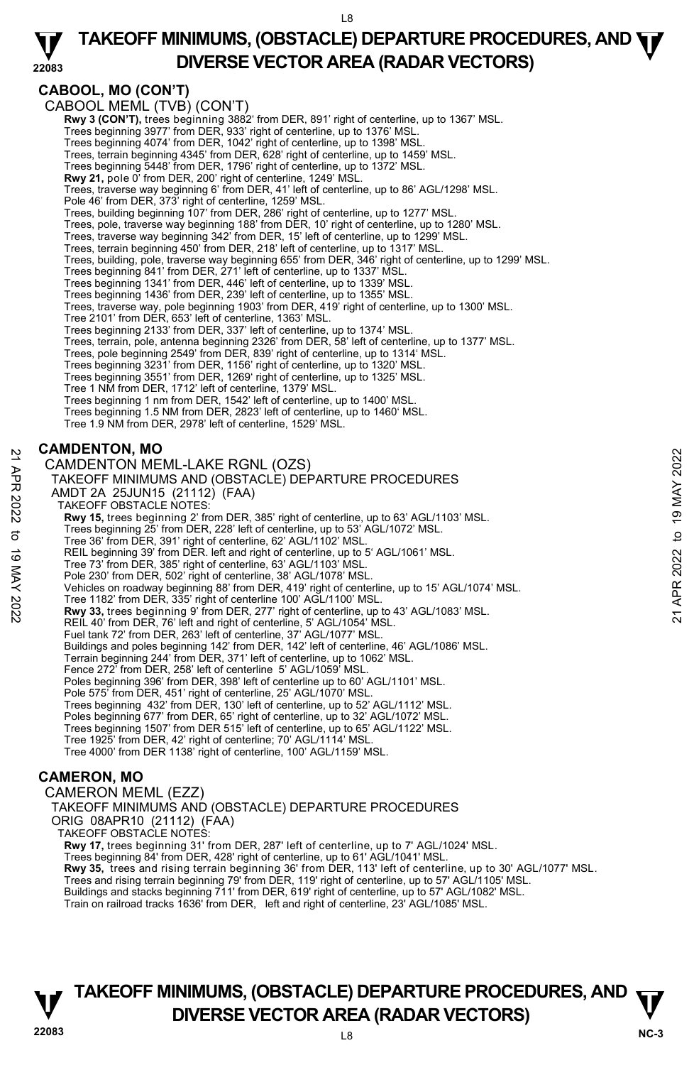**TAKEOFF MINIMUMS, (OBSTACLE) DEPARTURE PROCEDURES, AND**  $\Psi$ **DIVERSE VECTOR AREA (RADAR VECTORS)** 

**CABOOL, MO (CON'T)** 

**22083**  CABOOL MEML (TVB) (CON'T) **Rwy 3 (CON'T),** trees beginning 3882' from DER, 891' right of centerline, up to 1367' MSL.<br>Trees beginning 3977' from DER, 933' right of centerline, up to 1376' MSL. Trees beginning 4074' from DER, 1042' right of centerline, up to 1398' MSL. Trees, terrain beginning 4345' from DER, 628' right of centerline, up to 1459' MSL. Trees beginning 5448' from DER, 1796' right of centerline, up to 1372' MSL. **Rwy 21,** pole 0' from DER, 200' right of centerline, 1249' MSL. Trees, traverse way beginning 6' from DER, 41' left of centerline, up to 86' AGL/1298' MSL. Pole 46' from DER, 373' right of centerline, 1259' MSL. Trees, building beginning 107' from DER, 286' right of centerline, up to 1277' MSL. Trees, pole, traverse way beginning 188' from DER, 10' right of centerline, up to 1280' MSL. Trees, traverse way beginning 342' from DER, 15' left of centerline, up to 1299' MSL. Trees, terrain beginning 450' from DER, 218' left of centerline, up to 1317' MSL. Trees, building, pole, traverse way beginning 655' from DER, 346' right of centerline, up to 1299' MSL. Trees beginning 841' from DER, 271' left of centerline, up to 1337' MSL. Trees beginning 1341' from DER, 446' left of centerline, up to 1339' MSL. Trees beginning 1436' from DER, 239' left of centerline, up to 1355' MSL. Trees, traverse way, pole beginning 1903' from DER, 419' right of centerline, up to 1300' MSL. Tree 2101' from DER, 653' left of centerline, 1363' MSL. Trees beginning 2133' from DER, 337' left of centerline, up to 1374' MSL. Trees, terrain, pole, antenna beginning 2326' from DER, 58' left of centerline, up to 1377' MSL.<br>Trees, pole beginning 2549' from DER, 839' right of centerline, up to 1314' MSL.<br>Trees beginning 3231' from DER, 1156' right Trees beginning 3551' from DER, 1269' right of centerline, up to 1325' MSL. Tree 1 NM from DER, 1712' left of centerline, 1379' MSL. Trees beginning 1 nm from DER, 1542' left of centerline, up to 1400' MSL. Trees beginning 1.5 NM from DER, 2823' left of centerline, up to 1460' MSL. Tree 1.9 NM from DER, 2978' left of centerline, 1529' MSL. **CAMDENTON, MO**  CAMDENTON MEML-LAKE RGNL (OZS) TAKEOFF MINIMUMS AND (OBSTACLE) DEPARTURE PROCEDURES AMDT 2A 25JUN15 (21112) (FAA) TAKEOFF OBSTACLE NOTES: **Rwy 15,** trees beginning 2' from DER, 385' right of centerline, up to 63' AGL/1103' MSL.<br>Trees beginning 25' from DER, 228' left of centerline, up to 53' AGL/1072' MSL. Tree 36' from DER, 391' right of centerline, 62' AGL/1102' MSL. REIL beginning 39' from DER. left and right of centerline, up to 5' AGL/1061' MSL. Tree 73' from DER, 385' right of centerline, 63' AGL/1103' MSL. Pole 230' from DER, 502' right of centerline, 38' AGL/1078' MSL. Vehicles on roadway beginning 88' from DER, 419' right of centerline, up to 15' AGL/1074' MSL. Tree 1182' from DER, 335' right of centerline 100' AGL/1100' MSL.<br>**Rwy 33,** trees beginning 9' from DER, 277' right of centerline, up to 43' AGL/1083' MSL. REIL 40' from DER, 76' left and right of centerline, 5' AGL/1054' MSL. Fuel tank 72' from DER, 263' left of centerline, 37' AGL/1077' MSL. Buildings and poles beginning 142' from DER, 142' left of centerline, 46' AGL/1086' MSL. Terrain beginning 244' from DER, 371' left of centerline, up to 1062' MSL. Fence 272' from DER, 258' left of centerline 5' AGL/1059' MSL. Poles beginning 396' from DER, 398' left of centerline up to 60' AGL/1101' MSL. Pole 575' from DER, 451' right of centerline, 25' AGL/1070' MSL. Trees beginning 432' from DER, 130' left of centerline, up to 52' AGL/1112' MSL. Poles beginning 677' from DER, 65' right of centerline, up to 32' AGL/1072' MSL. Trees beginning 1507' from DER 515' left of centerline, up to 65' AGL/1122' MSL. Tree 1925' from DER, 42' right of centerline; 70' AGL/1114' MSL. Tree 4000' from DER 1138' right of centerline, 100' AGL/1159' MSL. **CAMERON, MO**  CAMERON MEML (EZZ) TAKEOFF MINIMUMS AND (OBSTACLE) DEPARTURE PROCEDURES ORIG 08APR10 (21112) (FAA) TAKEOFF OBSTACLE NOTES: **Rwy 17,** trees beginning 31' from DER, 287' left of centerline, up to 7' AGL/1024' MSL.<br>Trees beginning 84' from DER, 428' right of centerline, up to 61' AGL/1041' MSL. **Rwy 35,** trees and rising terrain beginning 36' from DER, 113' left of centerline, up to 30' AGL/1077' MSL. Trees and rising terrain beginning 79' from DER, 119' right of centerline, up to 57' AGL/1105' MSL.<br>Buildings and stacks beginning 711' from DER, 619' right of centerline, up to 57' AGL/1082' MSL. Train on railroad tracks 1636' from DER, left and right of centerline, 23' AGL/1085' MSL. 22 CAMDENTON MEML-LAKE RGNL (OZS)<br>
22 CAMDENTON MEML-LAKE RGNL (OZS)<br>
22 TAKEOFF MINIMUMS AND (OBSTACLE) DEPARTURE PROCEDURES<br>
22 AMDT 2A 25JUN15 (21112) (FAA)<br>
22 TAKEOFF OBSTACLE NOTES:<br>
22 TAKEOFF OBSTACLE NOTES:<br>
23 T

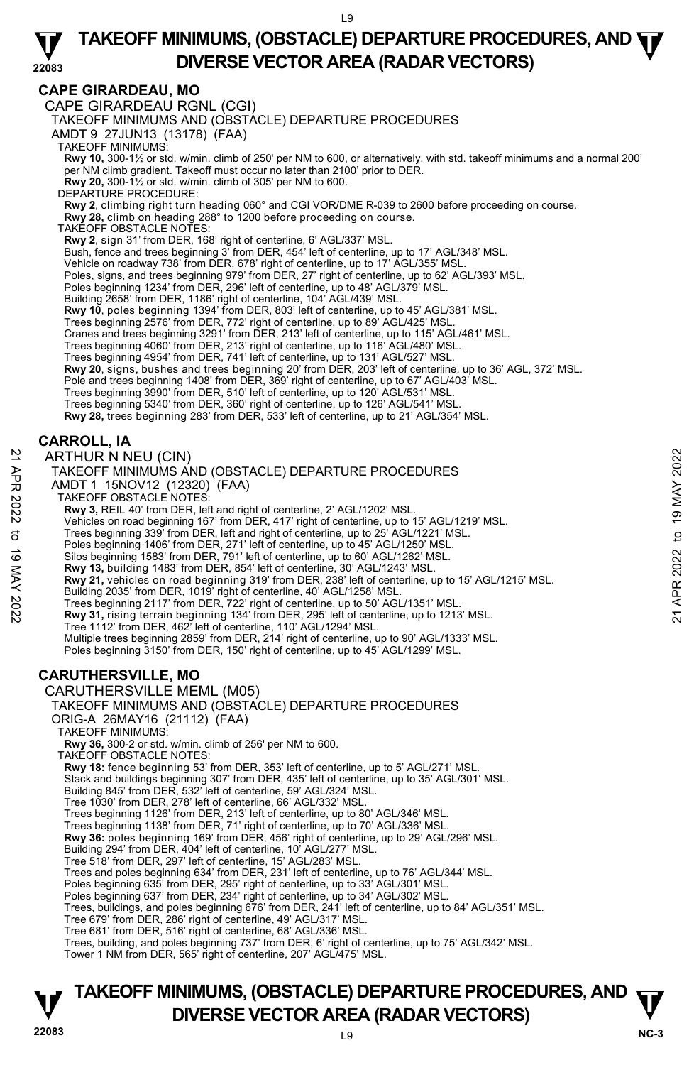# **CAPE GIRARDEAU, MO**

CAPE GIRARDEAU RGNL (CGI)

TAKEOFF MINIMUMS AND (OBSTACLE) DEPARTURE PROCEDURES

AMDT 9 27JUN13 (13178) (FAA)

TAKEOFF MINIMUMS:

**Rwy 10,** 300-1½ or std. w/min. climb of 250' per NM to 600, or alternatively, with std. takeoff minimums and a normal 200'<br>per NM climb gradient. Takeoff must occur no later than 2100' prior to DER.

**Rwy 20,** 300-1½ or std. w/min. climb of 305' per NM to 600.

DEPARTURE PROCEDURE:

**Rwy 2**, climbing right turn heading 060° and CGI VOR/DME R-039 to 2600 before proceeding on course. **Rwy 28,** climb on heading 288° to 1200 before proceeding on course.

TAKEOFF OBSTACLE NOTES:

**Rwy 2**, sign 31' from DER, 168' right of centerline, 6' AGL/337' MSL.<br>Bush, fence and trees beginning 3' from DER, 454' left of centerline, up to 17' AGL/348' MSL.

Vehicle on roadway 738' from DER, 678' right of centerline, up to 17' AGL/355' MSL.

- 
- Poles, signs, and trees beginning 979' from DER, 27' right of centerline, up to 62' AGL/393' MSL.<br>Poles beginning 1234' from DER, 296' left of centerline, up to 48' AGL/379' MSL.
- Building 2658' from DER, 1186' right of centerline, 104' AGL/439' MSL.
- **Rwy 10**, poles beginning 1394' from DER, 803' left of centerline, up to 45' AGL/381' MSL.

Trees beginning 2576' from DER, 772' right of centerline, up to 89' AGL/425' MSL. Cranes and trees beginning 3291' from DER, 213' left of centerline, up to 115' AGL/461' MSL.

Trees beginning 4060' from DER, 213' right of centerline, up to 116' AGL/480' MSL. Trees beginning 4954' from DER, 741' left of centerline, up to 131' AGL/527' MSL.

**Rwy 20**, signs, bushes and trees beginning 20' from DER, 203' left of centerline, up to 36' AGL, 372' MSL.

- Pole and trees beginning 1408' from DER, 369' right of centerline, up to 67' AGL/403' MSL.
- Trees beginning 3990' from DER, 510' left of centerline, up to 120' AGL/531' MSL.
- 

Trees beginning 5340' from DER, 360' right of centerline, up to 126' AGL/541' MSL.<br>**Rwy 28,** trees beginning 283' from DER, 533' left of centerline, up to 21' AGL/354' MSL.

# **CARROLL, IA**

ARTHUR N NEU (CIN) TAKEOFF MINIMUMS AND (OBSTACLE) DEPARTURE PROCEDURES AMDT 1 15NOV12 (12320) (FAA) TAKEOFF OBSTACLE NOTES: **Rwy 3,** REIL 40' from DER, left and right of centerline, 2' AGL/1202' MSL. Vehicles on road beginning 167' from DER, 417' right of centerline, up to 15' AGL/1219' MSL. Trees beginning 339' from DER, left and right of centerline, up to 25' AGL/1221' MSL. Poles beginning 1406' from DER, 271' left of centerline, up to 45' AGL/1250' MSL. Silos beginning 1583' from DER, 791' left of centerline, up to 60' AGL/1262' MSL. **Rwy 13,** building 1483' from DER, 854' left of centerline, 30' AGL/1243' MSL. **Rwy 21,** vehicles on road beginning 319' from DER, 238' left of centerline, up to 15' AGL/1215' MSL. Building 2035' from DER, 1019' right of centerline, 40' AGL/1258' MSL. Trees beginning 2117' from DER, 722' right of centerline, up to 50' AGL/1351' MSL.<br>**Rwy 31,** rising terrain beginning 134' from DER, 295' left of centerline, up to 1213' MSL. Tree 1112' from DER, 462' left of centerline, 110' AGL/1294' MSL. Multiple trees beginning 2859' from DER, 214' right of centerline, up to 90' AGL/1333' MSL. Poles beginning 3150' from DER, 150' right of centerline, up to 45' AGL/1299' MSL. ARTHUR N NEU (CIN)<br>
TAKEOFF MINIMUMS AND (OBSTACLE) DEPARTURE PROCEDURES<br>
AMDT 1 15NOV12 (12320) (FAA)<br>
NAMET 1 15NOV12 (12320) (FAA)<br>
TAKEOFF OBSTACLE NOTES:<br>
Rwy 3, REIL 40' from DER, left and right of centerline, 2' AG

# **CARUTHERSVILLE, MO**

CARUTHERSVILLE MEML (M05)

TAKEOFF MINIMUMS AND (OBSTACLE) DEPARTURE PROCEDURES

ORIG-A 26MAY16 (21112) (FAA)

TAKEOFF MINIMUMS:

**Rwy 36,** 300-2 or std. w/min. climb of 256' per NM to 600.

TAKEOFF OBSTACLE NOTES:

**Rwy 18:** fence beginning 53' from DER, 353' left of centerline, up to 5' AGL/271' MSL.

Stack and buildings beginning 307' from DER, 435' left of centerline, up to 35' AGL/301' MSL.

- Building 845' from DER, 532' left of centerline, 59' AGL/324' MSL.
- 

Tree 1030' from DER, 278' left of centerline, 66' AGL/332' MSL. Trees beginning 1126' from DER, 213' left of centerline, up to 80' AGL/346' MSL.

Trees beginning 1138' from DER, 71' right of centerline, up to 70' AGL/336' MSL.

**Rwy 36:** poles beginning 169' from DER, 456' right of centerline, up to 29' AGL/296' MSL.<br>Building 294' from DER, 404' left of centerline, 10' AGL/277' MSL.

Tree 518' from DER, 297' left of centerline, 15' AGL/283' MSL.

Trees and poles beginning 634' from DER, 231' left of centerline, up to 76' AGL/344' MSL. Poles beginning 635' from DER, 295' right of centerline, up to 33' AGL/301' MSL.

Poles beginning 637' from DER, 234' right of centerline, up to 34' AGL/302' MSL.

Trees, buildings, and poles beginning 676' from DER, 241' left of centerline, up to 84' AGL/351' MSL.

Tree 679' from DER, 286' right of centerline, 49' AGL/317' MSL. Tree 681' from DER, 516' right of centerline, 68' AGL/336' MSL.

Trees, building, and poles beginning 737' from DER, 6' right of centerline, up to 75' AGL/342' MSL.

Tower 1 NM from DER, 565' right of centerline, 207' AGL/475' MSL.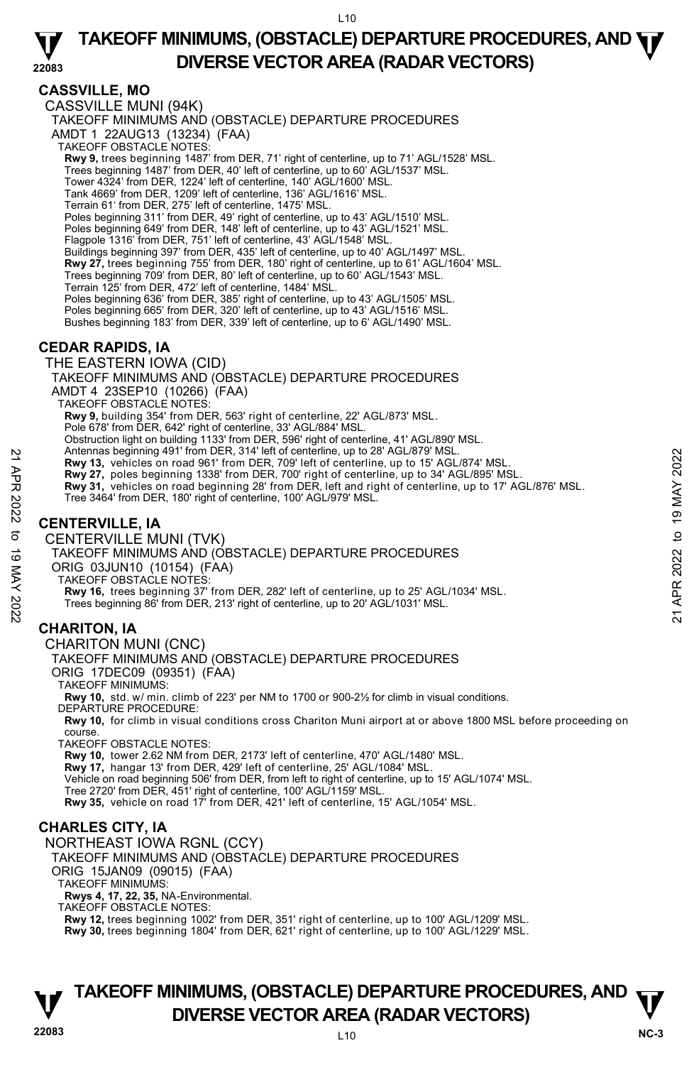# **CASSVILLE, MO**

CASSVILLE MUNI (94K) TAKEOFF MINIMUMS AND (OBSTACLE) DEPARTURE PROCEDURES AMDT 1 22AUG13 (13234) (FAA) TAKEOFF OBSTACLE NOTES: **Rwy 9,** trees beginning 1487' from DER, 71' right of centerline, up to 71' AGL/1528' MSL. Trees beginning 1487' from DER, 40' left of centerline, up to 60' AGL/1537' MSL. Tower 4324' from DER, 1224' left of centerline, 140' AGL/1600' MSL. Tank 4669' from DER, 1209' left of centerline, 136' AGL/1616' MSL. Terrain 61' from DER, 275' left of centerline, 1475' MSL. Poles beginning 311' from DER, 49' right of centerline, up to 43' AGL/1510' MSL. Poles beginning 649' from DER, 148' left of centerline, up to 43' AGL/1521' MSL. Flagpole 1316' from DER, 751' left of centerline, 43' AGL/1548' MSL. Buildings beginning 397' from DER, 435' left of centerline, up to 40' AGL/1497' MSL. **Rwy 27,** trees beginning 755' from DER, 180' right of centerline, up to 61' AGL/1604' MSL. Trees beginning 709' from DER, 80' left of centerline, up to 60' AGL/1543' MSL. Terrain 125' from DER, 472' left of centerline, 1484' MSL. Poles beginning 636' from DER, 385' right of centerline, up to 43' AGL/1505' MSL. Poles beginning 665' from DER, 320' left of centerline, up to 43' AGL/1516' MSL. Bushes beginning 183' from DER, 339' left of centerline, up to 6' AGL/1490' MSL. **CEDAR RAPIDS, IA**  THE EASTERN IOWA (CID) TAKEOFF MINIMUMS AND (OBSTACLE) DEPARTURE PROCEDURES AMDT 4 23SEP10 (10266) (FAA) TAKEOFF OBSTACLE NOTES: **Rwy 9,** building 354' from DER, 563' right of centerline, 22' AGL/873' MSL. Pole 678' from DER, 642' right of centerline, 33' AGL/884' MSL. Obstruction light on building 1133' from DER, 596' right of centerline, 41' AGL/890' MSL. Antennas beginning 491' from DER, 314' left of centerline, up to 28' AGL/879' MSL. **Rwy 13,** vehicles on road 961' from DER, 709' left of centerline, up to 15' AGL/874' MSL. **Rwy 27,** poles beginning 1338' from DER, 700' right of centerline, up to 34' AGL/895' MSL. **Rwy 31,** vehicles on road beginning 28' from DER, left and right of centerline, up to 17' AGL/876' MSL. Tree 3464' from DER, 180' right of centerline, 100' AGL/979' MSL. **CENTERVILLE, IA**  CENTERVILLE MUNI (TVK) TAKEOFF MINIMUMS AND (OBSTACLE) DEPARTURE PROCEDURES ORIG 03JUN10 (10154) (FAA) TAKEOFF OBSTACLE NOTES: **Rwy 16,** trees beginning 37' from DER, 282' left of centerline, up to 25' AGL/1034' MSL. Trees beginning 86' from DER, 213' right of centerline, up to 20' AGL/1031' MSL. **CHARITON, IA**  CHARITON MUNI (CNC) TAKEOFF MINIMUMS AND (OBSTACLE) DEPARTURE PROCEDURES ORIG 17DEC09 (09351) (FAA) TAKEOFF MINIMUMS: **Rwy 10,** std. w/ min. climb of 223' per NM to 1700 or 900-2½ for climb in visual conditions. DEPARTURE PROCEDURE: **Rwy 10,** for climb in visual conditions cross Chariton Muni airport at or above 1800 MSL before proceeding on course. TAKEOFF OBSTACLE NOTES: **Rwy 10,** tower 2.62 NM from DER, 2173' left of centerline, 470' AGL/1480' MSL. **Rwy 17,** hangar 13' from DER, 429' left of centerline, 25' AGL/1084' MSL. Vehicle on road beginning 506' from DER, from left to right of centerline, up to 15' AGL/1074' MSL. Tree 2720' from DER, 451' right of centerline, 100' AGL/1159' MSL. **Rwy 35,** vehicle on road 17' from DER, 421' left of centerline, 15' AGL/1054' MSL. **CHARLES CITY, IA**  NORTHEAST IOWA RGNL (CCY) TAKEOFF MINIMUMS AND (OBSTACLE) DEPARTURE PROCEDURES ORIG 15JAN09 (09015) (FAA) TAKEOFF MINIMUMS: Antennas beginning 491 Trom DER, 21 eit of centerine, up to 28' AGL/879' MSL.<br> **21 APR 202**<br> **221 APR 2022**<br> **231 APR 2022**<br> **231 APR 2022**<br> **242 APR 2022**<br> **242 APR 2022**<br> **242 APR 2022**<br> **242 APR 2022**<br> **242 APR 2022**<br>

**Rwys 4, 17, 22, 35,** NA-Environmental.

TAKEOFF OBSTACLE NOTES:

**Rwy 12,** trees beginning 1002' from DER, 351' right of centerline, up to 100' AGL/1209' MSL.<br>**Rwy 30,** trees beginning 1804' from DER, 621' right of centerline, up to 100' AGL/1229' MSL.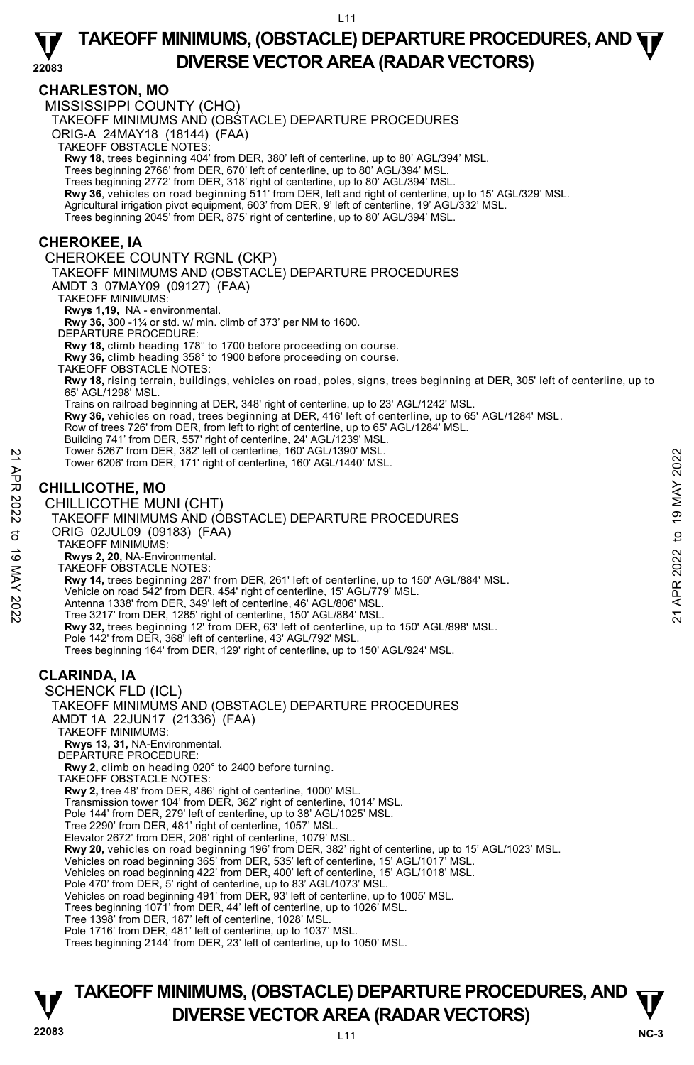# **CHARLESTON, MO**

MISSISSIPPI COUNTY (CHQ)

TAKEOFF MINIMUMS AND (OBSTACLE) DEPARTURE PROCEDURES

ORIG-A 24MAY18 (18144) (FAA)

TAKEOFF OBSTACLE NOTES:

**Rwy 18**, trees beginning 404' from DER, 380' left of centerline, up to 80' AGL/394' MSL.<br>Trees beginning 2766' from DER, 670' left of centerline, up to 80' AGL/394' MSL.

Trees beginning 2772' from DER, 318' right of centerline, up to 80' AGL/394' MSL.

**Rwy 36**, vehicles on road beginning 511' from DER, left and right of centerline, up to 15' AGL/329' MSL.

Agricultural irrigation pivot equipment, 603' from DER, 9' left of centerline, 19' AGL/332' MSL.<br>Trees beginning 2045' from DER, 875' right of centerline, up to 80' AGL/394' MSL.

### **CHEROKEE, IA**

CHEROKEE COUNTY RGNL (CKP) TAKEOFF MINIMUMS AND (OBSTACLE) DEPARTURE PROCEDURES AMDT 3 07MAY09 (09127) (FAA) TAKEOFF MINIMUMS: **Rwys 1,19,** NA - environmental. **Rwy 36,** 300 -1¼ or std. w/ min. climb of 373' per NM to 1600. DEPARTURE PROCEDURE: **Rwy 18,** climb heading 178° to 1700 before proceeding on course. **Rwy 36,** climb heading 358° to 1900 before proceeding on course. TAKEOFF OBSTACLE NOTES: **Rwy 18,** rising terrain, buildings, vehicles on road, poles, signs, trees beginning at DER, 305' left of centerline, up to 65' AGL/1298' MSL. Trains on railroad beginning at DER, 348' right of centerline, up to 23' AGL/1242' MSL.<br>**Rwy 36,** vehicles on road, trees beginning at DER, 416' left of centerline, up to 65' AGL/1284' MSL. Row of trees 726' from DER, from left to right of centerline, up to 65' AGL/1284' MSL. Building 741' from DER, 557' right of centerline, 24' AGL/1239' MSL. Tower 5267' from DER, 382' left of centerline, 160' AGL/1390' MSL. Tower 6206' from DER, 171' right of centerline, 160' AGL/1440' MSL. **CHILLICOTHE, MO**  CHILLICOTHE MUNI (CHT) TAKEOFF MINIMUMS AND (OBSTACLE) DEPARTURE PROCEDURES ORIG 02JUL09 (09183) (FAA) 1 over 526/° from DER, 382' lert of centerline, 160' AGL/1390' MSL.<br>
221 Tower 6206' from DER, 171' right of centerline, 160' AGL/1440' MSL.<br>
221 CHILLICOTHE MUNI (CHT)<br>
22 CHILLICOTHE MUNI (OHT)<br>
22 TAKEOFF MINIMUMS AND

TAKEOFF MINIMUMS:

**Rwys 2, 20,** NA-Environmental. TAKEOFF OBSTACLE NOTES:

**Rwy 14,** trees beginning 287' from DER, 261' left of centerline, up to 150' AGL/884' MSL.

Vehicle on road 542' from DER, 454' right of centerline, 15' AGL/779' MSL.

Antenna 1338' from DER, 349' left of centerline, 46' AGL/806' MSL.

Tree 3217' from DER, 1285' right of centerline, 150' AGL/884' MSL.

**Rwy 32,** trees beginning 12' from DER, 63' left of centerline, up to 150' AGL/898' MSL.

Pole 142' from DER, 368' left of centerline, 43' AGL/792' MSL.

Trees beginning 164' from DER, 129' right of centerline, up to 150' AGL/924' MSL.

# **CLARINDA, IA**

SCHENCK FLD (ICL) TAKEOFF MINIMUMS AND (OBSTACLE) DEPARTURE PROCEDURES AMDT 1A 22JUN17 (21336) (FAA) TAKEOFF MINIMUMS: **Rwys 13, 31,** NA-Environmental. DEPARTURE PROCEDURE **Rwy 2,** climb on heading 020° to 2400 before turning. TAKEOFF OBSTACLE NOTES: **Rwy 2,** tree 48' from DER, 486' right of centerline, 1000' MSL. Transmission tower 104' from DER, 362' right of centerline, 1014' MSL. Pole 144' from DER, 279' left of centerline, up to 38' AGL/1025' MSL. Tree 2290' from DER, 481' right of centerline, 1057' MSL. Elevator 2672' from DER, 206' right of centerline, 1079' MSL. **Rwy 20,** vehicles on road beginning 196' from DER, 382' right of centerline, up to 15' AGL/1023' MSL. Vehicles on road beginning 365' from DER, 535' left of centerline, 15' AGL/1017' MSL. Vehicles on road beginning 422' from DER, 400' left of centerline, 15' AGL/1018' MSL. Pole 470' from DER, 5' right of centerline, up to 83' AGL/1073' MSL. Vehicles on road beginning 491' from DER, 93' left of centerline, up to 1005' MSL. Trees beginning 1071' from DER, 44' left of centerline, up to 1026' MSL. Tree 1398' from DER, 187' left of centerline, 1028' MSL. Pole 1716' from DER, 481' left of centerline, up to 1037' MSL. Trees beginning 2144' from DER, 23' left of centerline, up to 1050' MSL.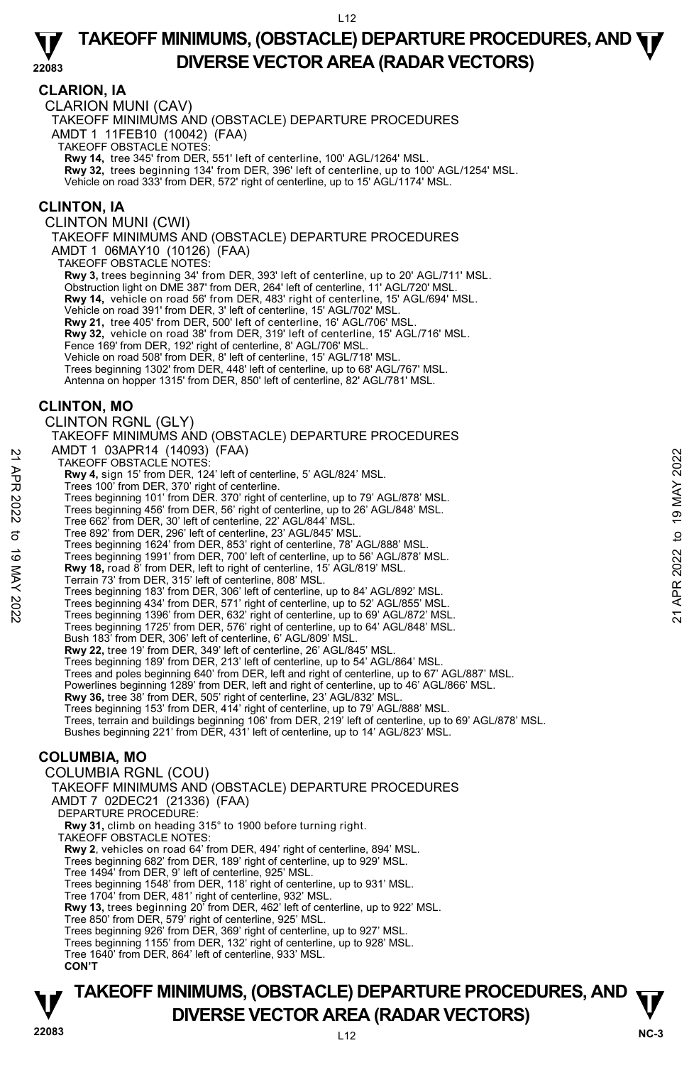#### **CLARION, IA**

CLARION MUNI (CAV)

TAKEOFF MINIMUMS AND (OBSTACLE) DEPARTURE PROCEDURES

AMDT 1 11FEB10 (10042) (FAA)

TAKEOFF OBSTACLE NOTES:

**Rwy 14,** tree 345' from DER, 551' left of centerline, 100' AGL/1264' MSL.

**Rwy 32,** trees beginning 134' from DER, 396' left of centerline, up to 100' AGL/1254' MSL.

Vehicle on road 333' from DER, 572' right of centerline, up to 15' AGL/1174' MSL.

### **CLINTON, IA**

CLINTON MUNI (CWI)

TAKEOFF MINIMUMS AND (OBSTACLE) DEPARTURE PROCEDURES

AMDT 1 06MAY10 (10126) (FAA)

TAKEOFF OBSTACLE NOTES:

**Rwy 3,** trees beginning 34' from DER, 393' left of centerline, up to 20' AGL/711' MSL.

Obstruction light on DME 387' from DER, 264' left of centerline, 11' AGL/720' MSL.

**Rwy 14,** vehicle on road 56' from DER, 483' right of centerline, 15' AGL/694' MSL.

Vehicle on road 391' from DER, 3' left of centerline, 15' AGL/702' MSL.

Rwy 21, tree 405' from DER, 500' left of centerline, 16' AGL/706' MSI **Rwy 32,** vehicle on road 38' from DER, 319' left of centerline, 15' AGL/716' MSL.

Fence 169' from DER, 192' right of centerline, 8' AGL/706' MSL.

Vehicle on road 508' from DER, 8' left of centerline, 15' AGL/718' MSL.

Trees beginning 1302' from DER, 448' left of centerline, up to 68' AGL/767' MSL.

Antenna on hopper 1315' from DER, 850' left of centerline, 82' AGL/781' MSL.

#### **CLINTON, MO**

CLINTON RGNL (GLY)

TAKEOFF MINIMUMS AND (OBSTACLE) DEPARTURE PROCEDURES AMDT 1 03APR14 (14093) (FAA)

TAKEOFF OBSTACLE NOTES:

**Rwy 4,** sign 15' from DER, 124' left of centerline, 5' AGL/824' MSL. Trees 100' from DER, 370' right of centerline.

Trees beginning 101' from DER. 370' right of centerline, up to 79' AGL/878' MSL.

Trees beginning 456' from DER, 56' right of centerline, up to 26' AGL/848' MSL.

Tree 662' from DER, 30' left of centerline, 22' AGL/844' MSL. Tree 892' from DER, 296' left of centerline, 23' AGL/845' MSL.

Trees beginning 1624' from DER, 853' right of centerline, 78' AGL/888' MSL.

Trees beginning 1991' from DER, 700' left of centerline, up to 56' AGL/878' MSL. **Rwy 18,** road 8' from DER, left to right of centerline, 15' AGL/819' MSL.

Terrain 73' from DER, 315' left of centerline, 808' MSL.

Trees beginning 183' from DER, 306' left of centerline, up to 84' AGL/892' MSL.

Trees beginning 434' from DER, 571' right of centerline, up to 52' AGL/855' MSL. Trees beginning 1396' from DER, 632' right of centerline, up to 69' AGL/872' MSL. 21 MWDT I USAP THE (14095) (FAA)<br>
21 TAKEOFF OBSTACLE NOTES:<br> **Rwy 4,** sign 15' from DER, 124' left of centerline, 5' AGL/824' MSL.<br>
Trees 100 from DER 120' right of centerline, up to 79' AGL/878' MSL.<br>
Trees beginning 10

Trees beginning 1725' from DER, 576' right of centerline, up to 64' AGL/848' MSL.

Bush 183' from DER, 306' left of centerline, 6' AGL/809' MSL. **Rwy 22,** tree 19' from DER, 349' left of centerline, 26' AGL/845' MSL.

Trees beginning 189' from DER, 213' left of centerline, up to 54' AGL/864' MSL.

Trees and poles beginning 640' from DER, left and right of centerline, up to 67' AGL/887' MSL.

Powerlines beginning 1289' from DER, left and right of centerline, up to 46' AGL/866' MSL.

**Rwy 36,** tree 38' from DER, 505' right of centerline, 23' AGL/832' MSL.

Trees beginning 153' from DER, 414' right of centerline, up to 79' AGL/888' MSL.

Trees, terrain and buildings beginning 106' from DER, 219' left of centerline, up to 69' AGL/878' MSL.<br>Bushes beginning 221' from DER, 431' left of centerline, up to 14' AGL/823' MSL.

# **COLUMBIA, MO**

COLUMBIA RGNL (COU) TAKEOFF MINIMUMS AND (OBSTACLE) DEPARTURE PROCEDURES AMDT 7 02DEC21 (21336) (FAA) DEPARTURE PROCEDURE: **Rwy 31,** climb on heading 315° to 1900 before turning right. TAKEOFF OBSTACLE NOTES:

**Rwy 2**, vehicles on road 64' from DER, 494' right of centerline, 894' MSL.

Trees beginning 682' from DER, 189' right of centerline, up to 929' MSL.

Tree 1494' from DER, 9' left of centerline, 925' MSL.

Trees beginning 1548' from DER, 118' right of centerline, up to 931' MSL.

Tree 1704' from DER, 481' right of centerline, 932' MSL.

**Rwy 13,** trees beginning 20' from DER, 462' left of centerline, up to 922' MSL.

Tree 850' from DER, 579' right of centerline, 925' MSL.

Trees beginning 926' from DER, 369' right of centerline, up to 927' MSL.

Trees beginning 1155' from DER, 132' right of centerline, up to 928' MSL.

Tree 1640' from DER, 864' left of centerline, 933' MSL.

**CON'T**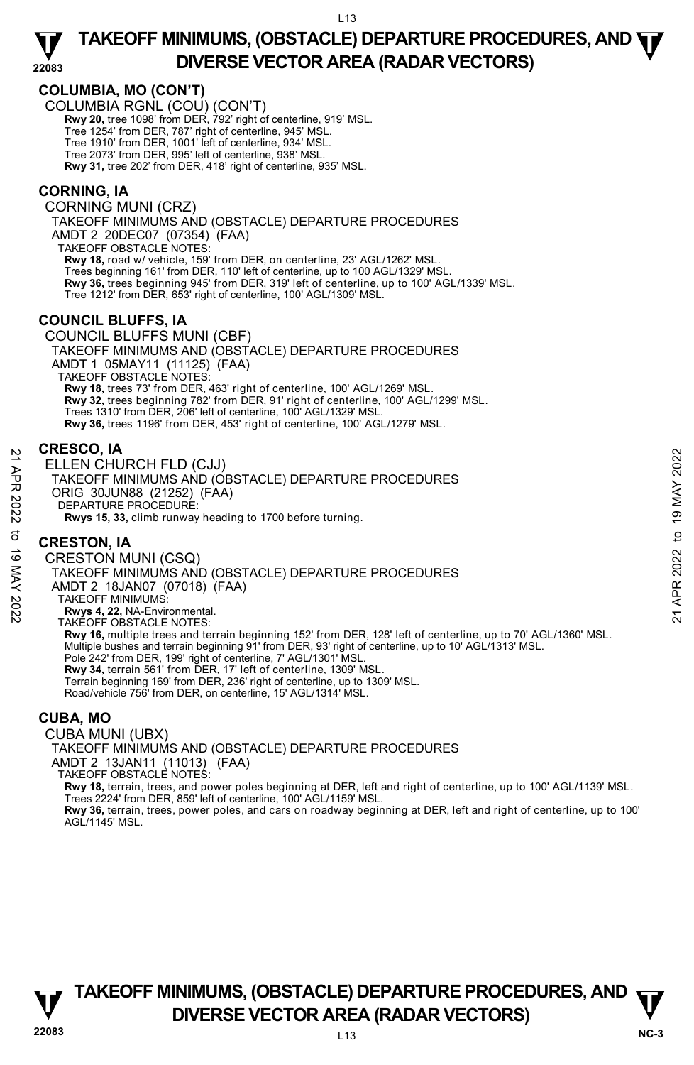# **COLUMBIA, MO (CON'T)**

COLUMBIA RGNL (COU) (CON'T)

**Rwy 20,** tree 1098' from DER, 792' right of centerline, 919' MSL.

Tree 1254' from DER, 787' right of centerline, 945' MSL.

Tree 1910' from DER, 1001' left of centerline, 934' MSL.

Tree 2073' from DER, 995' left of centerline, 938' MSL. **Rwy 31,** tree 202' from DER, 418' right of centerline, 935' MSL.

### **CORNING, IA**

CORNING MUNI (CRZ) TAKEOFF MINIMUMS AND (OBSTACLE) DEPARTURE PROCEDURES AMDT 2 20DEC07 (07354) (FAA) TAKEOFF OBSTACLE NOTES: **Rwy 18,** road w/ vehicle, 159' from DER, on centerline, 23' AGL/1262' MSL. Trees beginning 161' from DER, 110' left of centerline, up to 100 AGL/1329' MSL. **Rwy 36,** trees beginning 945' from DER, 319' left of centerline, up to 100' AGL/1339' MSL.<br>Tree 1212' from DER, 653' right of centerline, 100' AGL/1309' MSL.

### **COUNCIL BLUFFS, IA**

COUNCIL BLUFFS MUNI (CBF) TAKEOFF MINIMUMS AND (OBSTACLE) DEPARTURE PROCEDURES AMDT 1 05MAY11 (11125) (FAA) TAKEOFF OBSTACLE NOTES: **Rwy 18,** trees 73' from DER, 463' right of centerline, 100' AGL/1269' MSL. **Rwy 32,** trees beginning 782' from DER, 91' right of centerline, 100' AGL/1299' MSL. Trees 1310' from DER, 206' left of centerline, 100' AGL/1329' MSL. **Rwy 36,** trees 1196' from DER, 453' right of centerline, 100' AGL/1279' MSL.

#### **CRESCO, IA**

ELLEN CHURCH FLD (CJJ) TAKEOFF MINIMUMS AND (OBSTACLE) DEPARTURE PROCEDURES ORIG 30JUN88 (21252) (FAA) DEPARTURE PROCEDURE: **Rwys 15, 33,** climb runway heading to 1700 before turning.

# **CRESTON, IA**

CRESTON MUNI (CSQ) TAKEOFF MINIMUMS AND (OBSTACLE) DEPARTURE PROCEDURES AMDT 2 18JAN07 (07018) (FAA) TAKEOFF MINIMUMS: **Rwys 4, 22,** NA-Environmental. TAKEOFF OBSTACLE NOTES: **Rwy 16,** multiple trees and terrain beginning 152' from DER, 128' left of centerline, up to 70' AGL/1360' MSL.<br>Multiple bushes and terrain beginning 91' from DER, 93' right of centerline, up to 10' AGL/1313' MSL. Pole 242' from DER, 199' right of centerline, 7' AGL/1301' MSL. **Rwy 34,** terrain 561' from DER, 17' left of centerline, 1309' MSL. Terrain beginning 169' from DER, 236' right of centerline, up to 1309' MSL. Road/vehicle 756' from DER, on centerline, 15' AGL/1314' MSL. 21 **CRESTON, IA**<br>
21 **ELLEN CHURCH FLD (CJJ)**<br>
TAKEOFF MINIMUMS AND (OBSTACLE) DEPARTURE PROCEDURES<br>
ORIG 30JUN88 (21252) (FAA)<br>
DEPARTURE PROCEDURE:<br> **RWS 15, 33**, climb runway heading to 1700 before turning.<br> **CRESTON,** 

# **CUBA, MO**

CUBA MUNI (UBX) TAKEOFF MINIMUMS AND (OBSTACLE) DEPARTURE PROCEDURES AMDT 2 13JAN11 (11013) (FAA) TAKEOFF OBSTACLE NOTES: **Rwy 18,** terrain, trees, and power poles beginning at DER, left and right of centerline, up to 100' AGL/1139' MSL. Trees 2224' from DER, 859' left of centerline, 100' AGL/1159' MSL.

**Rwy 36,** terrain, trees, power poles, and cars on roadway beginning at DER, left and right of centerline, up to 100' AGL/1145' MSL.

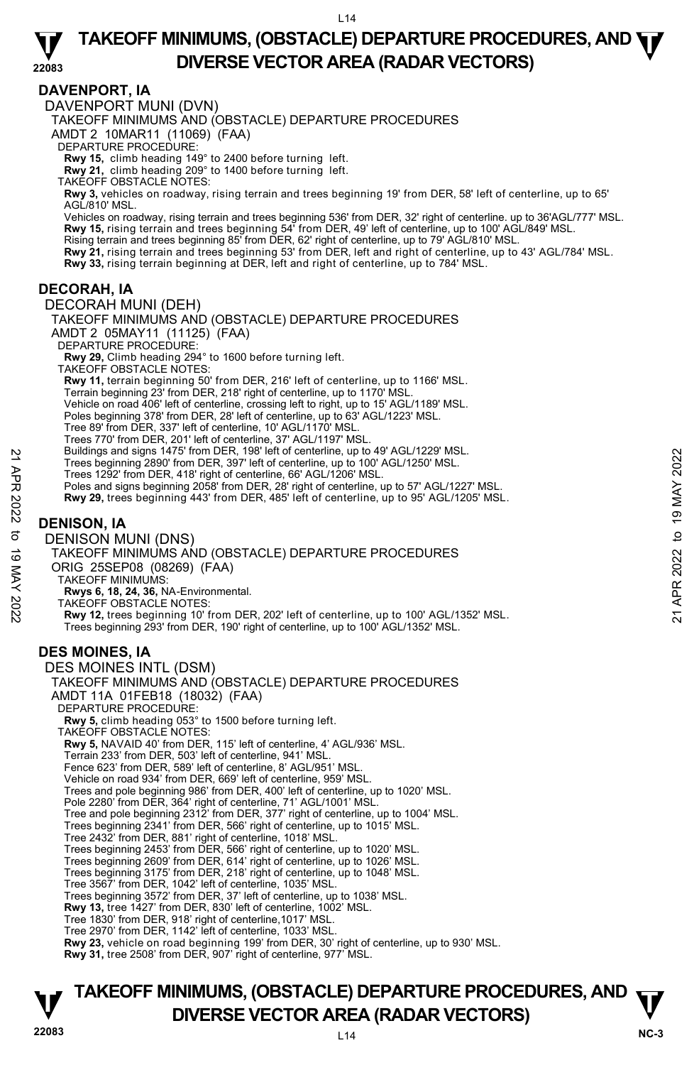### **DAVENPORT, IA**

DAVENPORT MUNI (DVN)

TAKEOFF MINIMUMS AND (OBSTACLE) DEPARTURE PROCEDURES

AMDT 2 10MAR11 (11069) (FAA)

DEPARTURE PROCEDURE:

**Rwy 15,** climb heading 149° to 2400 before turning left. **Rwy 21,** climb heading 209° to 1400 before turning left.

TAKEOFF OBSTACLE NOTES:

**Rwy 3,** vehicles on roadway, rising terrain and trees beginning 19' from DER, 58' left of centerline, up to 65' AGL/810' MSL.

Vehicles on roadway, rising terrain and trees beginning 536' from DER, 32' right of centerline. up to 36'AGL/777' MSL. **Rwy 15,** rising terrain and trees beginning 54' from DER, 49' left of centerline, up to 100' AGL/849' MSL. Rising terrain and trees beginning 85' from DER, 62' right of centerline, up to 79' AGL/810' MSL.<br>**Rwy 21,** rising terrain and trees beginning 53' from DER, left and right of centerline, up to 43' AGL/784' MSL.

**Rwy 33,** rising terrain beginning at DER, left and right of centerline, up to 784' MSL.

#### **DECORAH, IA**

DECORAH MUNI (DEH) TAKEOFF MINIMUMS AND (OBSTACLE) DEPARTURE PROCEDURES AMDT 2 05MAY11 (11125) (FAA) DEPARTURE PROCEDURE: **Rwy 29,** Climb heading 294° to 1600 before turning left. TAKEOFF OBSTACLE NOTES: **Rwy 11,** terrain beginning 50' from DER, 216' left of centerline, up to 1166' MSL. Terrain beginning 23' from DER, 218' right of centerline, up to 1170' MSL. Vehicle on road 406' left of centerline, crossing left to right, up to 15' AGL/1189' MSL. Poles beginning 378' from DER, 28' left of centerline, up to 63' AGL/1223' MSL. Tree 89' from DER, 337' left of centerline, 10' AGL/1170' MSL. Trees 770' from DER, 201' left of centerline, 37' AGL/1197' MSL. Buildings and signs 1475' from DER, 198' left of centerline, up to 49' AGL/1229' MSL. Trees beginning 2890' from DER, 397' left of centerline, up to 100' AGL/1250' MSL. Trees 1292' from DER, 418' right of centerline, 66' AGL/1206' MSL. Poles and signs beginning 2058' from DER, 28' right of centerline, up to 57' AGL/1227' MSL. **Rwy 29,** trees beginning 443' from DER, 485' left of centerline, up to 95' AGL/1205' MSL. **DENISON, IA**  DENISON MUNI (DNS) TAKEOFF MINIMUMS AND (OBSTACLE) DEPARTURE PROCEDURES ORIG 25SEP08 (08269) (FAA) TAKEOFF MINIMUMS: **Rwys 6, 18, 24, 36,** NA-Environmental. TAKEOFF OBSTACLE NOTES: **Rwy 12,** trees beginning 10' from DER, 202' left of centerline, up to 100' AGL/1352' MSL. Trees beginning 293' from DER, 190' right of centerline, up to 100' AGL/1352' MSL. **DES MOINES, IA**  DES MOINES INTL (DSM) TAKEOFF MINIMUMS AND (OBSTACLE) DEPARTURE PROCEDURES AMDT 11A 01FEB18 (18032) (FAA) DEPARTURE PROCEDURE: **Rwy 5,** climb heading 053° to 1500 before turning left. TAKEOFF OBSTACLE NOTES: **Rwy 5,** NAVAID 40' from DER, 115' left of centerline, 4' AGL/936' MSL. Terrain 233' from DER, 503' left of centerline, 941' MSL. Fence 623' from DER, 589' left of centerline, 8' AGL/951' MSL. Vehicle on road 934' from DER, 669' left of centerline, 959' MSL. Trees and pole beginning 986' from DER, 400' left of centerline, up to 1020' MSL. Pole 2280' from DER, 364' right of centerline, 71' AGL/1001' MSL. Tree and pole beginning 2312' from DER, 377' right of centerline, up to 1004' MSL. Trees beginning 2341' from DER, 566' right of centerline, up to 1015' MSL. Tree 2432' from DER, 881' right of centerline, 1018' MSL. Trees beginning 2453' from DER, 566' right of centerline, up to 1020' MSL. Trees beginning 2609' from DER, 614' right of centerline, up to 1026' MSL. 21 Bullidings and signs 1475 from DER, 198' left of centerline, up to 100' AGL/1250' MSL.<br>
Trees beginning 2890' from DER, 397 left of centerline, up to 100' AGL/1250' MSL.<br>
Trees 1292' from DER, 418' right of centerline,

Trees beginning 3175' from DER, 218' right of centerline, up to 1048' MSL. Tree 3567' from DER, 1042' left of centerline, 1035' MSL.

Trees beginning 3572' from DER, 37' left of centerline, up to 1038' MSL.

**Rwy 13,** tree 1427' from DER, 830' left of centerline, 1002' MSL.

Tree 1830' from DER, 918' right of centerline,1017' MSL. Tree 2970' from DER, 1142' left of centerline, 1033' MSL.

**Rwy 23,** vehicle on road beginning 199' from DER, 30' right of centerline, up to 930' MSL.

**Rwy 31,** tree 2508' from DER, 907' right of centerline, 977' MSL.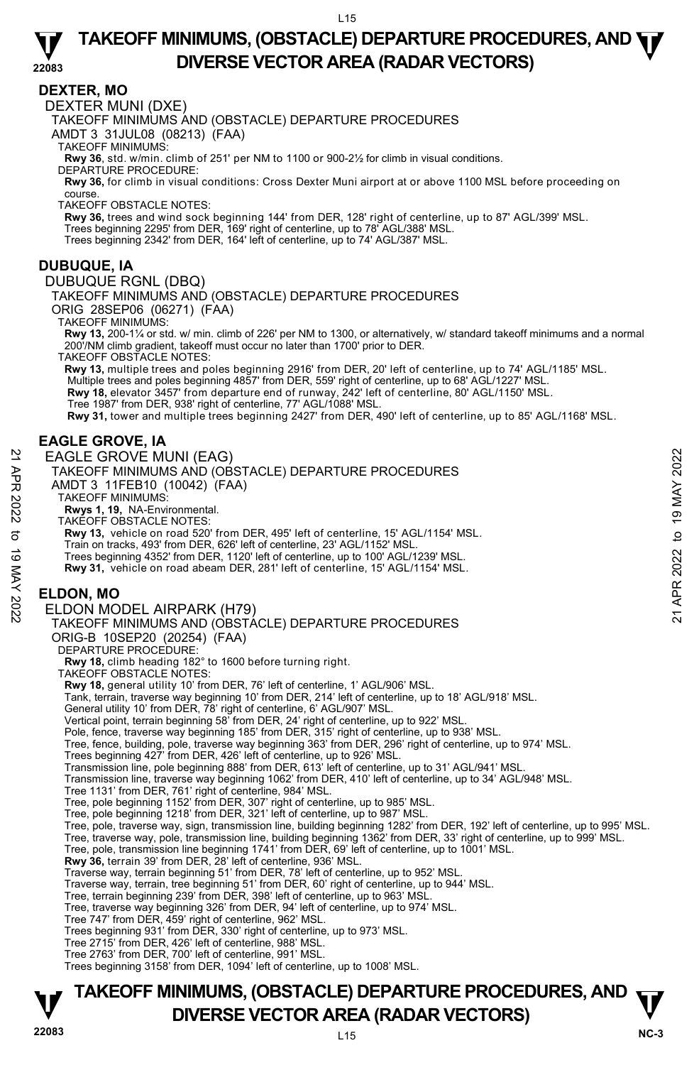#### **22083 TAKEOFF MINIMUMS, (OBSTACLE) DEPARTURE PROCEDURES, AND**  $\Psi$ **DIVERSE VECTOR AREA (RADAR VECTORS)**

#### **DEXTER, MO**

DEXTER MUNI (DXE)

TAKEOFF MINIMUMS AND (OBSTACLE) DEPARTURE PROCEDURES

AMDT 3 31JUL08 (08213) (FAA)

TAKEOFF MINIMUMS:

**Rwy 36**, std. w/min. climb of 251' per NM to 1100 or 900-2½ for climb in visual conditions. DEPARTURE PROCEDURE:

**Rwy 36,** for climb in visual conditions: Cross Dexter Muni airport at or above 1100 MSL before proceeding on course.

TAKEOFF OBSTACLE NOTES:

**Rwy 36,** trees and wind sock beginning 144' from DER, 128' right of centerline, up to 87' AGL/399' MSL. Trees beginning 2295' from DER, 169' right of centerline, up to 78' AGL/388' MSL.

Trees beginning 2342' from DER, 164' left of centerline, up to 74' AGL/387' MSL.

#### **DUBUQUE, IA**

DUBUQUE RGNL (DBQ)

TAKEOFF MINIMUMS AND (OBSTACLE) DEPARTURE PROCEDURES

ORIG 28SEP06 (06271) (FAA)

TAKEOFF MINIMUMS:

**Rwy 13,** 200-1¼ or std. w/ min. climb of 226' per NM to 1300, or alternatively, w/ standard takeoff minimums and a normal 200'/NM climb gradient, takeoff must occur no later than 1700' prior to DER.

TAKEOFF OBSTACLE NOTES:

**Rwy 13,** multiple trees and poles beginning 2916' from DER, 20' left of centerline, up to 74' AGL/1185' MSL. Multiple trees and poles beginning 4857' from DER, 559' right of centerline, up to 68' AGL/1227' MSL. **Rwy 18,** elevator 3457' from departure end of runway, 242' left of centerline, 80' AGL/1150' MSL. Tree 1987' from DER, 938' right of centerline, 77' AGL/1088' MSL.

**Rwy 31,** tower and multiple trees beginning 2427' from DER, 490' left of centerline, up to 85' AGL/1168' MSL.

# **EAGLE GROVE, IA**

EAGLE GROVE MUNI (EAG) TAKEOFF MINIMUMS AND (OBSTACLE) DEPARTURE PROCEDURES

AMDT 3 11FEB10 (10042) (FAA)

TAKEOFF MINIMUMS:

**Rwys 1, 19,** NA-Environmental.

TAKEOFF OBSTACLE NOTES:

**Rwy 13,** vehicle on road 520' from DER, 495' left of centerline, 15' AGL/1154' MSL. EAGLE GROVE MUNI (EAG)<br>
TAKEOFF MINIMUMS AND (OBSTACLE) DEPARTURE PROCEDURES<br>
AND T3 11FEB10 (10042) (FAA)<br>
NAME TAKEOFF MINIMUMS:<br>
TAKEOFF MINIMUMS:<br>
TAKEOFF MINIMUMS:<br>
TAKEOFF MINIMUMS:<br>
TAKEOFF MINIMUMS:<br>
TAKEOFF MINIM

Train on tracks, 493' from DER, 626' left of centerline, 23' AGL/1152' MSL.

Trees beginning 4352' from DER, 1120' left of centerline, up to 100' AGL/1239' MSL.

**Rwy 31,** vehicle on road abeam DER, 281' left of centerline, 15' AGL/1154' MSL.

# **ELDON, MO**

#### ELDON MODEL AIRPARK (H79)

TAKEOFF MINIMUMS AND (OBSTACLE) DEPARTURE PROCEDURES

ORIG-B 10SEP20 (20254) (FAA) DEPARTURE PROCEDURE:

**Rwy 18,** climb heading 182° to 1600 before turning right.

TAKEOFF OBSTACLE NOTES:

**Rwy 18,** general utility 10' from DER, 76' left of centerline, 1' AGL/906' MSL.

Tank, terrain, traverse way beginning 10' from DER, 214' left of centerline, up to 18' AGL/918' MSL.

General utility 10' from DER, 78' right of centerline, 6' AGL/907' MSL.

Vertical point, terrain beginning 58' from DER, 24' right of centerline, up to 922' MSL.

Pole, fence, traverse way beginning 185' from DER, 315' right of centerline, up to 938' MSL.

Tree, fence, building, pole, traverse way beginning 363' from DER, 296' right of centerline, up to 974' MSL.<br>Trees beginning 427' from DER, 426' left of centerline, up to 926' MSL.<br>Transmission line, pole beginning 888' fr

Transmission line, traverse way beginning 1062' from DER, 410' left of centerline, up to 34' AGL/948' MSL.

Tree 1131' from DER, 761' right of centerline, 984' MSL.

Tree, pole beginning 1152' from DER, 307' right of centerline, up to 985' MSL. Tree, pole beginning 1218' from DER, 321' left of centerline, up to 987' MSL.

Tree, pole, traverse way, sign, transmission line, building beginning 1282' from DER, 192' left of centerline, up to 995' MSL.<br>Tree, traverse way, pole, transmission line, building beginning 1362' from DER, 33' right of ce

**Rwy 36,** terrain 39' from DER, 28' left of centerline, 936' MSL.

Traverse way, terrain beginning 51' from DER, 78' left of centerline, up to 952' MSL.

Traverse way, terrain, tree beginning 51' from DER, 60' right of centerline, up to 944' MSL.

Tree, terrain beginning 239' from DER, 398' left of centerline, up to 963' MSL.

Tree, traverse way beginning 326' from DER, 94' left of centerline, up to 974' MSL.

Tree 747' from DER, 459' right of centerline, 962' MSL. Trees beginning 931' from DER, 330' right of centerline, up to 973' MSL.

Tree 2715' from DER, 426' left of centerline, 988' MSL.

Tree 2763' from DER, 700' left of centerline, 991' MSL.

Trees beginning 3158' from DER, 1094' left of centerline, up to 1008' MSL.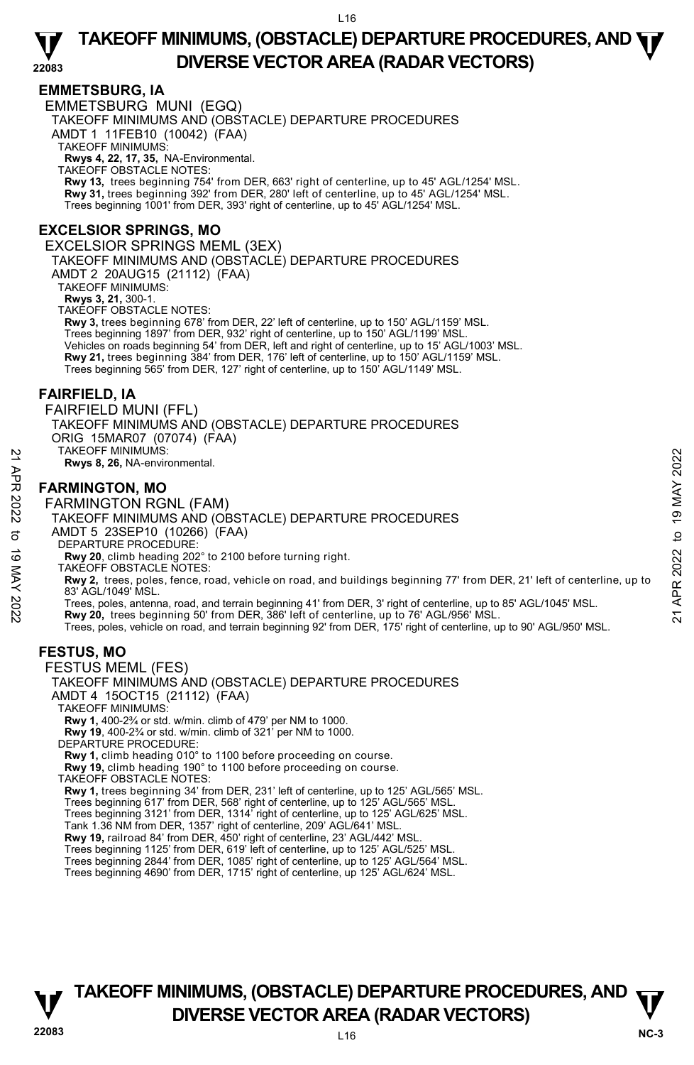### **EMMETSBURG, IA**

**22083**  EMMETSBURG MUNI (EGQ) TAKEOFF MINIMUMS AND (OBSTACLE) DEPARTURE PROCEDURES AMDT 1 11FEB10 (10042) (FAA) TAKEOFF MINIMUMS: **Rwys 4, 22, 17, 35,** NA-Environmental. TAKEOFF OBSTACLE NOTES: **Rwy 13,** trees beginning 754' from DER, 663' right of centerline, up to 45' AGL/1254' MSL. **Rwy 31,** trees beginning 392' from DER, 280' left of centerline, up to 45' AGL/1254' MSL. Trees beginning 1001' from DER, 393' right of centerline, up to 45' AGL/1254' MSL. **EXCELSIOR SPRINGS, MO**  EXCELSIOR SPRINGS MEML (3EX) TAKEOFF MINIMUMS AND (OBSTACLE) DEPARTURE PROCEDURES AMDT 2 20AUG15 (21112) (FAA) TAKEOFF MINIMUMS: **Rwys 3, 21,** 300-1. TAKEOFF OBSTACLE NOTES: **Rwy 3,** trees beginning 678' from DER, 22' left of centerline, up to 150' AGL/1159' MSL.<br>Trees beginning 1897' from DER, 932' right of centerline, up to 150' AGL/1199' MSL. Vehicles on roads beginning 54' from DER, left and right of centerline, up to 15' AGL/1003' MSL. **Rwy 21,** trees beginning 384' from DER, 176' left of centerline, up to 150' AGL/1159' MSL. Trees beginning 565' from DER, 127' right of centerline, up to 150' AGL/1149' MSL. **FAIRFIELD, IA**  FAIRFIELD MUNI (FFL) TAKEOFF MINIMUMS AND (OBSTACLE) DEPARTURE PROCEDURES ORIG 15MAR07 (07074) (FAA) TAKEOFF MINIMUMS: **Rwys 8, 26,** NA-environmental. **FARMINGTON, MO**  FARMINGTON RGNL (FAM) TAKEOFF MINIMUMS AND (OBSTACLE) DEPARTURE PROCEDURES AMDT 5 23SEP10 (10266) (FAA) DEPARTURE PROCEDURE: **Rwy 20**, climb heading 202° to 2100 before turning right. TAKEOFF OBSTACLE NOTES: **Rwy 2,** trees, poles, fence, road, vehicle on road, and buildings beginning 77' from DER, 21' left of centerline, up to 83' AGL/1049' MSL. NEXTRIMINGTON, MO<br>
TARMINGTON, MO<br>
FARMINGTON, MO<br>
FARMINGTON RGNL (FAM)<br>
TAKEOFF MINIMUMS AND (OBSTACLE) DEPARTURE PROCEDURES<br>
TAKEOFF MINIMUMS AND (OBSTACLE) DEPARTURE PROCEDURES<br>
TANG TAY 20, climb heading 202<sup>2</sup> to 21 Trees, poles, vehicle on road, and terrain beginning 92' from DER, 175' right of centerline, up to 90' AGL/950' MSL. **FESTUS, MO**  FESTUS MEML (FES) TAKEOFF MINIMUMS AND (OBSTACLE) DEPARTURE PROCEDURES AMDT 4 15OCT15 (21112) (FAA) TAKEOFF MINIMUMS: **Rwy 1,** 400-2¾ or std. w/min. climb of 479' per NM to 1000. **Rwy 19**, 400-2¾ or std. w/min. climb of 321' per NM to 1000. DEPARTURE PROCEDURE: **Rwy 1,** climb heading 010° to 1100 before proceeding on course. **Rwy 19,** climb heading 190° to 1100 before proceeding on course. TAKEOFF OBSTACLE NOTES: **Rwy 1,** trees beginning 34' from DER, 231' left of centerline, up to 125' AGL/565' MSL. Trees beginning 617' from DER, 568' right of centerline, up to 125' AGL/565' MSL. Trees beginning 3121' from DER, 1314' right of centerline, up to 125' AGL/625' MSL. Tank 1.36 NM from DER, 1357' right of centerline, 209' AGL/641' MSL. **Rwy 19,** railroad 84' from DER, 450' right of centerline, 23' AGL/442' MSL. Trees beginning 1125' from DER, 619' left of centerline, up to 125' AGL/525' MSL. Trees beginning 2844' from DER, 1085' right of centerline, up to 125' AGL/564' MSL.

Trees beginning 4690' from DER, 1715' right of centerline, up 125' AGL/624' MSL.

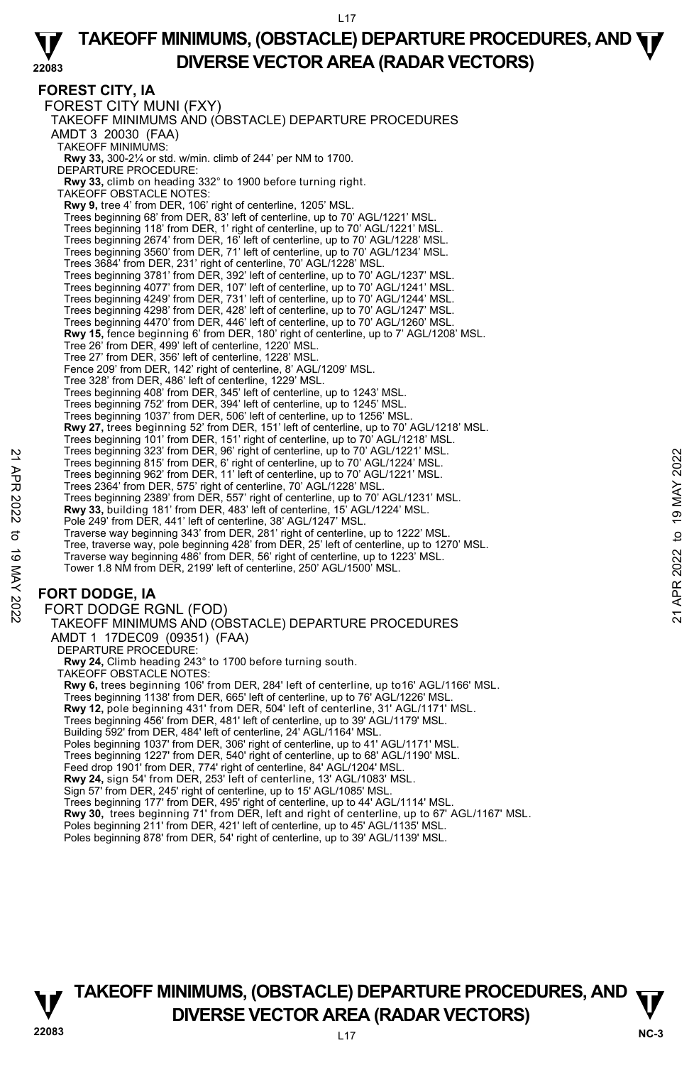#### **22083 TAKEOFF MINIMUMS, (OBSTACLE) DEPARTURE PROCEDURES, AND**  $\Psi$ **DIVERSE VECTOR AREA (RADAR VECTORS)**

**FOREST CITY, IA**  FOREST CITY MUNI (FXY) TAKEOFF MINIMUMS AND (OBSTACLE) DEPARTURE PROCEDURES AMDT 3 20030 (FAA) TAKEOFF MINIMUMS: **Rwy 33,** 300-2¼ or std. w/min. climb of 244' per NM to 1700. DEPARTURE PROCEDURE: **Rwy 33,** climb on heading 332° to 1900 before turning right. TAKEOFF OBSTACLE NOTES: **Rwy 9,** tree 4' from DER, 106' right of centerline, 1205' MSL. Trees beginning 68' from DER, 83' left of centerline, up to 70' AGL/1221' MSL. Trees beginning 118' from DER, 1' right of centerline, up to 70' AGL/1221' MSL. Trees beginning 2674' from DER, 16' left of centerline, up to 70' AGL/1228' MSL. Trees beginning 3560' from DER, 71' left of centerline, up to 70' AGL/1234' MSL. Trees 3684' from DER, 231' right of centerline, 70' AGL/1228' MSL. Trees beginning 3781' from DER, 392' left of centerline, up to 70' AGL/1237' MSL. Trees beginning 4077' from DER, 107' left of centerline, up to 70' AGL/1241' MSL. Trees beginning 4249' from DER, 731' left of centerline, up to 70' AGL/1244' MSL. Trees beginning 4298' from DER, 428' left of centerline, up to 70' AGL/1247' MSL. Trees beginning 4470' from DER, 446' left of centerline, up to 70' AGL/1260' MSL.<br>**Rwy 15,** fence beginning 6' from DER, 180' right of centerline, up to 7' AGL/1208' MSL. Tree 26' from DER, 499' left of centerline, 1220' MSL. Tree 27' from DER, 356' left of centerline, 1228' MSL. Fence 209' from DER, 142' right of centerline, 8' AGL/1209' MSL. Tree 328' from DER, 486' left of centerline, 1229' MSL. Trees beginning 408' from DER, 345' left of centerline, up to 1243' MSL. Trees beginning 752' from DER, 394' left of centerline, up to 1245' MSL. Trees beginning 1037' from DER, 506' left of centerline, up to 1256' MSL. **Rwy 27,** trees beginning 52' from DER, 151' left of centerline, up to 70' AGL/1218' MSL. Trees beginning 101' from DER, 151' right of centerline, up to 70' AGL/1218' MSL. Trees beginning 323' from DER, 96' right of centerline, up to 70' AGL/1221' MSL. Trees beginning 815' from DER, 6' right of centerline, up to 70' AGL/1224' MSL. Trees beginning 962' from DER, 11' left of centerline, up to 70' AGL/1221' MSL. Trees 2364' from DER, 575' right of centerline, 70' AGL/1228' MSL. Trees beginning 2389' from DER, 557' right of centerline, up to 70' AGL/1231' MSL. **Rwy 33,** building 181' from DER, 483' left of centerline, 15' AGL/1224' MSL. Pole 249' from DER, 441' left of centerline, 38' AGL/1247' MSL. Traverse way beginning 343' from DER, 281' right of centerline, up to 1222' MSL. Tree, traverse way, pole beginning 428' from DER, 25' left of centerline, up to 1270' MSL. Traverse way beginning 486' from DER, 56' right of centerline, up to 1223' MSL. Tower 1.8 NM from DER, 2199' left of centerline, 250' AGL/1500' MSL. **FORT DODGE, IA**  FORT DODGE RGNL (FOD) TAKEOFF MINIMUMS AND (OBSTACLE) DEPARTURE PROCEDURES AMDT 1 17DEC09 (09351) (FAA) DEPARTURE PROCEDURE **Rwy 24,** Climb heading 243° to 1700 before turning south. Trees beginning 323' from DER, 9° right of centerline, up to 70' AGL/1221' MSL.<br>
Trees beginning 815' from DER, 6° right of centerline, up to 70' AGL/1221' MSL.<br>
Trees 20364' from DER, 57' right of centerline, up to 70' A

TAKEOFF OBSTACLE NOTES:

**Rwy 6,** trees beginning 106' from DER, 284' left of centerline, up to16' AGL/1166' MSL.

Trees beginning 1138' from DER, 665' left of centerline, up to 76' AGL/1226' MSL.

**Rwy 12,** pole beginning 431' from DER, 504' left of centerline, 31' AGL/1171' MSL.

Trees beginning 456' from DER, 481' left of centerline, up to 39' AGL/1179' MSL.

Building 592' from DER, 484' left of centerline, 24' AGL/1164' MSL.

Poles beginning 1037' from DER, 306' right of centerline, up to 41' AGL/1171' MSL.

Trees beginning 1227' from DER, 540' right of centerline, up to 68' AGL/1190' MSL. Feed drop 1901' from DER, 774' right of centerline, 84' AGL/1204' MSL.

**Rwy 24,** sign 54' from DER, 253' left of centerline, 13' AGL/1083' MSL.

Sign 57' from DER, 245' right of centerline, up to 15' AGL/1085' MSL.

Trees beginning 177' from DER, 495' right of centerline, up to 44' AGL/1114' MSL.<br>**Rwy 30,** trees beginning 71' from DER, left and right of centerline, up to 67' AGL/1167' MSL.

Poles beginning 211' from DER, 421' left of centerline, up to 45' AGL/1135' MSL.

Poles beginning 878' from DER, 54' right of centerline, up to 39' AGL/1139' MSL.

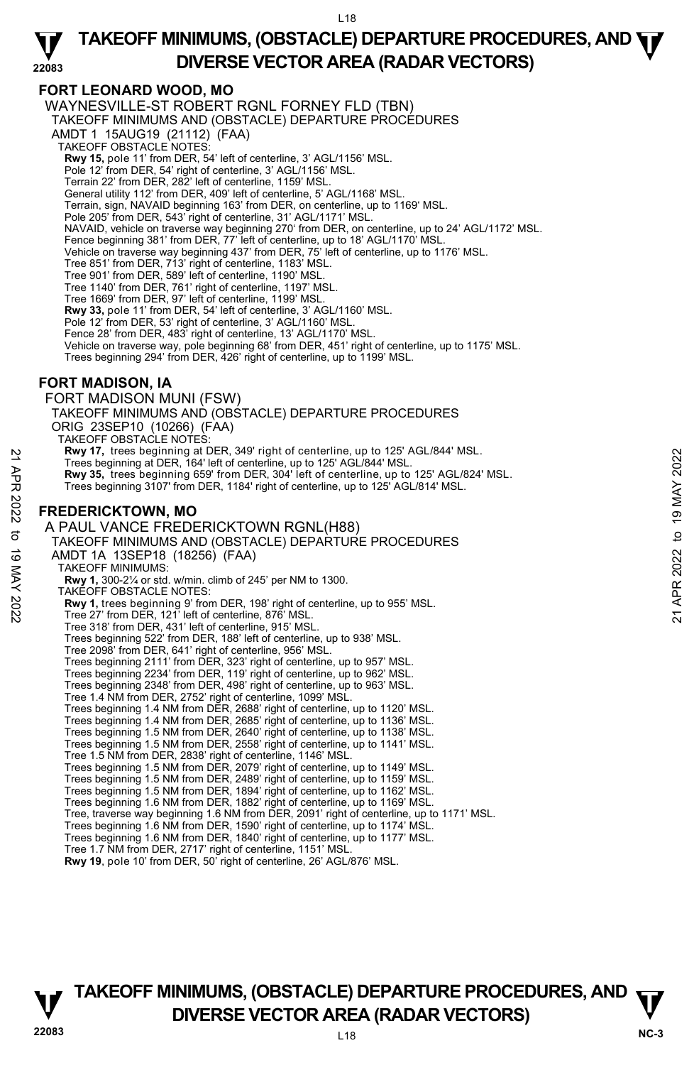#### **22083 TAKEOFF MINIMUMS, (OBSTACLE) DEPARTURE PROCEDURES, AND**  $\Psi$ **DIVERSE VECTOR AREA (RADAR VECTORS)**

# **FORT LEONARD WOOD, MO**

WAYNESVILLE-ST ROBERT RGNL FORNEY FLD (TBN) TAKEOFF MINIMUMS AND (OBSTACLE) DEPARTURE PROCEDURES AMDT 1 15AUG19 (21112) (FAA) TAKEOFF OBSTACLE NOTES: **Rwy 15,** pole 11' from DER, 54' left of centerline, 3' AGL/1156' MSL. Pole 12' from DER, 54' right of centerline, 3' AGL/1156' MSL. Terrain 22' from DER, 282' left of centerline, 1159' MSL. General utility 112' from DER, 409' left of centerline, 5' AGL/1168' MSL. Terrain, sign, NAVAID beginning 163' from DER, on centerline, up to 1169' MSL. Pole 205' from DER, 543' right of centerline, 31' AGL/1171' MSL. NAVAID, vehicle on traverse way beginning 270' from DER, on centerline, up to 24' AGL/1172' MSL. Fence beginning 381' from DER, 77' left of centerline, up to 18' AGL/1170' MSL. Vehicle on traverse way beginning 437' from DER, 75' left of centerline, up to 1176' MSL. Tree 851' from DER, 713' right of centerline, 1183' MSL. Tree 901' from DER, 589' left of centerline, 1190' MSL. Tree 1140' from DER, 761' right of centerline, 1197' MSL. Tree 1669' from DER, 97' left of centerline, 1199' MSL. **Rwy 33,** pole 11' from DER, 54' left of centerline, 3' AGL/1160' MSL. Pole 12' from DER, 53' right of centerline, 3' AGL/1160' MSL. Fence 28' from DER, 483' right of centerline, 13' AGL/1170' MSL. Vehicle on traverse way, pole beginning 68' from DER, 451' right of centerline, up to 1175' MSL. Trees beginning 294' from DER, 426' right of centerline, up to 1199' MSL. **FORT MADISON, IA**  FORT MADISON MUNI (FSW) TAKEOFF MINIMUMS AND (OBSTACLE) DEPARTURE PROCEDURES ORIG 23SEP10 (10266) (FAA) TAKEOFF OBSTACLE NOTES: **Rwy 17,** trees beginning at DER, 349' right of centerline, up to 125' AGL/844' MSL. Trees beginning at DER, 164' left of centerline, up to 125' AGL/844' MSL. **Rwy 35,** trees beginning 659' from DER, 304' left of centerline, up to 125' AGL/824' MSL. Trees beginning 3107' from DER, 1184' right of centerline, up to 125' AGL/814' MSL. **FREDERICKTOWN, MO**  A PAUL VANCE FREDERICKTOWN RGNL(H88) TAKEOFF MINIMUMS AND (OBSTACLE) DEPARTURE PROCEDURES AMDT 1A 13SEP18 (18256) (FAA) TAKEOFF MINIMUMS: **Rwy 1,** 300-2¼ or std. w/min. climb of 245' per NM to 1300. TAKEOFF OBSTACLE NOTES: **Rwy 1,** trees beginning 9' from DER, 198' right of centerline, up to 955' MSL.<br>Tree 27' from DER, 121' left of centerline, 876' MSL. Tree 318' from DER, 431' left of centerline, 915' MSL. Trees beginning 522' from DER, 188' left of centerline, up to 938' MSL. Tree 2098' from DER, 641' right of centerline, 956' MSL. Trees beginning 2111' from DER, 323' right of centerline, up to 957' MSL. Trees beginning 2234' from DER, 119' right of centerline, up to 962' MSL. Trees beginning 2348' from DER, 498' right of centerline, up to 963' MSL. Tree 1.4 NM from DER, 2752' right of centerline, 1099' MSL. Trees beginning 1.4 NM from DER, 2688' right of centerline, up to 1120' MSL. Trees beginning 1.4 NM from DER, 2685' right of centerline, up to 1136' MSL. Trees beginning 1.5 NM from DER, 2640' right of centerline, up to 1138' MSL. Trees beginning 1.5 NM from DER, 2558' right of centerline, up to 1141' MSL. Tree 1.5 NM from DER, 2838' right of centerline, 1146' MSL. Trees beginning 1.5 NM from DER, 2079' right of centerline, up to 1149' MSL. Trees beginning 1.5 NM from DER, 2489' right of centerline, up to 1159' MSL. Trees beginning 1.5 NM from DER, 1894' right of centerline, up to 1162' MSL. Trees beginning 1.6 NM from DER, 1882' right of centerline, up to 1169' MSL.<br>Tree, traverse way beginning 1.6 NM from DER, 2091' right of centerline, up to 1171' MSL. Trees beginning 1.6 NM from DER, 1590' right of centerline, up to 1174' MSL. Trees beginning 1.6 NM from DER, 1840' right of centerline, up to 1177' MSL. Tree 1.7 NM from DER, 2717' right of centerline, 1151' MSL. **Rwy 19**, pole 10' from DER, 50' right of centerline, 26' AGL/876' MSL. Press beginning at DER, 184' left of center ine, up to 125' AGL/844' MSL.<br>
Trees beginning at DER, 184' left of centerline, up to 125' AGL/844' MSL.<br>
Trees beginning 3107' from DER, 194' right of centerline, up to 125' AG

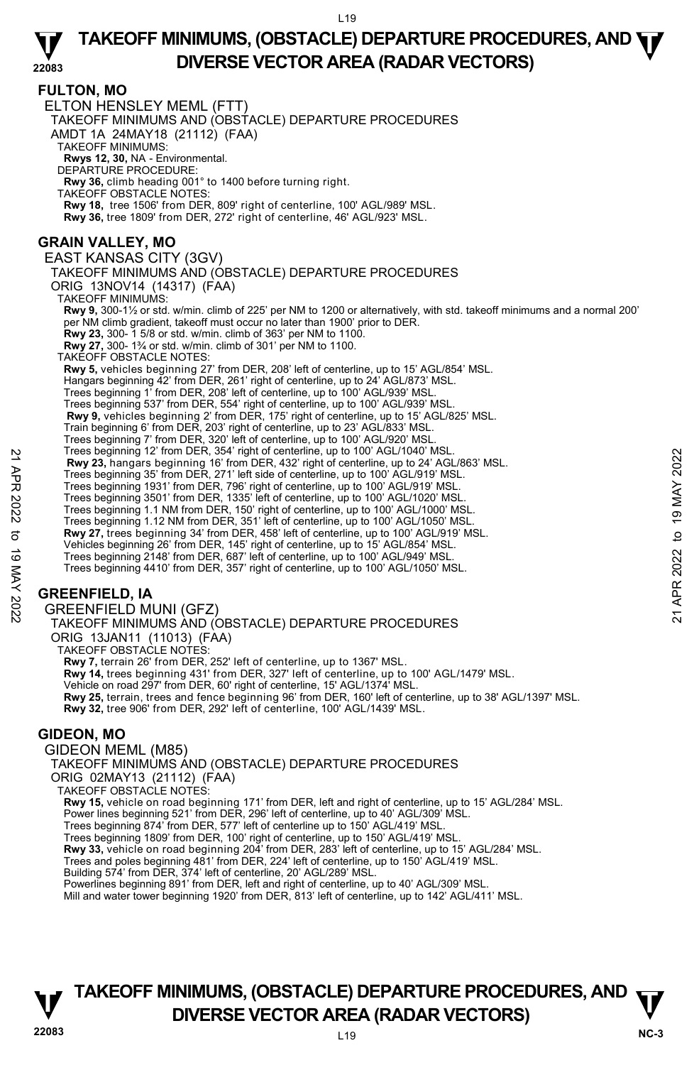# **FULTON, MO**

ELTON HENSLEY MEML (FTT) TAKEOFF MINIMUMS AND (OBSTACLE) DEPARTURE PROCEDURES AMDT 1A 24MAY18 (21112) (FAA) TAKEOFF MINIMUMS: **Rwys 12, 30,** NA - Environmental. DEPARTURE PROCEDURE: **Rwy 36,** climb heading 001° to 1400 before turning right. TAKEOFF OBSTACLE NOTES: **Rwy 18,** tree 1506' from DER, 809' right of centerline, 100' AGL/989' MSL. **Rwy 36,** tree 1809' from DER, 272' right of centerline, 46' AGL/923' MSL. **GRAIN VALLEY, MO**  EAST KANSAS CITY (3GV) TAKEOFF MINIMUMS AND (OBSTACLE) DEPARTURE PROCEDURES ORIG 13NOV14 (14317) (FAA) TAKEOFF MINIMUMS: **Rwy 9,** 300-1½ or std. w/min. climb of 225' per NM to 1200 or alternatively, with std. takeoff minimums and a normal 200' per NM climb gradient, takeoff must occur no later than 1900' prior to DER.<br>**Rwy 23,** 300- 1*5/8* or std. w/min. climb of 363' per NM to 1100.<br>**Rwy 27,** 300- 1¾ or std. w/min. climb of 301' per NM to 1100. TAKEOFF OBSTACLE NOTES: **Rwy 5,** vehicles beginning 27' from DER, 208' left of centerline, up to 15' AGL/854' MSL. Hangars beginning 42' from DER, 261' right of centerline, up to 24' AGL/873' MSL. Trees beginning 1' from DER, 208' left of centerline, up to 100' AGL/939' MSL. Trees beginning 537' from DER, 554' right of centerline, up to 100' AGL/939' MSL. **Rwy 9,** vehicles beginning 2' from DER, 175' right of centerline, up to 15' AGL/825' MSL. Train beginning 6' from DER, 203' right of centerline, up to 23' AGL/833' MSL. Trees beginning 7' from DER, 320' left of centerline, up to 100' AGL/920' MSL. Trees beginning 12' from DER, 354' right of centerline, up to 100' AGL/1040' MSL. **Rwy 23,** hangars beginning 16' from DER, 432' right of centerline, up to 24' AGL/863' MSL. Trees beginning 35' from DER, 271' left side of centerline, up to 100' AGL/919' MSL. Trees beginning 1931' from DER, 796' right of centerline, up to 100' AGL/919' MSL. Trees beginning 3501' from DER, 1335' left of centerline, up to 100' AGL/1020' MSL. Trees beginning 1.1 NM from DER, 150' right of centerline, up to 100' AGL/1000' MSL. Trees beginning 1.12 NM from DER, 351' left of centerline, up to 100' AGL/1050' MSL **Rwy 27,** trees beginning 34' from DER, 458' left of centerline, up to 100' AGL/919' MSL. Vehicles beginning 26' from DER, 145' right of centerline, up to 15' AGL/854' MSL. Trees beginning 2148' from DER, 687' left of centerline, up to 100' AGL/949' MSL. Trees beginning 4410' from DER, 357' right of centerline, up to 100' AGL/1050' MSL. **GREENFIELD, IA**  GREENFIELD MUNI (GFZ) TAKEOFF MINIMUMS AND (OBSTACLE) DEPARTURE PROCEDURES ORIG 13JAN11 (11013) (FAA) TAKEOFF OBSTACLE NOTES: **Rwy 7,** terrain 26' from DER, 252' left of centerline, up to 1367' MSL. **Rwy 14,** trees beginning 431' from DER, 327' left of centerline, up to 100' AGL/1479' MSL. Vehicle on road 297' from DER, 60' right of centerline, 15' AGL/1374' MSL. **Rwy 25,** terrain, trees and fence beginning 96' from DER, 160' left of centerline, up to 38' AGL/1397' MSL. **Rwy 32,** tree 906' from DER, 292' left of centerline, 100' AGL/1439' MSL. **GIDEON, MO**  GIDEON MEML (M85) TAKEOFF MINIMUMS AND (OBSTACLE) DEPARTURE PROCEDURES ORIG 02MAY13 (21112) (FAA) **Example 12 Trees beginning 13** Form DER, 332 right of centerline, up to 24' AGL/863' MSL.<br> **Example 19 APP 12 Trees beginning 35' from DER**, 271' left side of centerline, up to 20' AGL/819' MSL.<br>
Trees beginning 1351' fr

TAKEOFF OBSTACLE NOTES:

**Rwy 15,** vehicle on road beginning 171' from DER, left and right of centerline, up to 15' AGL/284' MSL.<br>Power lines beginning 521' from DER, 296' left of centerline, up to 40' AGL/309' MSL.

Trees beginning 874' from DER, 577' left of centerline up to 150' AGL/419' MSL.

Trees beginning 1809' from DER, 100' right of centerline, up to 150' AGL/419' MSL.<br>**Rwy 33,** vehicle on road beginning 204' from DER, 283' left of centerline, up to 15' AGL/284' MSL.

Trees and poles beginning 481' from DER, 224' left of centerline, up to 150' AGL/419' MSL.

Building 574' from DER, 374' left of centerline, 20' AGL/289' MSL.

Powerlines beginning 891' from DER, left and right of centerline, up to 40' AGL/309' MSL.

Mill and water tower beginning 1920' from DER, 813' left of centerline, up to 142' AGL/411' MSL.

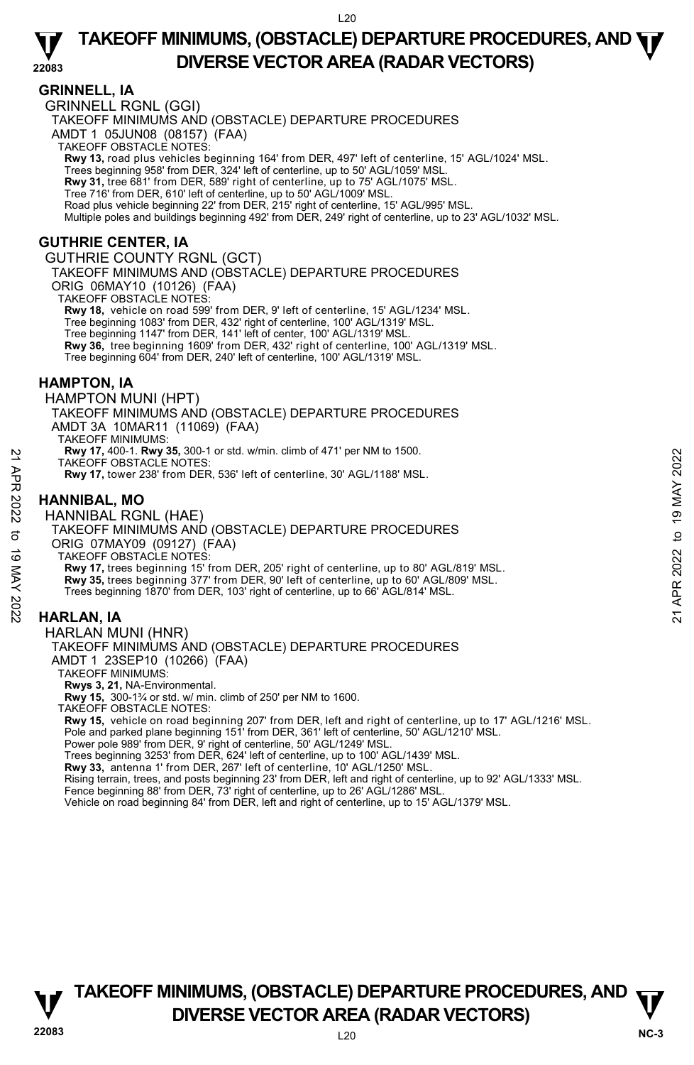### **GRINNELL, IA**

GRINNELL RGNL (GGI) TAKEOFF MINIMUMS AND (OBSTACLE) DEPARTURE PROCEDURES AMDT 1 05JUN08 (08157) (FAA) TAKEOFF OBSTACLE NOTES: **Rwy 13,** road plus vehicles beginning 164' from DER, 497' left of centerline, 15' AGL/1024' MSL.<br>Trees beginning 958' from DER, 324' left of centerline, up to 50' AGL/1059' MSL. **Rwy 31,** tree 681' from DER, 589' right of centerline, up to 75' AGL/1075' MSL. Tree 716' from DER, 610' left of centerline, up to 50' AGL/1009' MSL. Road plus vehicle beginning 22' from DER, 215' right of centerline, 15' AGL/995' MSL. Multiple poles and buildings beginning 492' from DER, 249' right of centerline, up to 23' AGL/1032' MSL. **GUTHRIE CENTER, IA**  GUTHRIE COUNTY RGNL (GCT) TAKEOFF MINIMUMS AND (OBSTACLE) DEPARTURE PROCEDURES ORIG 06MAY10 (10126) (FAA) TAKEOFF OBSTACLE NOTES: **Rwy 18,** vehicle on road 599' from DER, 9' left of centerline, 15' AGL/1234' MSL. Tree beginning 1083' from DER, 432' right of centerline, 100' AGL/1319' MSL. Tree beginning 1147' from DER, 141' left of center, 100' AGL/1319' MSL. **Rwy 36,** tree beginning 1609' from DER, 432' right of centerline, 100' AGL/1319' MSL. Tree beginning 604' from DER, 240' left of centerline, 100' AGL/1319' MSL. **HAMPTON, IA**  HAMPTON MUNI (HPT) TAKEOFF MINIMUMS AND (OBSTACLE) DEPARTURE PROCEDURES AMDT 3A 10MAR11 (11069) (FAA) TAKEOFF MINIMUMS: **Rwy 17,** 400-1. **Rwy 35,** 300-1 or std. w/min. climb of 471' per NM to 1500. TAKEOFF OBSTACLE NOTES: **Rwy 17,** tower 238' from DER, 536' left of centerline, 30' AGL/1188' MSL. **HANNIBAL, MO**  HANNIBAL RGNL (HAE) TAKEOFF MINIMUMS AND (OBSTACLE) DEPARTURE PROCEDURES New 17, 400-1. Kwy 35, 300-1 or sta. wmin. climb of 4/1' per NM to 1500.<br>
TAKEOFF OBSTACLE NOTES:<br>
Rwy 17, tower 238' from DER, 536' left of centerline, 30' AGL/1188' MSL.<br>
HANNIBAL, MO<br>
HANNIBAL, RGNL (HAE)<br>
TAKEOFF MINI

ORIG 07MAY09 (09127) (FAA)

TAKEOFF OBSTACLE NOTES: **Rwy 17,** trees beginning 15' from DER, 205' right of centerline, up to 80' AGL/819' MSL. **Rwy 35,** trees beginning 377' from DER, 90' left of centerline, up to 60' AGL/809' MSL. Trees beginning 1870' from DER, 103' right of centerline, up to 66' AGL/814' MSL.

# **HARLAN, IA**

#### HARLAN MUNI (HNR)

# TAKEOFF MINIMUMS AND (OBSTACLE) DEPARTURE PROCEDURES

AMDT 1 23SEP10 (10266) (FAA)

TAKEOFF MINIMUMS:

**Rwys 3, 21,** NA-Environmental.

**Rwy 15,** 300-1¾ or std. w/ min. climb of 250' per NM to 1600.

TAKEOFF OBSTACLE NOTES:

**Rwy 15,** vehicle on road beginning 207' from DER, left and right of centerline, up to 17' AGL/1216' MSL. <br>Pole and parked plane beginning 151' from DER, 361' left of centerline, 50' AGL/1210' MSL. Power pole 989' from DER, 9' right of centerline, 50' AGL/1249' MSL.

Trees beginning 3253' from DER, 624' left of centerline, up to 100' AGL/1439' MSL.

**Rwy 33,** antenna 1' from DER, 267' left of centerline, 10' AGL/1250' MSL.

Rising terrain, trees, and posts beginning 23' from DER, left and right of centerline, up to 92' AGL/1333' MSL. Fence beginning 88' from DER, 73' right of centerline, up to 26' AGL/1286' MSL.

Vehicle on road beginning 84' from DER, left and right of centerline, up to 15' AGL/1379' MSL.

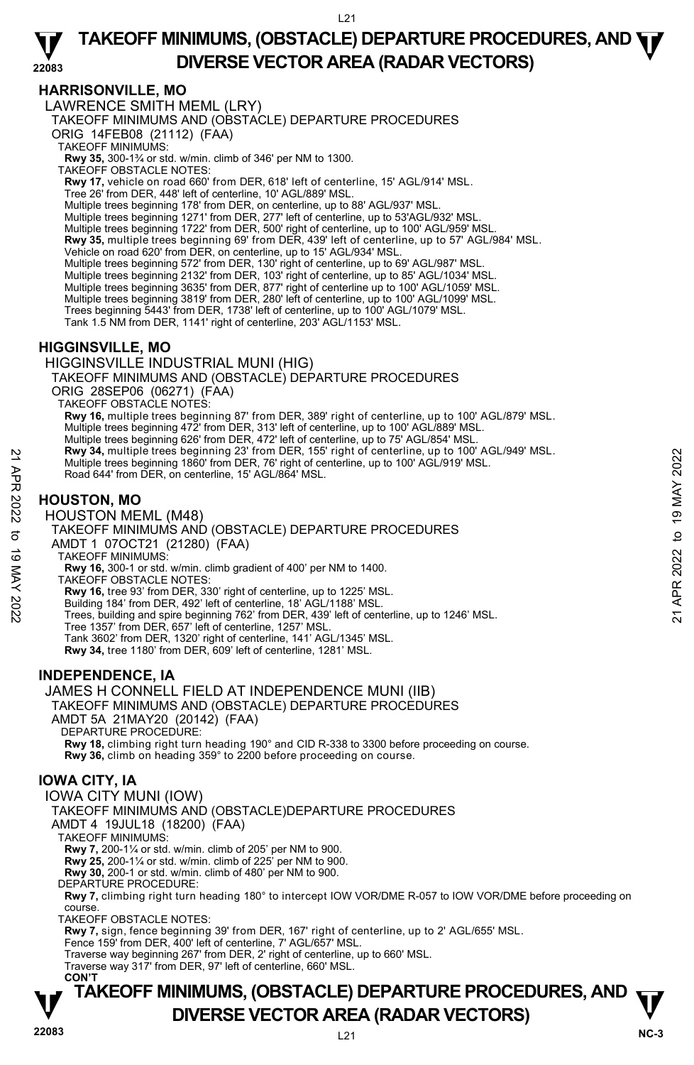#### **22083 TAKEOFF MINIMUMS, (OBSTACLE) DEPARTURE PROCEDURES, AND**  $\Psi$ **DIVERSE VECTOR AREA (RADAR VECTORS)**

# **HARRISONVILLE, MO**

LAWRENCE SMITH MEML (LRY)

TAKEOFF MINIMUMS AND (OBSTACLE) DEPARTURE PROCEDURES

ORIG 14FEB08 (21112) (FAA)

TAKEOFF MINIMUMS:

**Rwy 35,** 300-1¾ or std. w/min. climb of 346' per NM to 1300.<br>TAKEOFF OBSTACLE NOTES:

**Rwy 17,** vehicle on road 660' from DER, 618' left of centerline, 15' AGL/914' MSL.

Tree 26' from DER, 448' left of centerline, 10' AGL/889' MSL.

Multiple trees beginning 178' from DER, on centerline, up to 88' AGL/937' MSL.

Multiple trees beginning 1271' from DER, 277' left of centerline, up to 53'AGL/932' MSL.

Multiple trees beginning 1722' from DER, 500' right of centerline, up to 100' AGL/959' MSL.

**Rwy 35,** multiple trees beginning 69' from DER, 439' left of centerline, up to 57' AGL/984' MSL.

Vehicle on road 620' from DER, on centerline, up to 15' AGL/934' MSL.

Multiple trees beginning 572' from DER, 130' right of centerline, up to 69' AGL/987' MSL.

Multiple trees beginning 2132' from DER, 103' right of centerline, up to 85' AGL/1034' MSL. Multiple trees beginning 3635' from DER, 877' right of centerline up to 100' AGL/1059' MSL.

Multiple trees beginning 3819' from DER, 280' left of centerline, up to 100' AGL/1099' MSL.

Trees beginning 5443' from DER, 1738' left of centerline, up to 100' AGL/1079' MSL.

Tank 1.5 NM from DER, 1141' right of centerline, 203' AGL/1153' MSL.

# **HIGGINSVILLE, MO**

HIGGINSVILLE INDUSTRIAL MUNI (HIG)

TAKEOFF MINIMUMS AND (OBSTACLE) DEPARTURE PROCEDURES

ORIG 28SEP06 (06271) (FAA)

TAKEOFF OBSTACLE NOTES:

**Rwy 16,** multiple trees beginning 87' from DER, 389' right of centerline, up to 100' AGL/879' MSL. Multiple trees beginning 472' from DER, 313' left of centerline, up to 100' AGL/889' MSL. Multiple trees beginning 626' from DER, 472' left of centerline, up to 75' AGL/854' MSL. **Rwy 34,** multiple trees beginning 23' from DER, 155' right of centerline, up to 100' AGL/949' MSL.

Multiple trees beginning 1860' from DER, 76' right of centerline, up to 100' AGL/919' MSL.

Road 644' from DER, on centerline, 15' AGL/864' MSL.

# **HOUSTON, MO**

HOUSTON MEML (M48)

TAKEOFF MINIMUMS AND (OBSTACLE) DEPARTURE PROCEDURES AMDT 1 07OCT21 (21280) (FAA) TAKEOFF MINIMUMS:  **Rwy 16,** 300-1 or std. w/min. climb gradient of 400' per NM to 1400. 21<br>
22 Mwitiple trees beginning 28° from DER, 76' right of centerline, up to 100' AGL/919' MSL.<br>
22 Road 644' from DER, on centerline, 15' AGL/864' MSL.<br>
23 **HOUSTON, MO**<br>
23 **HOUSTON, MO**<br>
23 **HOUSTON MEMIL (M48)**<br>
23 TA

TAKEOFF OBSTACLE NOTES:

**Rwy 16,** tree 93' from DER, 330' right of centerline, up to 1225' MSL.

Building 184' from DER, 492' left of centerline, 18' AGL/1188' MSL.

Trees, building and spire beginning 762' from DER, 439' left of centerline, up to 1246' MSL. Tree 1357' from DER, 657' left of centerline, 1257' MSL.

Tank 3602' from DER, 1320' right of centerline, 141' AGL/1345' MSL. **Rwy 34,** tree 1180' from DER, 609' left of centerline, 1281' MSL.

# **INDEPENDENCE, IA**

JAMES H CONNELL FIELD AT INDEPENDENCE MUNI (IIB)

TAKEOFF MINIMUMS AND (OBSTACLE) DEPARTURE PROCEDURES

AMDT 5A 21MAY20 (20142) (FAA)

DEPARTURE PROCEDURE:

**Rwy 18,** climbing right turn heading 190° and CID R-338 to 3300 before proceeding on course. **Rwy 36,** climb on heading 359° to 2200 before proceeding on course.

# **IOWA CITY, IA**

IOWA CITY MUNI (IOW) TAKEOFF MINIMUMS AND (OBSTACLE)DEPARTURE PROCEDURES AMDT 4 19JUL18 (18200) (FAA) TAKEOFF MINIMUMS: **Rwy 7,** 200-1¼ or std. w/min. climb of 205' per NM to 900. **Rwy 25,** 200-1¼ or std. w/min. climb of 225' per NM to 900. **Rwy 30,** 200-1 or std. w/min. climb of 480' per NM to 900. DEPARTURE PROCEDURE: **Rwy 7,** climbing right turn heading 180° to intercept IOW VOR/DME R-057 to IOW VOR/DME before proceeding on course. TAKEOFF OBSTACLE NOTES: **Rwy 7,** sign, fence beginning 39' from DER, 167' right of centerline, up to 2' AGL/655' MSL. Fence 159' from DER, 400' left of centerline, 7' AGL/657' MSL. Traverse way beginning 267' from DER, 2' right of centerline, up to 660' MSL. Traverse way 317' from DER, 97' left of centerline, 660' MSL.  **CON'T**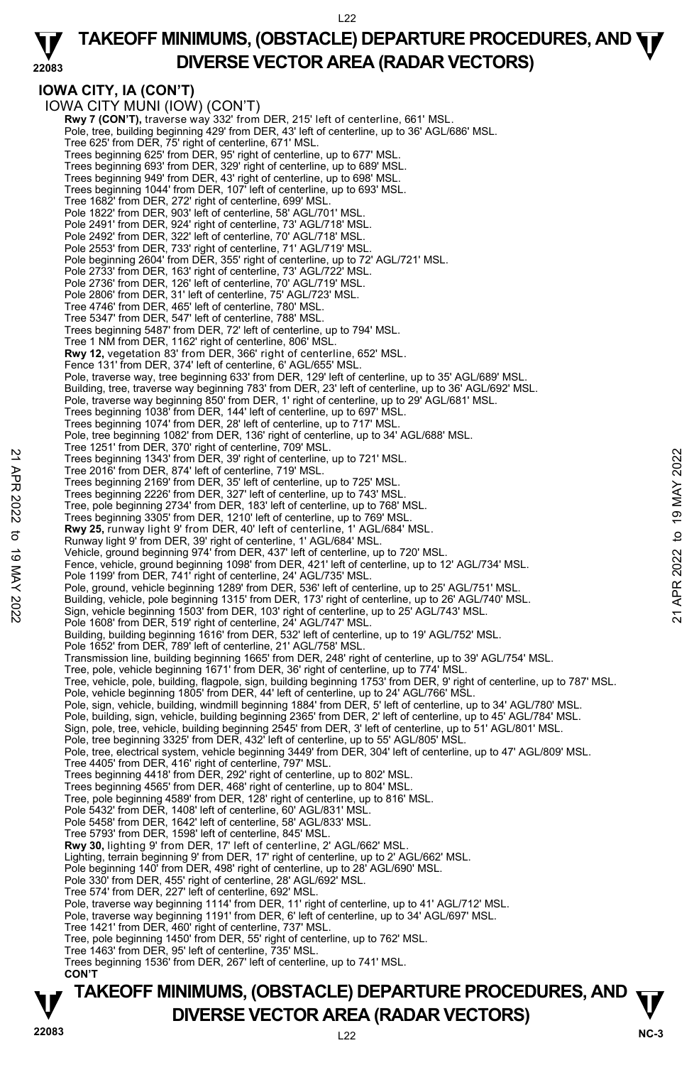**22083 TAKEOFF MINIMUMS, (OBSTACLE) DEPARTURE PROCEDURES, AND**  $\Psi$ **DIVERSE VECTOR AREA (RADAR VECTORS)** 

#### **IOWA CITY, IA (CON'T)**  IOWA CITY MUNI (IOW) (CON'T) **Rwy 7 (CON'T)**, traverse way 332' from DER, 215' left of centerline, 661' MSL.<br>Pole, tree, building beginning 429' from DER, 43' left of centerline, up to 36' AGL/686' MSL. Tree 625' from DER, 75' right of centerline, 671' MSL. Trees beginning 625' from DER, 95' right of centerline, up to 677' MSL. Trees beginning 693' from DER, 329' right of centerline, up to 689' MSL. Trees beginning 949' from DER, 43' right of centerline, up to 698' MSL. Trees beginning 1044' from DER, 107' left of centerline, up to 693' MSL. Tree 1682' from DER, 272' right of centerline, 699' MSL. Pole 1822' from DER, 903' left of centerline, 58' AGL/701' MSL Pole 2491' from DER, 924' right of centerline, 73' AGL/718' MSL. Pole 2492' from DER, 322' left of centerline, 70' AGL/718' MSL. Pole 2553' from DER, 733' right of centerline, 71' AGL/719' MSL. Pole beginning 2604' from DER, 355' right of centerline, up to 72' AGL/721' MSL. Pole 2733' from DER, 163' right of centerline, 73' AGL/722' MSL. Pole 2736' from DER, 126' left of centerline, 70' AGL/719' MSL. Pole 2806' from DER, 31' left of centerline, 75' AGL/723' MSL. Tree 4746' from DER, 465' left of centerline, 780' MSL. Tree 5347' from DER, 547' left of centerline, 788' MSL. Trees beginning 5487' from DER, 72' left of centerline, up to 794' MSL. Tree 1 NM from DER, 1162' right of centerline, 806' MSL. **Rwy 12,** vegetation 83' from DER, 366' right of centerline, 652' MSL. Fence 131' from DER, 374' left of centerline, 6' AGL/655' MSL. Pole, traverse way, tree beginning 633' from DER, 129' left of centerline, up to 35' AGL/689' MSL. Building, tree, traverse way beginning 783' from DER, 23' left of centerline, up to 36' AGL/692' MSL. Pole, traverse way beginning 850' from DER, 1' right of centerline, up to 29' AGL/681' MSL.<br>Trees beginning 1038' from DER, 144' left of centerline, up to 697' MSL.<br>Trees beginning 1074' from DER, 28' left of centerline, u Pole, tree beginning 1082' from DER, 136' right of centerline, up to 34' AGL/688' MSL. Tree 1251' from DER, 370' right of centerline, 709' MSL. Trees beginning 1343' from DER, 39' right of centerline, up to 721' MSL. Tree 2016' from DER, 874' left of centerline, 719' MSL. Trees beginning 2169' from DER, 35' left of centerline, up to 725' MSL. Trees beginning 2226' from DER, 327' left of centerline, up to 743' MSL. Tree, pole beginning 2734' from DER, 183' left of centerline, up to 768' MSL. Trees beginning 3305' from DER, 1210' left of centerline, up to 769' MSL. **Rwy 25,** runway light 9' from DER, 40' left of centerline, 1' AGL/684' MSL. Runway light 9' from DER, 39' right of centerline, 1' AGL/684' MSL. Vehicle, ground beginning 974' from DER, 437' left of centerline, up to 720' MSL. Fence, vehicle, ground beginning 1098' from DER, 421' left of centerline, up to 12' AGL/734' MSL. Pole 1199' from DER, 741' right of centerline, 24' AGL/735' MSL. Pole, ground, vehicle beginning 1289' from DER, 536' left of centerline, up to 25' AGL/751' MSL. Note the 2016' from DER, 374' for the chere ine, up to 721' MSL.<br>
Tree beginning 1343' from DER, 39' right of centerline, up to 721' MSL.<br>
Tree beginning 2169' from DER, 35' left of centerline, up to 725' MSL.<br>
Trees begi Pole 1608' from DER, 519' right of centerline, 24' AGL/747' MSL. Building, building beginning 1616' from DER, 532' left of centerline, up to 19' AGL/752' MSL. Pole 1652' from DER, 789' left of centerline, 21' AGL/758' MSL. Transmission line, building beginning 1665' from DER, 248' right of centerline, up to 39' AGL/754' MSL. Tree, pole, vehicle beginning 1671' from DER, 36' right of centerline, up to 774' MSL. Tree, vehicle, pole, building, flagpole, sign, building beginning 1753' from DER, 9' right of centerline, up to 787' MSL.<br>Pole, vehicle beginning 1805' from DER, 44' left of centerline, up to 24' AGL/766' MSL. Pole, sign, vehicle, building, windmill beginning 1884' from DER, 5' left of centerline, up to 34' AGL/780' MSL. Pole, building, sign, vehicle, building beginning 2365' from DER, 2' left of centerline, up to 45' AGL/784' MSL.<br>Sign, pole, tree, vehicle, building beginning 2545' from DER, 3' left of centerline, up to 51' AGL/801' MSL. Pole, tree beginning 3325' from DER, 432' left of centerline, up to 55' AGL/805' MSL. Pole, tree, electrical system, vehicle beginning 3449' from DER, 304' left of centerline, up to 47' AGL/809' MSL. Tree 4405' from DER, 416' right of centerline, 797' MSL. Trees beginning 4418' from DER, 292' right of centerline, up to 802' MSL. Trees beginning 4565' from DER, 468' right of centerline, up to 804' MSL. Tree, pole beginning 4589' from DER, 128' right of centerline, up to 816' MSL. Pole 5432' from DER, 1408' left of centerline, 60' AGL/831' MSL. Pole 5458' from DER, 1642' left of centerline, 58' AGL/833' MSL. Tree 5793' from DER, 1598' left of centerline, 845' MSL. **Rwy 30,** lighting 9' from DER, 17' left of centerline, 2' AGL/662' MSL.<br>Lighting, terrain beginning 9' from DER, 17' right of centerline, up to 2' AGL/662' MSL. Pole beginning 140' from DER, 498' right of centerline, up to 28' AGL/690' MSL. Pole 330' from DER, 455' right of centerline, 28' AGL/692' MSL. Tree 574' from DER, 227' left of centerline, 692' MSL. Pole, traverse way beginning 1114' from DER, 11' right of centerline, up to 41' AGL/712' MSL. Pole, traverse way beginning 1191' from DER, 6' left of centerline, up to 34' AGL/697' MSL. Tree 1421' from DER, 460' right of centerline, 737' MSL. Tree, pole beginning 1450' from DER, 55' right of centerline, up to 762' MSL. Tree 1463' from DER, 95' left of centerline, 735' MSL. Trees beginning 1536' from DER, 267' left of centerline, up to 741' MSL. **CON'T**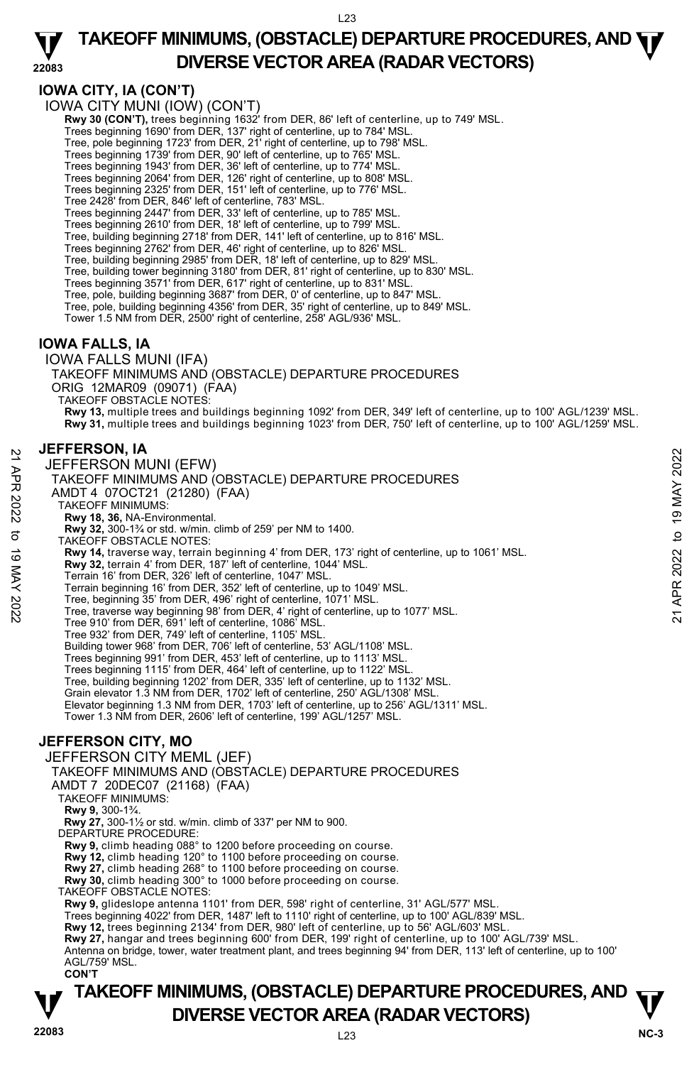#### **22083 TAKEOFF MINIMUMS, (OBSTACLE) DEPARTURE PROCEDURES, AND**  $\Psi$ **DIVERSE VECTOR AREA (RADAR VECTORS)**

# **IOWA CITY, IA (CON'T)**

IOWA CITY MUNI (IOW) (CON'T)

**Rwy 30 (CON'T),** trees beginning 1632' from DER, 86' left of centerline, up to 749' MSL. Trees beginning 1690' from DER, 137' right of centerline, up to 784' MSL.

Tree, pole beginning 1723' from DER, 21' right of centerline, up to 798' MSL.

Trees beginning 1739' from DER, 90' left of centerline, up to 765' MSL.

Trees beginning 1943' from DER, 36' left of centerline, up to 774' MSL.

Trees beginning 2064' from DER, 126' right of centerline, up to 808' MSL. Trees beginning 2325' from DER, 151' left of centerline, up to 776' MSL.

Tree 2428' from DER, 846' left of centerline, 783' MSL.<br>Trees beginning 2447' from DER, 33' left of centerline, up to 785' MSL.<br>Trees beginning 2610' from DER, 18' left of centerline, up to 799' MSL.

Tree, building beginning 2718' from DER, 141' left of centerline, up to 816' MSL. Trees beginning 2762' from DER, 46' right of centerline, up to 826' MSL.

Tree, building beginning 2985' from DER, 18' left of centerline, up to 829' MSL.

Tree, building tower beginning 3180' from DER, 81' right of centerline, up to 830' MSL.

Trees beginning 3571' from DER, 617' right of centerline, up to 831' MSL.

Tree, pole, building beginning 3687' from DER, 0' of centerline, up to 847' MSL.

Tree, pole, building beginning 4356' from DER, 35' right of centerline, up to 849' MSL.

Tower 1.5 NM from DER, 2500' right of centerline, 258' AGL/936' MSL.

# **IOWA FALLS, IA**

IOWA FALLS MUNI (IFA)

TAKEOFF MINIMUMS AND (OBSTACLE) DEPARTURE PROCEDURES ORIG 12MAR09 (09071) (FAA)

TAKEOFF OBSTACLE NOTES:

**Rwy 13,** multiple trees and buildings beginning 1092' from DER, 349' left of centerline, up to 100' AGL/1239' MSL. **Rwy 31,** multiple trees and buildings beginning 1023' from DER, 750' left of centerline, up to 100' AGL/1259' MSL.

#### **JEFFERSON, IA**

JEFFERSON MUNI (EFW) TAKEOFF MINIMUMS AND (OBSTACLE) DEPARTURE PROCEDURES AMDT 4 07OCT21 (21280) (FAA) TAKEOFF MINIMUMS: **Rwy 18, 36,** NA-Environmental. **Rwy 32,** 300-1¾ or std. w/min. climb of 259' per NM to 1400. TAKEOFF OBSTACLE NOTES: **Rwy 14,** traverse way, terrain beginning 4' from DER, 173' right of centerline, up to 1061' MSL. **Rwy 32,** terrain 4' from DER, 187' left of centerline, 1044' MSL. Terrain 16' from DER, 326' left of centerline, 1047' MSL. Terrain beginning 16' from DER, 352' left of centerline, up to 1049' MSL. Tree, beginning 35' from DER, 496' right of centerline, 1071' MSL. Tree, traverse way beginning 98' from DER, 4' right of centerline, up to 1077' MSL. Tree 910' from DER, 691' left of centerline, 1086' MSL. Tree 932' from DER, 749' left of centerline, 1105' MSL. Building tower 968' from DER, 706' left of centerline, 53' AGL/1108' MSL. Trees beginning 991' from DER, 453' left of centerline, up to 1113' MSL. Trees beginning 1115' from DER, 464' left of centerline, up to 1122' MSL. Tree, building beginning 1202' from DER, 335' left of centerline, up to 1132' MSL. Grain elevator 1.3 NM from DER, 1702' left of centerline, 250' AGL/1308' MSL. Elevator beginning 1.3 NM from DER, 1703' left of centerline, up to 256' AGL/1311' MSL. Tower 1.3 NM from DER, 2606' left of centerline, 199' AGL/1257' MSL. 32 JEFFERSON MUNI (EFW)<br>
21 JEFFERSON MUNI (EFW)<br>
TAKEOFF MINIMUMS AND (OBSTACLE) DEPARTURE PROCEDURES<br>
22 AMDT 4 070CT21 (21280) (FAA)<br>
7 TAKEOFF MINIMUMS:<br>
22 TAKEOFF MINIMUMS:<br>
23 AV 18, 38, NA-Environmental.<br>
23 AW 18

# **JEFFERSON CITY, MO**

JEFFERSON CITY MEML (JEF)

TAKEOFF MINIMUMS AND (OBSTACLE) DEPARTURE PROCEDURES

AMDT 7 20DEC07 (21168) (FAA)

TAKEOFF MINIMUMS:

**Rwy 9,** 300-1¾.

**Rwy 27,** 300-1½ or std. w/min. climb of 337' per NM to 900.

DEPARTURE PROCEDURE:

**Rwy 9,** climb heading 088° to 1200 before proceeding on course. **Rwy 12,** climb heading 120° to 1100 before proceeding on course.

**Rwy 27,** climb heading 268° to 1100 before proceeding on course.

**Rwy 30,** climb heading 300° to 1000 before proceeding on course. TAKEOFF OBSTACLE NOTES:

**Rwy 9,** glideslope antenna 1101' from DER, 598' right of centerline, 31' AGL/577' MSL.

Trees beginning 4022' from DER, 1487' left to 1110' right of centerline, up to 100' AGL/839' MSL.<br>**Rwy 12,** trees beginning 2134' from DER, 980' left of centerline, up to 56' AGL/603' MSL.

**Rwy 27,** hangar and trees beginning 600' from DER, 199' right of centerline, up to 100' AGL/739' MSL. Antenna on bridge, tower, water treatment plant, and trees beginning 94' from DER, 113' left of centerline, up to 100' AGL/759' MSL. **CON'T**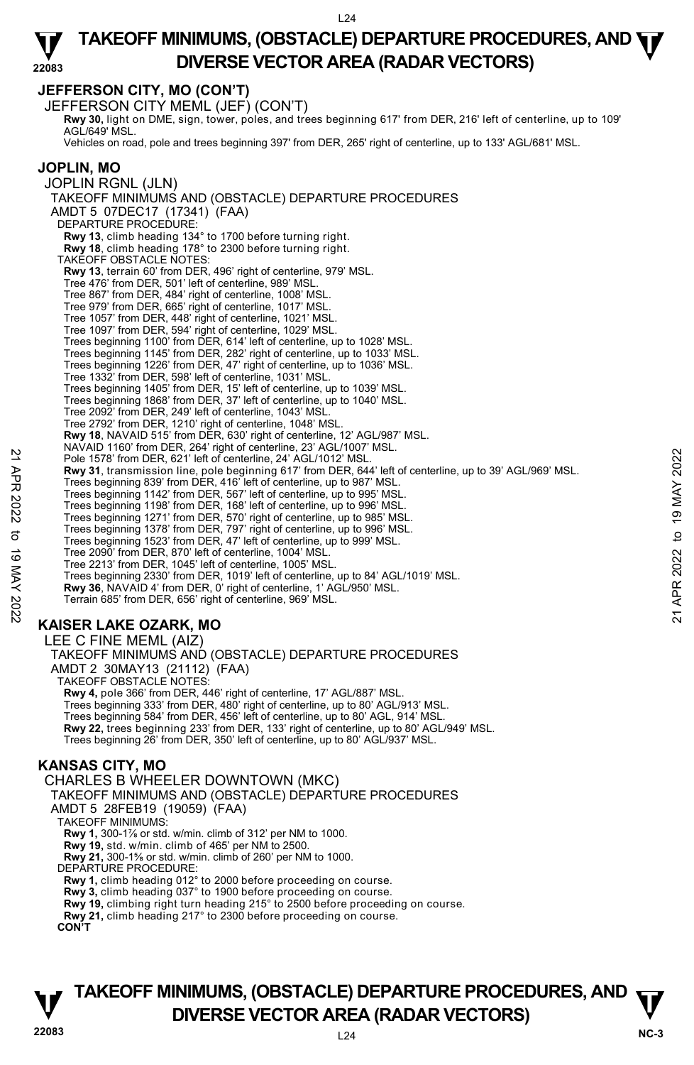#### **22083 TAKEOFF MINIMUMS, (OBSTACLE) DEPARTURE PROCEDURES, AND**  $\Psi$ **DIVERSE VECTOR AREA (RADAR VECTORS)**

# **JEFFERSON CITY, MO (CON'T)**

JEFFERSON CITY MEML (JEF) (CON'T) **Rwy 30,** light on DME, sign, tower, poles, and trees beginning 617' from DER, 216' left of centerline, up to 109'<br>AGL/649' MSL. Vehicles on road, pole and trees beginning 397' from DER, 265' right of centerline, up to 133' AGL/681' MSL. **JOPLIN, MO**  JOPLIN RGNL (JLN) TAKEOFF MINIMUMS AND (OBSTACLE) DEPARTURE PROCEDURES AMDT 5 07DEC17 (17341) (FAA) DEPARTURE PROCEDURE: **Rwy 13**, climb heading 134° to 1700 before turning right. **Rwy 18**, climb heading 178° to 2300 before turning right. TAKEOFF OBSTACLE NOTES: **Rwy 13**, terrain 60' from DER, 496' right of centerline, 979' MSL. Tree 476' from DER, 501' left of centerline, 989' MSL. Tree 867' from DER, 484' right of centerline, 1008' MSL. Tree 979' from DER, 665' right of centerline, 1017' MSL. Tree 1057' from DER, 448' right of centerline, 1021' MSL. Tree 1097' from DER, 594' right of centerline, 1029' MSL. Trees beginning 1100' from DER, 614' left of centerline, up to 1028' MSL.<br>Trees beginning 1145' from DER, 282' right of centerline, up to 1033' MSL.<br>Trees beginning 1226' from DER, 47' right of centerline, up to 1036' MSL. Tree 1332' from DER, 598' left of centerline, 1031' MSL. Trees beginning 1405' from DER, 15' left of centerline, up to 1039' MSL. Trees beginning 1868' from DER, 37' left of centerline, up to 1040' MSL. Tree 2092' from DER, 249' left of centerline, 1043' MSL. Tree 2792' from DER, 1210' right of centerline, 1048' MSL. **Rwy 18**, NAVAID 515' from DER, 630' right of centerline, 12' AGL/987' MSL. NAVAID 1160' from DER, 264' right of centerline, 23' AGL/1007' MSL. Pole 1578' from DER, 621' left of centerline, 24' AGL/1012' MSL. **Rwy 31**, transmission line, pole beginning 617' from DER, 644' left of centerline, up to 39' AGL/969' MSL. Trees beginning 839' from DER, 416' left of centerline, up to 987' MSL. Trees beginning 1142' from DER, 567' left of centerline, up to 995' MSL. Trees beginning 1198' from DER, 168' left of centerline, up to 996' MSL. Trees beginning 1271' from DER, 570' right of centerline, up to 985' MSL. Trees beginning 1378' from DER, 797' right of centerline, up to 996' MSL. Trees beginning 1523' from DER, 47' left of centerline, up to 999' MSL. Tree 2090' from DER, 870' left of centerline, 1004' MSL. Tree 2213' from DER, 1045' left of centerline, 1005' MSL. Trees beginning 2330' from DER, 1019' left of centerline, up to 84' AGL/1019' MSL. **Rwy 36**, NAVAID 4' from DER, 0' right of centerline, 1' AGL/950' MSL. Terrain 685' from DER, 656' right of centerline, 969' MSL. **KAISER LAKE OZARK, MO**  LEE C FINE MEML (AIZ) TAKEOFF MINIMUMS AND (OBSTACLE) DEPARTURE PROCEDURES Pole 1578' from DER, 821'left of centerline, 24' AGL/1012' MSL.<br>
Pole 1578' from DER, 621'left of centerline, 24' AGL/1012' MSL.<br>
Trees beginning 839' from DER, 416'left of centerline, up to 987' MSL.<br>
Trees beginning 1142

AMDT 2 30MAY13 (21112) (FAA)

TAKEOFF OBSTACLE NOTES: **Rwy 4,** pole 366' from DER, 446' right of centerline, 17' AGL/887' MSL. Trees beginning 333' from DER, 480' right of centerline, up to 80' AGL/913' MSL. Trees beginning 584' from DER, 456' left of centerline, up to 80' AGL, 914' MSL. **Rwy 22,** trees beginning 233' from DER, 133' right of centerline, up to 80' AGL/949' MSL. Trees beginning 26' from DER, 350' left of centerline, up to 80' AGL/937' MSL.

# **KANSAS CITY, MO**

CHARLES B WHEELER DOWNTOWN (MKC) TAKEOFF MINIMUMS AND (OBSTACLE) DEPARTURE PROCEDURES AMDT 5 28FEB19 (19059) (FAA) TAKEOFF MINIMUMS: **Rwy 1,** 300-1⅞ or std. w/min. climb of 312' per NM to 1000. **Rwy 19,** std. w/min. climb of 465' per NM to 2500. **Rwy 21,** 300-1⅝ or std. w/min. climb of 260' per NM to 1000. DEPARTURE PROCEDURE: **Rwy 1,** climb heading 012° to 2000 before proceeding on course. **Rwy 3,** climb heading 037° to 1900 before proceeding on course. **Rwy 19,** climbing right turn heading 215° to 2500 before proceeding on course. **Rwy 21,** climb heading 217° to 2300 before proceeding on course. **CON'T** 

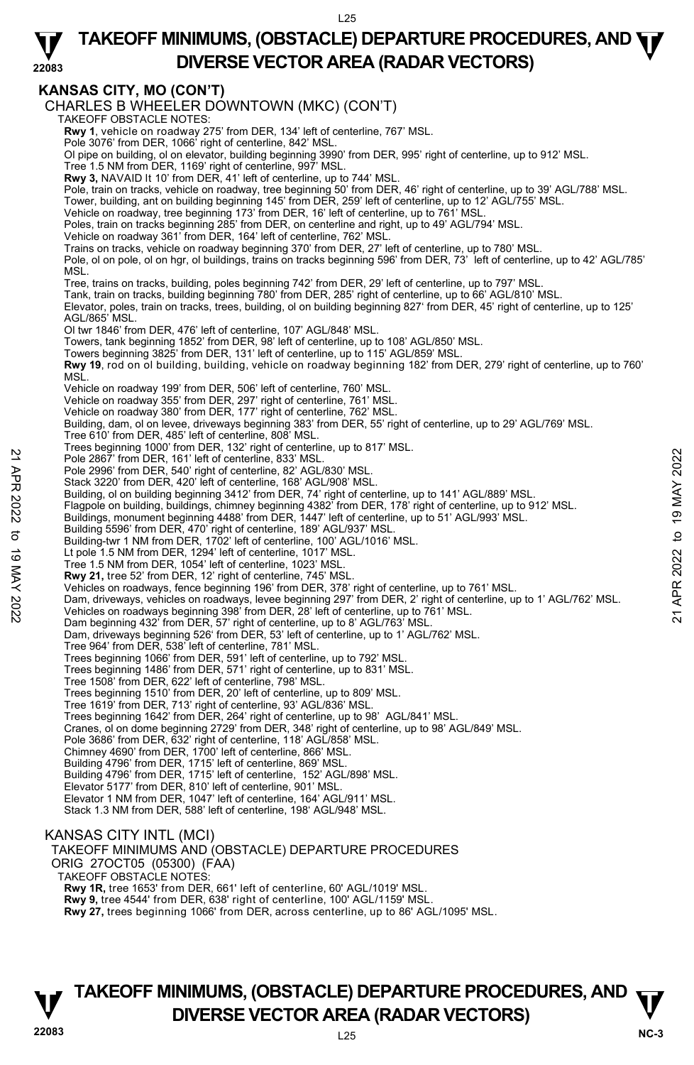#### **22083 TAKEOFF MINIMUMS, (OBSTACLE) DEPARTURE PROCEDURES, AND**  $\Psi$ **DIVERSE VECTOR AREA (RADAR VECTORS)**

# **KANSAS CITY, MO (CON'T)**

CHARLES B WHEELER DOWNTOWN (MKC) (CON'T) TAKEOFF OBSTACLE NOTES: **Rwy 1**, vehicle on roadway 275' from DER, 134' left of centerline, 767' MSL. Pole 3076' from DER, 1066' right of centerline, 842' MSL. Ol pipe on building, ol on elevator, building beginning 3990' from DER, 995' right of centerline, up to 912' MSL. Tree 1.5 NM from DER, 1169' right of centerline, 997' MSL. **Rwy 3,** NAVAID lt 10' from DER, 41' left of centerline, up to 744' MSL. Pole, train on tracks, vehicle on roadway, tree beginning 50' from DER, 46' right of centerline, up to 39' AGL/788' MSL. Tower, building, ant on building beginning 145' from DER, 259' left of centerline, up to 12' AGL/755' MSL.<br>Vehicle on roadway, tree beginning 173' from DER, 16' left of centerline, up to 761' MSL. Poles, train on tracks beginning 285' from DER, on centerline and right, up to 49' AGL/794' MSL. Vehicle on roadway 361' from DER, 164' left of centerline, 762' MSL. Trains on tracks, vehicle on roadway beginning 370' from DER, 27' left of centerline, up to 780' MSL. Pole, ol on pole, ol on hgr, ol buildings, trains on tracks beginning 596' from DER, 73' left of centerline, up to 42' AGL/785' MSL. Tree, trains on tracks, building, poles beginning 742' from DER, 29' left of centerline, up to 797' MSL.<br>Tank, train on tracks, building beginning 780' from DER, 285' right of centerline, up to 66' AGL/810' MSL. Elevator, poles, train on tracks, trees, building, ol on building beginning 827' from DER, 45' right of centerline, up to 125' AGL/865' MSL. Ol twr 1846' from DER, 476' left of centerline, 107' AGL/848' MSL. Towers, tank beginning 1852' from DER, 98' left of centerline, up to 108' AGL/850' MSL. Towers beginning 3825' from DER, 131' left of centerline, up to 115' AGL/859' MSL. **Rwy 19**, rod on ol building, building, vehicle on roadway beginning 182' from DER, 279' right of centerline, up to 760' MSL. Vehicle on roadway 199' from DER, 506' left of centerline, 760' MSL. Vehicle on roadway 355' from DER, 297' right of centerline, 761' MSL. Vehicle on roadway 380' from DER, 177' right of centerline, 762' MSL. Building, dam, ol on levee, driveways beginning 383' from DER, 55' right of centerline, up to 29' AGL/769' MSL. Tree 610' from DER, 485' left of centerline, 808' MSL. Trees beginning 1000' from DER, 132' right of centerline, up to 817' MSL. Pole 2867' from DER, 161' left of centerline, 833' MSL. Pole 2996' from DER, 540' right of centerline, 82' AGL/830' MSL. Stack 3220' from DER, 420' left of centerline, 168' AGL/908' MSL.<br>Building, ol on building beginning 3412' from DER, 74' right of centerline, up to 141' AGL/889' MSL. Flagpole on building, buildings, chimney beginning 4382' from DER, 178' right of centerline, up to 912' MSL. Buildings, monument beginning 4488' from DER, 1447' left of centerline, up to 51' AGL/993' MSL.<br>Building 5596' from DER, 470' right of centerline, 189' AGL/937' MSL. Building-twr 1 NM from DER, 1702' left of centerline, 100' AGL/1016' MSL. Lt pole 1.5 NM from DER, 1294' left of centerline, 1017' MSL. Tree 1.5 NM from DER, 1054' left of centerline, 1023' MSL. **Rwy 21,** tree 52' from DER, 12' right of centerline, 745' MSL. Vehicles on roadways, fence beginning 196' from DER, 378' right of centerline, up to 761' MSL. Note 2867' from DER, 161' left of centerline, 833' MSL.<br>
Pole 2867' from DER, 540' right of centerline, 822' AGL/830' MSL.<br>
Stack 3220' from DER, 420' left of centerline, 162' AGL/803' MSL.<br>
Stack 320' from DER, 420' left Dam beginning 432' from DER, 57' right of centerline, up to 8' AGL/763' MSL. Dam, driveways beginning 526' from DER, 53' left of centerline, up to 1' AGL/762' MSL. Tree 964' from DER, 538' left of centerline, 781' MSL. Trees beginning 1066' from DER, 591' left of centerline, up to 792' MSL. Trees beginning 1486' from DER, 571' right of centerline, up to 831' MSL. Tree 1508' from DER, 622' left of centerline, 798' MSL. Trees beginning 1510' from DER, 20' left of centerline, up to 809' MSL. Tree 1619' from DER, 713' right of centerline, 93' AGL/836' MSL. Trees beginning 1642' from DER, 264' right of centerline, up to 98' AGL/841' MSL. Cranes, ol on dome beginning 2729' from DER, 348' right of centerline, up to 98' AGL/849' MSL. Pole 3686' from DER, 632' right of centerline, 118' AGL/858' MSL. Chimney 4690' from DER, 1700' left of centerline, 866' MSL. Building 4796' from DER, 1715' left of centerline, 869' MSL. Building 4796' from DER, 1715' left of centerline, 152' AGL/898' MSL. Elevator 5177' from DER, 810' left of centerline, 901' MSL. Elevator 1 NM from DER, 1047' left of centerline, 164' AGL/911' MSL. Stack 1.3 NM from DER, 588' left of centerline, 198' AGL/948' MSL. KANSAS CITY INTL (MCI) TAKEOFF MINIMUMS AND (OBSTACLE) DEPARTURE PROCEDURES ORIG 27OCT05 (05300) (FAA) TAKEOFF OBSTACLE NOTES: **Rwy 1R,** tree 1653' from DER, 661' left of centerline, 60' AGL/1019' MSL.

**Rwy 9,** tree 4544' from DER, 638' right of centerline, 100' AGL/1159' MSL.

**Rwy 27,** trees beginning 1066' from DER, across centerline, up to 86' AGL/1095' MSL.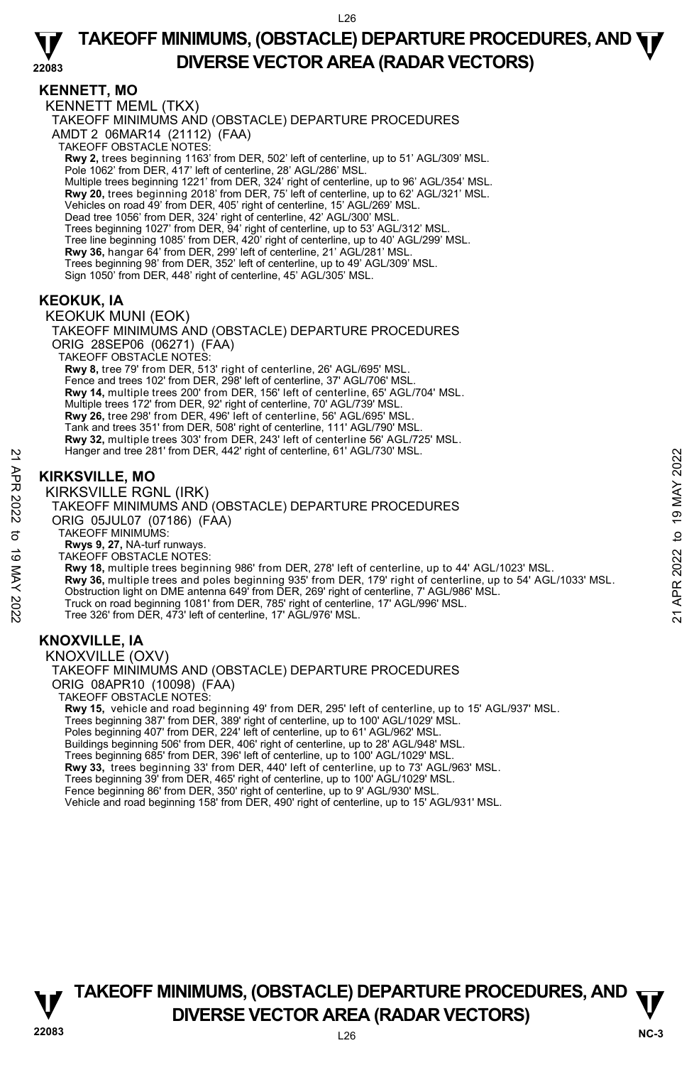# **KENNETT, MO**

KENNETT MEML (TKX) TAKEOFF MINIMUMS AND (OBSTACLE) DEPARTURE PROCEDURES AMDT 2 06MAR14 (21112) (FAA) TAKEOFF OBSTACLE NOTES: **Rwy 2,** trees beginning 1163' from DER, 502' left of centerline, up to 51' AGL/309' MSL.<br>Pole 1062' from DER, 417' left of centerline, 28' AGL/286' MSL. Multiple trees beginning 1221' from DER, 324' right of centerline, up to 96' AGL/354' MSL. **Rwy 20,** trees beginning 2018' from DER, 75' left of centerline, up to 62' AGL/321' MSL. Vehicles on road 49' from DER, 405' right of centerline, 15' AGL/269' MSL. Dead tree 1056' from DER, 324' right of centerline, 42' AGL/300' MSL. Trees beginning 1027' from DER, 94' right of centerline, up to 53' AGL/312' MSL. Tree line beginning 1085' from DER, 420' right of centerline, up to 40' AGL/299' MSL. **Rwy 36,** hangar 64' from DER, 299' left of centerline, 21' AGL/281' MSL. Trees beginning 98' from DER, 352' left of centerline, up to 49' AGL/309' MSL. Sign 1050' from DER, 448' right of centerline, 45' AGL/305' MSL.

# **KEOKUK, IA**

KEOKUK MUNI (EOK) TAKEOFF MINIMUMS AND (OBSTACLE) DEPARTURE PROCEDURES ORIG 28SEP06 (06271) (FAA) TAKEOFF OBSTACLE NOTES: **Rwy 8,** tree 79' from DER, 513' right of centerline, 26' AGL/695' MSL. Fence and trees 102' from DER, 298' left of centerline, 37' AGL/706' MSL. **Rwy 14,** multiple trees 200' from DER, 156' left of centerline, 65' AGL/704' MSL. Multiple trees 172' from DER, 92' right of centerline, 70' AGL/739' MSL.<br>**Rwy 26,** tree 298' from DER, 496' left of centerline, 56' AGL/695' MSL. Tank and trees 351' from DER, 508' right of centerline, 111' AGL/790' MSL. **Rwy 32,** multiple trees 303' from DER, 243' left of centerline 56' AGL/725' MSL. Hanger and tree 281' from DER, 442' right of centerline, 61' AGL/730' MSL.

# **KIRKSVILLE, MO**

KIRKSVILLE RGNL (IRK)

TAKEOFF MINIMUMS AND (OBSTACLE) DEPARTURE PROCEDURES ORIG 05JUL07 (07186) (FAA) TAKEOFF MINIMUMS: **Rwys 9, 27,** NA-turf runways. TAKEOFF OBSTACLE NOTES: **Rwy 18,** multiple trees beginning 986' from DER, 278' left of centerline, up to 44' AGL/1023' MSL. **Rwy 36,** multiple trees and poles beginning 935' from DER, 179' right of centerline, up to 54' AGL/1033' MSL. Obstruction light on DME antenna 649' from DER, 269' right of centerline, 7' AGL/986' MSL. Truck on road beginning 1081' from DER, 785' right of centerline, 17' AGL/996' MSL. Tree 326' from DER, 473' left of centerline, 17' AGL/976' MSL. Hanger and tree 281 from DER, 442" right of centerline, 61" AGL/30" MSL.<br>
22<br> **EXECUTE ROBAL (IRK)**<br>
22<br>
22<br>
22 TAKEOFF MINIMUMS AND (OBSTACLE) DEPARTURE PROCEDURES<br>
23 ORIG 05JULO 7 (07186) (FAA)<br>
23 ORIG 05JULO 7 (O7186

# **KNOXVILLE, IA**

KNOXVILLE (OXV) TAKEOFF MINIMUMS AND (OBSTACLE) DEPARTURE PROCEDURES ORIG 08APR10 (10098) (FAA) TAKEOFF OBSTACLE NOTES: **Rwy 15,** vehicle and road beginning 49' from DER, 295' left of centerline, up to 15' AGL/937' MSL.

Trees beginning 387' from DER, 389' right of centerline, up to 100' AGL/1029' MSL. Poles beginning 407' from DER, 224' left of centerline, up to 61' AGL/962' MSL. Buildings beginning 506' from DER, 406' right of centerline, up to 28' AGL/948' MSL. Trees beginning 685' from DER, 396' left of centerline, up to 100' AGL/1029' MSL. **Rwy 33,** trees beginning 33' from DER, 440' left of centerline, up to 73' AGL/963' MSL. Trees beginning 39' from DER, 465' right of centerline, up to 100' AGL/1029' MSL. Fence beginning 86' from DER, 350' right of centerline, up to 9' AGL/930' MSL. Vehicle and road beginning 158' from DER, 490' right of centerline, up to 15' AGL/931' MSL.

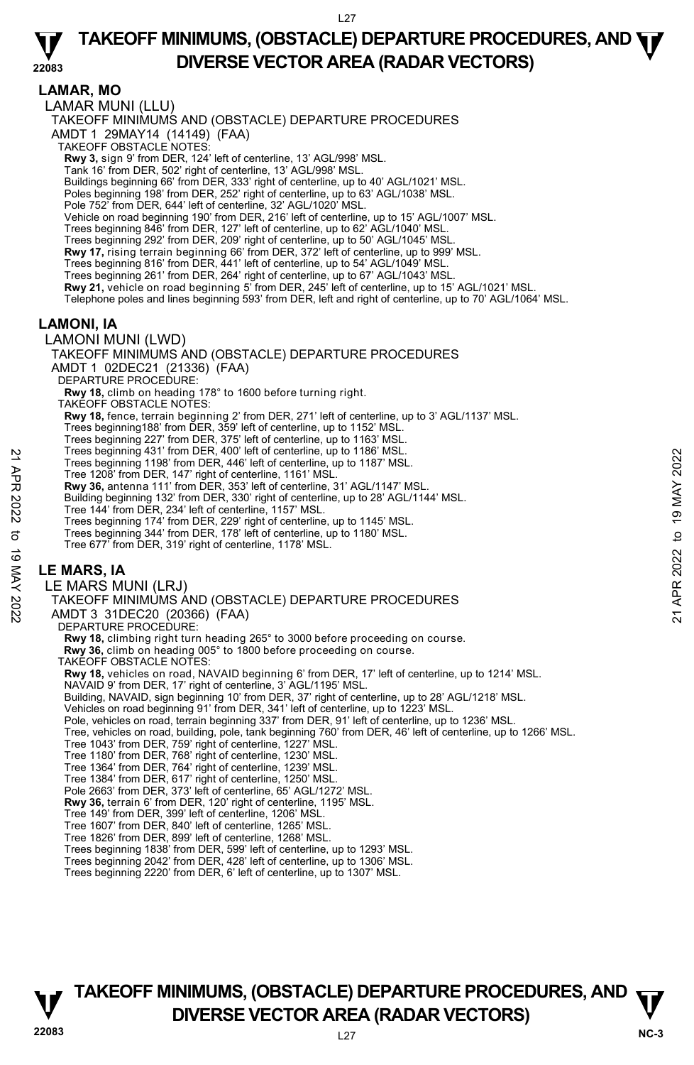#### **22083 TAKEOFF MINIMUMS, (OBSTACLE) DEPARTURE PROCEDURES, AND**  $\Psi$ **DIVERSE VECTOR AREA (RADAR VECTORS)**

**LAMAR, MO**  LAMAR MUNI (LLU) TAKEOFF MINIMUMS AND (OBSTACLE) DEPARTURE PROCEDURES AMDT 1 29MAY14 (14149) (FAA) TAKEOFF OBSTACLE NOTES: **Rwy 3,** sign 9' from DER, 124' left of centerline, 13' AGL/998' MSL. Tank 16' from DER, 502' right of centerline, 13' AGL/998' MSL. Buildings beginning 66' from DER, 333' right of centerline, up to 40' AGL/1021' MSL. Poles beginning 198' from DER, 252' right of centerline, up to 63' AGL/1038' MSL. Pole 752' from DER, 644' left of centerline, 32' AGL/1020' MSL. Vehicle on road beginning 190' from DER, 216' left of centerline, up to 15' AGL/1007' MSL. Trees beginning 846' from DER, 127' left of centerline, up to 62' AGL/1040' MSL. Trees beginning 292' from DER, 209' right of centerline, up to 50' AGL/1045' MSL. **Rwy 17,** rising terrain beginning 66' from DER, 372' left of centerline, up to 999' MSL. Trees beginning 816' from DER, 441' left of centerline, up to 54' AGL/1049' MSL. Trees beginning 261' from DER, 264' right of centerline, up to 67' AGL/1043' MSL.<br>**Rwy 21,** vehicle on road beginning 5' from DER, 245' left of centerline, up to 15' AGL/1021' MSL. Telephone poles and lines beginning 593' from DER, left and right of centerline, up to 70' AGL/1064' MSL. **LAMONI, IA**  LAMONI MUNI (LWD) TAKEOFF MINIMUMS AND (OBSTACLE) DEPARTURE PROCEDURES AMDT 1 02DEC21 (21336) (FAA) DEPARTURE PROCEDURE: **Rwy 18,** climb on heading 178° to 1600 before turning right. TAKEOFF OBSTACLE NOTES: **Rwy 18,** fence, terrain beginning 2' from DER, 271' left of centerline, up to 3' AGL/1137' MSL. Trees beginning188' from DER, 359' left of centerline, up to 1152' MSL. Trees beginning 227' from DER, 375' left of centerline, up to 1163' MSL. Trees beginning 431' from DER, 400' left of centerline, up to 1186' MSL. Trees beginning 1198' from DER, 446' left of centerline, up to 1187' MSL. Tree 1208' from DER, 147' right of centerline, 1161' MSL. **Rwy 36,** antenna 111' from DER, 353' left of centerline, 31' AGL/1147' MSL. Building beginning 132' from DER, 330' right of centerline, up to 28' AGL/1144' MSL. Tree 144' from DER, 234' left of centerline, 1157' MSL. Trees beginning 174' from DER, 229' right of centerline, up to 1145' MSL. Trees beginning 344' from DER, 178' left of centerline, up to 1180' MSL. Tree 677' from DER, 319' right of centerline, 1178' MSL. **LE MARS, IA**  LE MARS MUNI (LRJ) TAKEOFF MINIMUMS AND (OBSTACLE) DEPARTURE PROCEDURES AMDT 3 31DEC20 (20366) (FAA) DEPARTURE PROCEDURE: **Rwy 18,** climbing right turn heading 265° to 3000 before proceeding on course. **Rwy 36,** climb on heading 005° to 1800 before proceeding on course. TAKEOFF OBSTACLE NOTES: **Rwy 18,** vehicles on road, NAVAID beginning 6' from DER, 17' left of centerline, up to 1214' MSL.<br>NAVAID 9' from DER, 17' right of centerline, 3' AGL/1195' MSL. Building, NAVAID, sign beginning 10' from DER, 37' right of centerline, up to 28' AGL/1218' MSL. Vehicles on road beginning 91' from DER, 341' left of centerline, up to 1223' MSL. Pole, vehicles on road, terrain beginning 337' from DER, 91' left of centerline, up to 1236' MSL. Tree, vehicles on road, building, pole, tank beginning 760' from DER, 46' left of centerline, up to 1266' MSL. Tree 1043' from DER, 759' right of centerline, 1227' MSL. Tree 1180' from DER, 768' right of centerline, 1230' MSL. Tree 1364' from DER, 764' right of centerline, 1239' MSL. Tree 1384' from DER, 617' right of centerline, 1250' MSL. Pole 2663' from DER, 373' left of centerline, 65' AGL/1272' MSL. **Rwy 36,** terrain 6' from DER, 120' right of centerline, 1195' MSL. Tree 149' from DER, 399' left of centerline, 1206' MSL. Tree 1607' from DER, 840' left of centerline, 1265' MSL. Tree 1826' from DER, 899' left of centerline, 1268' MSL. Trees beginning 1838' from DER, 599' left of centerline, up to 1293' MSL. Trees beginning 2042' from DER, 428' left of centerline, up to 1306' MSL. Trees beginning 2220' from DER, 6' left of centerline, up to 1307' MSL. Trees beginning 431 Trom DER, 406' left of centerline, up to 1186' MSL.<br>
Tree beginning 1198' from DER, 446' left of centerline, up to 1187' MSL.<br>
Tree 1208' from DER, 147' right of centerline, 1161' MSL.<br> **RW 36**, antenn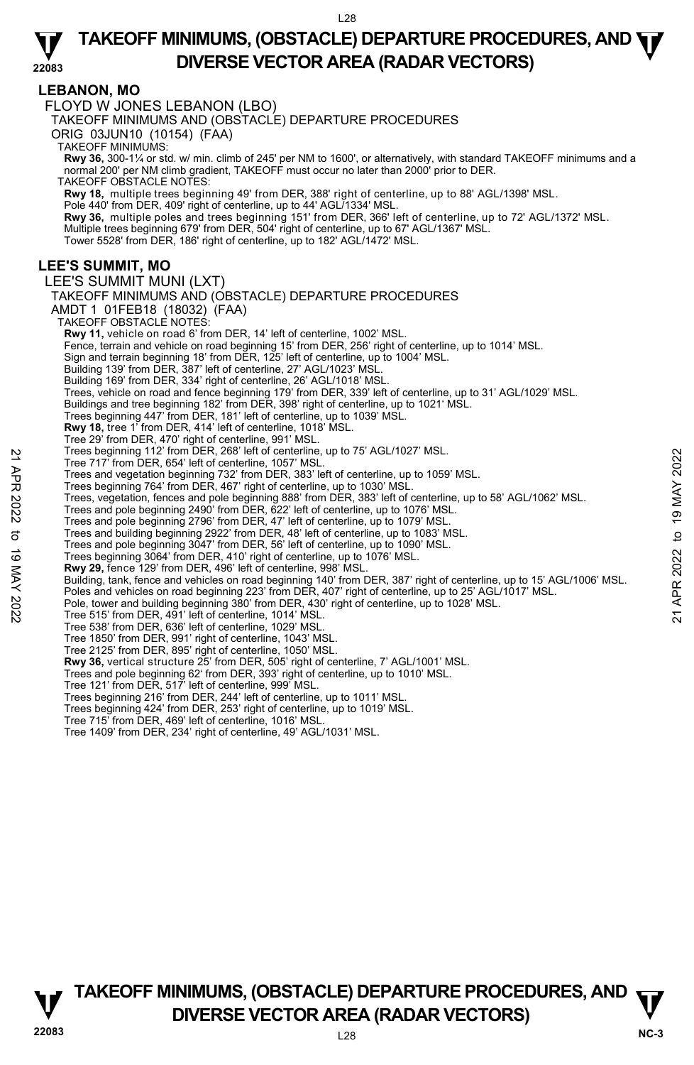### **LEBANON, MO**

FLOYD W JONES LEBANON (LBO)

TAKEOFF MINIMUMS AND (OBSTACLE) DEPARTURE PROCEDURES

ORIG 03JUN10 (10154) (FAA)

TAKEOFF MINIMUMS:

**Rwy 36,** 300-1¼ or std. w/ min. climb of 245' per NM to 1600', or alternatively, with standard TAKEOFF minimums and a<br>normal 200' per NM climb gradient, TAKEOFF must occur no later than 2000' prior to DER.

TAKEOFF OBSTACLE NOTES:

**Rwy 18,** multiple trees beginning 49' from DER, 388' right of centerline, up to 88' AGL/1398' MSL.

Pole 440' from DER, 409' right of centerline, up to 44' AGL/1334' MSL.

**Rwy 36,** multiple poles and trees beginning 151' from DER, 366' left of centerline, up to 72' AGL/1372' MSL. Multiple trees beginning 679' from DER, 504' right of centerline, up to 67' AGL/1367' MSL.

Tower 5528' from DER, 186' right of centerline, up to 182' AGL/1472' MSL.

# **LEE'S SUMMIT, MO**

LEE'S SUMMIT MUNI (LXT) TAKEOFF MINIMUMS AND (OBSTACLE) DEPARTURE PROCEDURES AMDT 1 01FEB18 (18032) (FAA) TAKEOFF OBSTACLE NOTES: **Rwy 11,** vehicle on road 6' from DER, 14' left of centerline, 1002' MSL. Fence, terrain and vehicle on road beginning 15' from DER, 256' right of centerline, up to 1014' MSL. Sign and terrain beginning 18' from DER, 125' left of centerline, up to 1004' MSL. Building 139' from DER, 387' left of centerline, 27' AGL/1023' MSL. Building 169' from DER, 334' right of centerline, 26' AGL/1018' MSL. Trees, vehicle on road and fence beginning 179' from DER, 339' left of centerline, up to 31' AGL/1029' MSL. Buildings and tree beginning 182' from DER, 398' right of centerline, up to 1021' MSL. Trees beginning 447' from DER, 181' left of centerline, up to 1039' MSL. **Rwy 18,** tree 1' from DER, 414' left of centerline, 1018' MSL. Tree 29' from DER, 470' right of centerline, 991' MSL. Trees beginning 112' from DER, 268' left of centerline, up to 75' AGL/1027' MSL. Tree 717' from DER, 654' left of centerline, 1057' MSL. Trees and vegetation beginning 732' from DER, 383' left of centerline, up to 1059' MSL. Trees beginning 764' from DER, 467' right of centerline, up to 1030' MSL. Trees, vegetation, fences and pole beginning 888' from DER, 383' left of centerline, up to 58' AGL/1062' MSL. Trees and pole beginning 2490' from DER, 622' left of centerline, up to 1076' MSL. Trees and pole beginning 2796' from DER, 47' left of centerline, up to 1079' MSL. Trees and building beginning 2922' from DER, 48' left of centerline, up to 1083' MSL. Trees and pole beginning 3047' from DER, 56' left of centerline, up to 1090' MSL. Trees beginning 3064' from DER, 410' right of centerline, up to 1076' MSL. **Rwy 29,** fence 129' from DER, 496' left of centerline, 998' MSL. Building, tank, fence and vehicles on road beginning 140' from DER, 387' right of centerline, up to 15' AGL/1006' MSL. Poles and vehicles on road beginning 223' from DER, 407' right of centerline, up to 25' AGL/1017' MSL. Pole, tower and building beginning 380' from DER, 430' right of centerline, up to 1028' MSL. Tree 515' from DER, 491' left of centerline, 1014' MSL. Tree 538' from DER, 636' left of centerline, 1029' MSL. Tree 1850' from DER, 991' right of centerline, 1043' MSL. Tree 2125' from DER, 895' right of centerline, 1050' MSL. **Rwy 36,** vertical structure 25' from DER, 505' right of centerline, 7' AGL/1001' MSL. Trees and pole beginning 62' from DER, 393' right of centerline, up to 1010' MSL. Tree 121' from DER, 517' left of centerline, 999' MSL. Trees beginning 216' from DER, 244' left of centerline, up to 1011' MSL. Trees beginning 424' from DER, 253' right of centerline, up to 1019' MSL. Tree 715' from DER, 469' left of centerline, 1016' MSL. Trees beginning 122 from DER, 263' left of centerline, up to 75' AGL/1027' MSL.<br>
Trees and vegetation beginning 732' from DER, 383' left of centerline, up to 1059' MSL.<br>
Trees and vegetation beginning 732' from DER, 383' l

Tree 1409' from DER, 234' right of centerline, 49' AGL/1031' MSL.

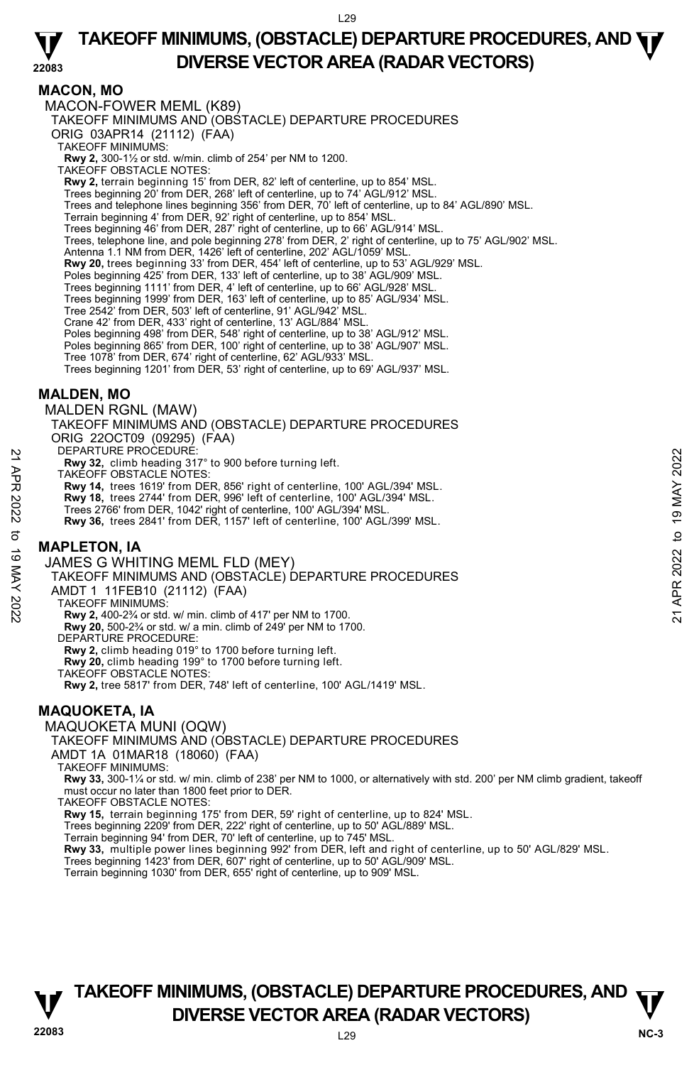#### **22083 TAKEOFF MINIMUMS, (OBSTACLE) DEPARTURE PROCEDURES, AND**  $\Psi$ **DIVERSE VECTOR AREA (RADAR VECTORS)**

### **MACON, MO**

MACON-FOWER MEML (K89) TAKEOFF MINIMUMS AND (OBSTACLE) DEPARTURE PROCEDURES ORIG 03APR14 (21112) (FAA) TAKEOFF MINIMUMS: **Rwy 2,** 300-1½ or std. w/min. climb of 254' per NM to 1200. TAKEOFF OBSTACLE NOTES: **Rwy 2,** terrain beginning 15' from DER, 82' left of centerline, up to 854' MSL. Trees beginning 20' from DER, 268' left of centerline, up to 74' AGL/912' MSL. Trees and telephone lines beginning 356' from DER, 70' left of centerline, up to 84' AGL/890' MSL.<br>Terrain beginning 4' from DER, 92' right of centerline, up to 854' MSL. Trees beginning 46' from DER, 287' right of centerline, up to 66' AGL/914' MSL. Trees, telephone line, and pole beginning 278' from DER, 2' right of centerline, up to 75' AGL/902' MSL. Antenna 1.1 NM from DER, 1426' left of centerline, 202' AGL/1059' MSL. **Rwy 20,** trees beginning 33' from DER, 454' left of centerline, up to 53' AGL/929' MSL. Poles beginning 425' from DER, 133' left of centerline, up to 38' AGL/909' MSL. Trees beginning 1111' from DER, 4' left of centerline, up to 66' AGL/928' MSL. Trees beginning 1999' from DER, 163' left of centerline, up to 85' AGL/934' MSL. Tree 2542' from DER, 503' left of centerline, 91' AGL/942' MSL. Crane 42' from DER, 433' right of centerline, 13' AGL/884' MSL.<br>Poles beginning 498' from DER, 548' right of centerline, up to 38' AGL/912' MSL.<br>Poles beginning 865' from DER, 100' right of centerline, up to 38' AGL/907' M Tree 1078' from DER, 674' right of centerline, 62' AGL/933' MSL. Trees beginning 1201' from DER, 53' right of centerline, up to 69' AGL/937' MSL. **MALDEN, MO**  MALDEN RGNL (MAW) TAKEOFF MINIMUMS AND (OBSTACLE) DEPARTURE PROCEDURES

ORIG 22OCT09 (09295) (FAA)

DEPARTURE PROCEDURE

**Rwy 32,** climb heading 317° to 900 before turning left.

TAKEOFF OBSTACLE NOTES:

**Rwy 14,** trees 1619' from DER, 856' right of centerline, 100' AGL/394' MSL. **Rwy 18,** trees 2744' from DER, 996' left of centerline, 100' AGL/394' MSL.

Trees 2766' from DER, 1042' right of centerline, 100' AGL/394' MSL.

**Rwy 36,** trees 2841' from DER, 1157' left of centerline, 100' AGL/399' MSL.

#### **MAPLETON, IA**

JAMES G WHITING MEML FLD (MEY)

TAKEOFF MINIMUMS AND (OBSTACLE) DEPARTURE PROCEDURES NEFARIURE PROCEDURES<br>
21 APR 2022 Climb heading 317° to 900 before turning left.<br>
TAKEOFF OBSTACLE NOTES:<br>
22 Rwy 18, trees 2744' from DER, 996' left of centerline, 100' AGL/394' MSL.<br>
22 Trees 2766' from DER, 1042' right

AMDT 1 11FEB10 (21112) (FAA)

TAKEOFF MINIMUMS:

**Rwy 2,** 400-2¾ or std. w/ min. climb of 417' per NM to 1700.

**Rwy 20,** 500-2¾ or std. w/ a min. climb of 249' per NM to 1700.

DEPARTURE PROCEDURE:

**Rwy 2,** climb heading 019° to 1700 before turning left.

**Rwy 20,** climb heading 199° to 1700 before turning left.

TAKEOFF OBSTACLE NOTES:

**Rwy 2,** tree 5817' from DER, 748' left of centerline, 100' AGL/1419' MSL.

### **MAQUOKETA, IA**

#### MAQUOKETA MUNI (OQW)

TAKEOFF MINIMUMS AND (OBSTACLE) DEPARTURE PROCEDURES

AMDT 1A 01MAR18 (18060) (FAA)

TAKEOFF MINIMUMS:

**Rwy 33,** 300-1¼ or std. w/ min. climb of 238' per NM to 1000, or alternatively with std. 200' per NM climb gradient, takeoff must occur no later than 1800 feet prior to DER.

TAKEOFF OBSTACLE NOTES:

**Rwy 15,** terrain beginning 175' from DER, 59' right of centerline, up to 824' MSL.

Trees beginning 2209' from DER, 222' right of centerline, up to 50' AGL/889' MSL.

Terrain beginning 94' from DER, 70' left of centerline, up to 745' MSL.<br>**Rwy 33,** multiple power lines beginning 992' from DER, left and right of centerline, up to 50' AGL/829' MSL.

Trees beginning 1423' from DER, 607' right of centerline, up to 50' AGL/909' MSL.

Terrain beginning 1030' from DER, 655' right of centerline, up to 909' MSL.

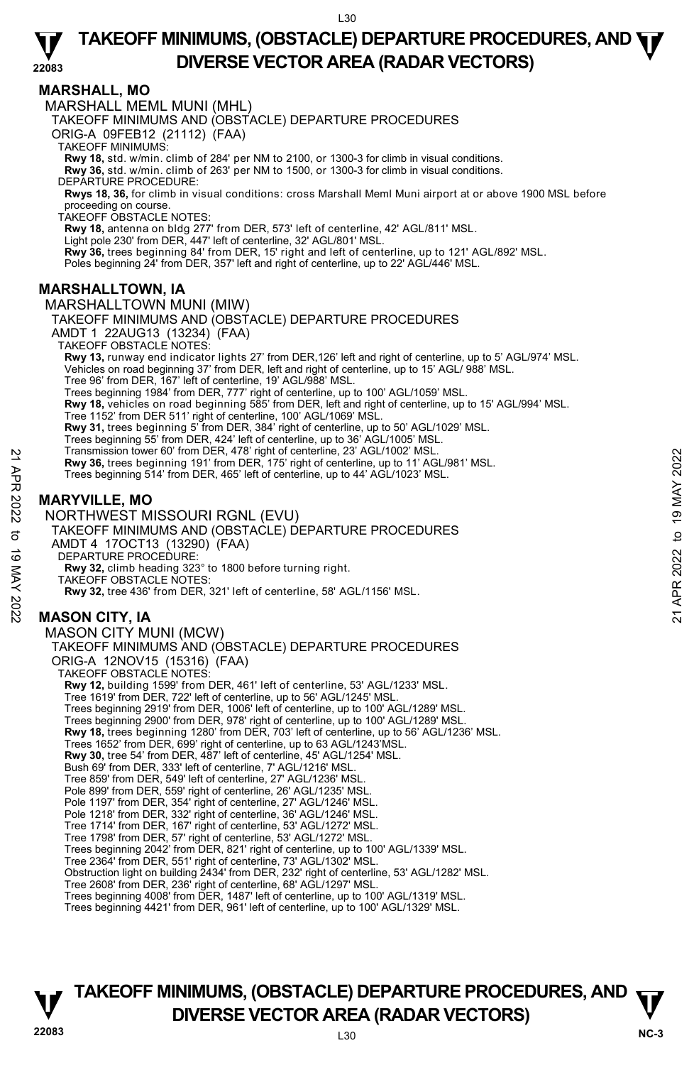### **MARSHALL, MO**

MARSHALL MEML MUNI (MHL)

TAKEOFF MINIMUMS AND (OBSTACLE) DEPARTURE PROCEDURES

ORIG-A 09FEB12 (21112) (FAA)

TAKEOFF MINIMUMS:

**Rwy 18,** std. w/min. climb of 284' per NM to 2100, or 1300-3 for climb in visual conditions. **Rwy 36,** std. w/min. climb of 263' per NM to 1500, or 1300-3 for climb in visual conditions.

DEPARTURE PROCEDURE:

**Rwys 18, 36,** for climb in visual conditions: cross Marshall Meml Muni airport at or above 1900 MSL before

proceeding on course. TAKEOFF OBSTACLE NOTES:

**Rwy 18,** antenna on bldg 277' from DER, 573' left of centerline, 42' AGL/811' MSL. Light pole 230' from DER, 447' left of centerline, 32' AGL/801' MSL.<br>**Rwy 36,** trees beginning 84' from DER, 15' right and left of centerline, up to 121' AGL/892' MSL. Poles beginning 24' from DER, 357' left and right of centerline, up to 22' AGL/446' MSL.

### **MARSHALLTOWN, IA**

MARSHALLTOWN MUNI (MIW) TAKEOFF MINIMUMS AND (OBSTACLE) DEPARTURE PROCEDURES AMDT 1 22AUG13 (13234) (FAA) TAKEOFF OBSTACLE NOTES: **Rwy 13,** runway end indicator lights 27' from DER,126' left and right of centerline, up to 5' AGL/974' MSL. Vehicles on road beginning 37' from DER, left and right of centerline, up to 15' AGL/ 988' MSL. Tree 96' from DER, 167' left of centerline, 19' AGL/988' MSL. Trees beginning 1984' from DER, 777' right of centerline, up to 100' AGL/1059' MSL. **Rwy 18,** vehicles on road beginning 585' from DER, left and right of centerline, up to 15' AGL/994' MSL. Tree 1152' from DER 511' right of centerline, 100' AGL/1069' MSL. **Rwy 31,** trees beginning 5' from DER, 384' right of centerline, up to 50' AGL/1029' MSL. Trees beginning 55' from DER, 424' left of centerline, up to 36' AGL/1005' MSL. Transmission tower 60' from DER, 478' right of centerline, 23' AGL/1002' MSL. **Rwy 36,** trees beginning 191' from DER, 175' right of centerline, up to 11' AGL/981' MSL. Trees beginning 514' from DER, 465' left of centerline, up to 44' AGL/1023' MSL. **MARYVILLE, MO**  NORTHWEST MISSOURI RGNL (EVU) TAKEOFF MINIMUMS AND (OBSTACLE) DEPARTURE PROCEDURES AMDT 4 17OCT13 (13290) (FAA) DEPARTURE PROCEDURE **Rwy 32,** climb heading 323° to 1800 before turning right. TAKÉOFF OBSTACLE NOTES: **Rwy 32,** tree 436' from DER, 321' left of centerline, 58' AGL/1156' MSL. **MASON CITY, IA**  MASON CITY MUNI (MCW) TAKEOFF MINIMUMS AND (OBSTACLE) DEPARTURE PROCEDURES ORIG-A 12NOV15 (15316) (FAA) TAKEOFF OBSTACLE NOTES: Revision lower but the New York of the May 16, these beginning 191' from DER, 175' right of centerline, up to 11' AGL/981' MSL.<br>Trees beginning 514' from DER, 465' left of centerline, up to 14' AGL/981' MSL.<br>Trees beginnin

**Rwy 12,** building 1599' from DER, 461' left of centerline, 53' AGL/1233' MSL. Tree 1619' from DER, 722' left of centerline, up to 56' AGL/1245' MSL. Trees beginning 2919' from DER, 1006' left of centerline, up to 100' AGL/1289' MSL. Trees beginning 2900' from DER, 978' right of centerline, up to 100' AGL/1289' MSL. **Rwy 18,** trees beginning 1280' from DER, 703' left of centerline, up to 56' AGL/1236' MSL. Trees 1652' from DER, 699' right of centerline, up to 63 AGL/1243'MSL. **Rwy 30,** tree 54' from DER, 487' left of centerline, 45' AGL/1254' MSL. Bush 69' from DER, 333' left of centerline, 7' AGL/1216' MSL. Tree 859' from DER, 549' left of centerline, 27' AGL/1236' MSL. Pole 899' from DER, 559' right of centerline, 26' AGL/1235' MSL. Pole 1197' from DER, 354' right of centerline, 27' AGL/1246' MSL. Pole 1218' from DER, 332' right of centerline, 36' AGL/1246' MSL. Tree 1714' from DER, 167' right of centerline, 53' AGL/1272' MSL. Tree 1798' from DER, 57' right of centerline, 53' AGL/1272' MSL. Trees beginning 2042' from DER, 821' right of centerline, up to 100' AGL/1339' MSL. Tree 2364' from DER, 551' right of centerline, 73' AGL/1302' MSL. Obstruction light on building 2434' from DER, 232' right of centerline, 53' AGL/1282' MSL. Tree 2608' from DER, 236' right of centerline, 68' AGL/1297' MSL. Trees beginning 4008' from DER, 1487' left of centerline, up to 100' AGL/1319' MSL. Trees beginning 4421' from DER, 961' left of centerline, up to 100' AGL/1329' MSL.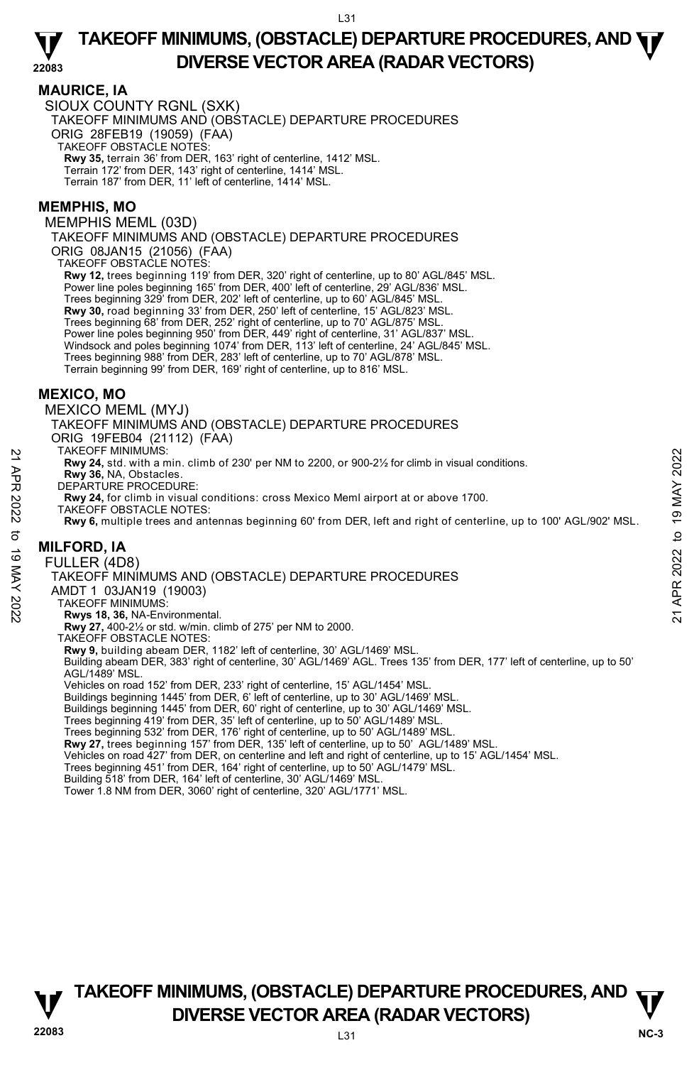#### **MAURICE, IA**

SIOUX COUNTY RGNL (SXK) TAKEOFF MINIMUMS AND (OBSTACLE) DEPARTURE PROCEDURES ORIG 28FEB19 (19059) (FAA) TAKEOFF OBSTACLE NOTES: **Rwy 35,** terrain 36' from DER, 163' right of centerline, 1412' MSL. Terrain 172' from DER, 143' right of centerline, 1414' MSL. Terrain 187' from DER, 11' left of centerline, 1414' MSL.

#### **MEMPHIS, MO**

MEMPHIS MEML (03D)

TAKEOFF MINIMUMS AND (OBSTACLE) DEPARTURE PROCEDURES

ORIG 08JAN15 (21056) (FAA) TAKEOFF OBSTACLE NOTES:

**Rwy 12,** trees beginning 119' from DER, 320' right of centerline, up to 80' AGL/845' MSL. Power line poles beginning 165' from DER, 400' left of centerline, 29' AGL/836' MSL. Trees beginning 329' from DER, 202' left of centerline, up to 60' AGL/845' MSL. **Rwy 30,** road beginning 33' from DER, 250' left of centerline, 15' AGL/823' MSL. Trees beginning 68' from DER, 252' right of centerline, up to 70' AGL/875' MSL. Power line poles beginning 950' from DER, 449' right of centerline, 31' AGL/837' MSL. Windsock and poles beginning 1074' from DER, 113' left of centerline, 24' AGL/845' MSL. Trees beginning 988' from DER, 283' left of centerline, up to 70' AGL/878' MSL. Terrain beginning 99' from DER, 169' right of centerline, up to 816' MSL.

# **MEXICO, MO**

MEXICO MEML (MYJ) TAKEOFF MINIMUMS AND (OBSTACLE) DEPARTURE PROCEDURES ORIG 19FEB04 (21112) (FAA) TAKEOFF MINIMUMS: **Rwy 24,** std. with a min. climb of 230' per NM to 2200, or 900-2½ for climb in visual conditions. **Rwy 36,** NA, Obstacles. DEPARTURE PROCEDURE: **Rwy 24,** for climb in visual conditions: cross Mexico Meml airport at or above 1700. TAKEOFF OBSTACLE NOTES: 22 TAKEOFF MINIMUMS:<br>
22 TAKEOFF MINIMUMS:<br>
22 Rwy 24, std. with a min. climb of 230' per NM to 2200, or 900-2½ for climb in visual conditions.<br>
22 Rwy 36, NA, Obstacles.<br>
22 Rwy 8, multiple trees and antennas beginning 6

**Rwy 6,** multiple trees and antennas beginning 60' from DER, left and right of centerline, up to 100' AGL/902' MSL.

# **MILFORD, IA**

FULLER (4D8)

TAKEOFF MINIMUMS AND (OBSTACLE) DEPARTURE PROCEDURES

AMDT 1 03JAN19 (19003)

TAKEOFF MINIMUMS:

**Rwys 18, 36,** NA-Environmental. **Rwy 27,** 400-2½ or std. w/min. climb of 275' per NM to 2000.

TAKEOFF OBSTACLE NOTES:

**Rwy 9,** building abeam DER, 1182' left of centerline, 30' AGL/1469' MSL.

Building abeam DER, 383' right of centerline, 30' AGL/1469' AGL. Trees 135' from DER, 177' left of centerline, up to 50' AGL/1489' MSL.

Vehicles on road 152' from DER, 233' right of centerline, 15' AGL/1454' MSL.<br>Buildings beginning 1445' from DER, 6' left of centerline, up to 30' AGL/1469' MSL.<br>Buildings beginning 1445' from DER, 60' right of centerline,

Trees beginning 419' from DER, 35' left of centerline, up to 50' AGL/1489' MSL. Trees beginning 532' from DER, 176' right of centerline, up to 50' AGL/1489' MSL.

**Rwy 27,** trees beginning 157' from DER, 135' left of centerline, up to 50' AGL/1489' MSL.

Vehicles on road 427' from DER, on centerline and left and right of centerline, up to 15' AGL/1454' MSL.

Trees beginning 451' from DER, 164' right of centerline, up to 50' AGL/1479' MSL.

Building 518' from DER, 164' left of centerline, 30' AGL/1469' MSL.

Tower 1.8 NM from DER, 3060' right of centerline, 320' AGL/1771' MSL.

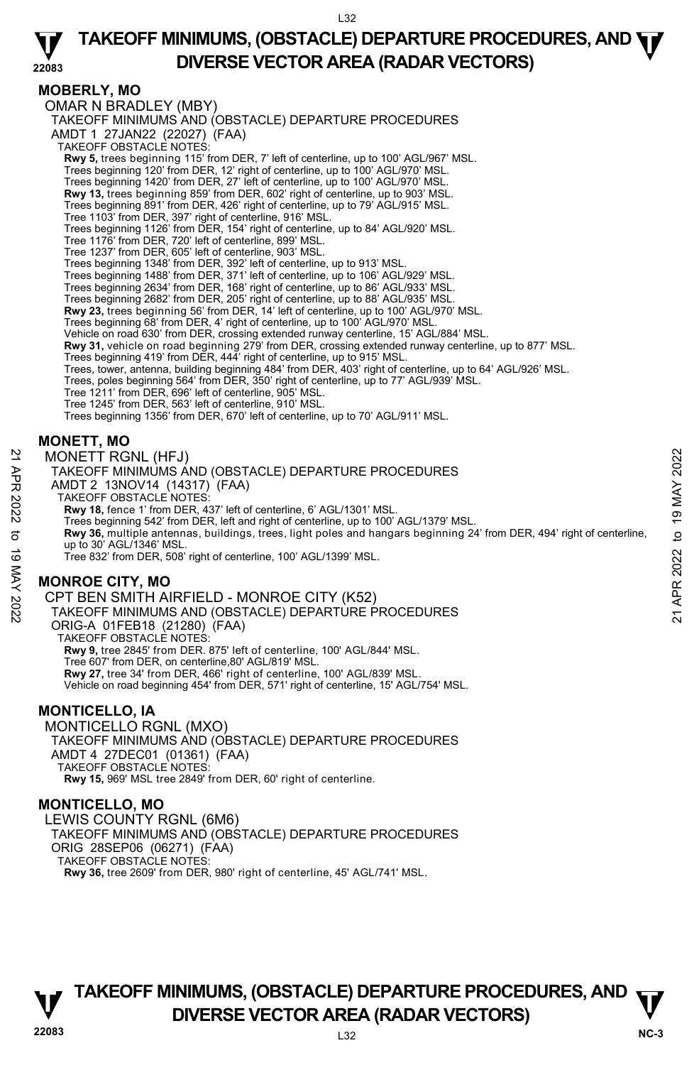#### **22083 TAKEOFF MINIMUMS, (OBSTACLE) DEPARTURE PROCEDURES, AND**  $\Psi$ **DIVERSE VECTOR AREA (RADAR VECTORS)**

# **MOBERLY, MO**

OMAR N BRADLEY (MBY) TAKEOFF MINIMUMS AND (OBSTACLE) DEPARTURE PROCEDURES AMDT 1 27JAN22 (22027) (FAA) TAKEOFF OBSTACLE NOTES: **Rwy 5,** trees beginning 115' from DER, 7' left of centerline, up to 100' AGL/967' MSL. Trees beginning 120' from DER, 12' right of centerline, up to 100' AGL/970' MSL. Trees beginning 1420' from DER, 27' left of centerline, up to 100' AGL/970' MSL. **Rwy 13,** trees beginning 859' from DER, 602' right of centerline, up to 903' MSL. Trees beginning 891' from DER, 426' right of centerline, up to 79' AGL/915' MSL. Tree 1103' from DER, 397' right of centerline, 916' MSL. Trees beginning 1126' from DER, 154' right of centerline, up to 84' AGL/920' MSL. Tree 1176' from DER, 720' left of centerline, 899' MSL. Tree 1237' from DER, 605' left of centerline, 903' MSL. Trees beginning 1348' from DER, 392' left of centerline, up to 913' MSL.<br>Trees beginning 1488' from DER, 371' left of centerline, up to 106' AGL/929' MSL.<br>Trees beginning 2634' from DER, 168' right of centerline, up to 86' Trees beginning 2682' from DER, 205' right of centerline, up to 88' AGL/935' MSL. **Rwy 23,** trees beginning 56' from DER, 14' left of centerline, up to 100' AGL/970' MSL. Trees beginning 68' from DER, 4' right of centerline, up to 100' AGL/970' MSL. Vehicle on road 630' from DER, crossing extended runway centerline, 15' AGL/884' MSL. **Rwy 31,** vehicle on road beginning 279' from DER, crossing extended runway centerline, up to 877' MSL. Trees beginning 419' from DER, 444' right of centerline, up to 915' MSL. Trees, tower, antenna, building beginning 484' from DER, 403' right of centerline, up to 64' AGL/926' MSL. Trees, poles beginning 564' from DER, 350' right of centerline, up to 77' AGL/939' MSL. Tree 1211' from DER, 696' left of centerline, 905' MSL. Tree 1245' from DER, 563' left of centerline, 910' MSL. Trees beginning 1356' from DER, 670' left of centerline, up to 70' AGL/911' MSL. **MONETT, MO**  MONETT RGNL (HFJ) TAKEOFF MINIMUMS AND (OBSTACLE) DEPARTURE PROCEDURES AMDT 2 13NOV14 (14317) (FAA) MONETT RGNL (HFJ)<br>
TAKEOFF MINIMUMS AND (OBSTACLE) DEPARTURE PROCEDURES<br>
AMDT 2 13NOV14 (14317) (FAA)<br>
NATION 14 (14317) (FAA)<br>
TAKEOFF OBSTACLE NOTES:<br> **RWY 18**, fence 1' from DER, 437' left of centerline, 6' AGL/1301' MS

TAKEOFF OBSTACLE NOTES:

**Rwy 18,** fence 1' from DER, 437' left of centerline, 6' AGL/1301' MSL.

Trees beginning 542' from DER, left and right of centerline, up to 100' AGL/1379' MSL. **Rwy 36,** multiple antennas, buildings, trees, light poles and hangars beginning 24' from DER, 494' right of centerline, up to 30' AGL/1346' MSL.

Tree 832' from DER, 508' right of centerline, 100' AGL/1399' MSL.

# **MONROE CITY, MO**

CPT BEN SMITH AIRFIELD - MONROE CITY (K52)

TAKEOFF MINIMUMS AND (OBSTACLE) DEPARTURE PROCEDURES

ORIG-A 01FEB18 (21280) (FAA) TAKEOFF OBSTACLE NOTES:

**Rwy 9,** tree 2845' from DER. 875' left of centerline, 100' AGL/844' MSL.

Tree 607' from DER, on centerline,80' AGL/819' MSL.

**Rwy 27,** tree 34' from DER, 466' right of centerline, 100' AGL/839' MSL.

Vehicle on road beginning 454' from DER, 571' right of centerline, 15' AGL/754' MSL.

# **MONTICELLO, IA**

MONTICELLO RGNL (MXO) TAKEOFF MINIMUMS AND (OBSTACLE) DEPARTURE PROCEDURES AMDT 4 27DEC01 (01361) (FAA) TAKEOFF OBSTACLE NOTES: **Rwy 15,** 969' MSL tree 2849' from DER, 60' right of centerline.

#### **MONTICELLO, MO**

LEWIS COUNTY RGNL (6M6) TAKEOFF MINIMUMS AND (OBSTACLE) DEPARTURE PROCEDURES ORIG 28SEP06 (06271) (FAA) TAKEOFF OBSTACLE NOTES: **Rwy 36,** tree 2609' from DER, 980' right of centerline, 45' AGL/741' MSL.

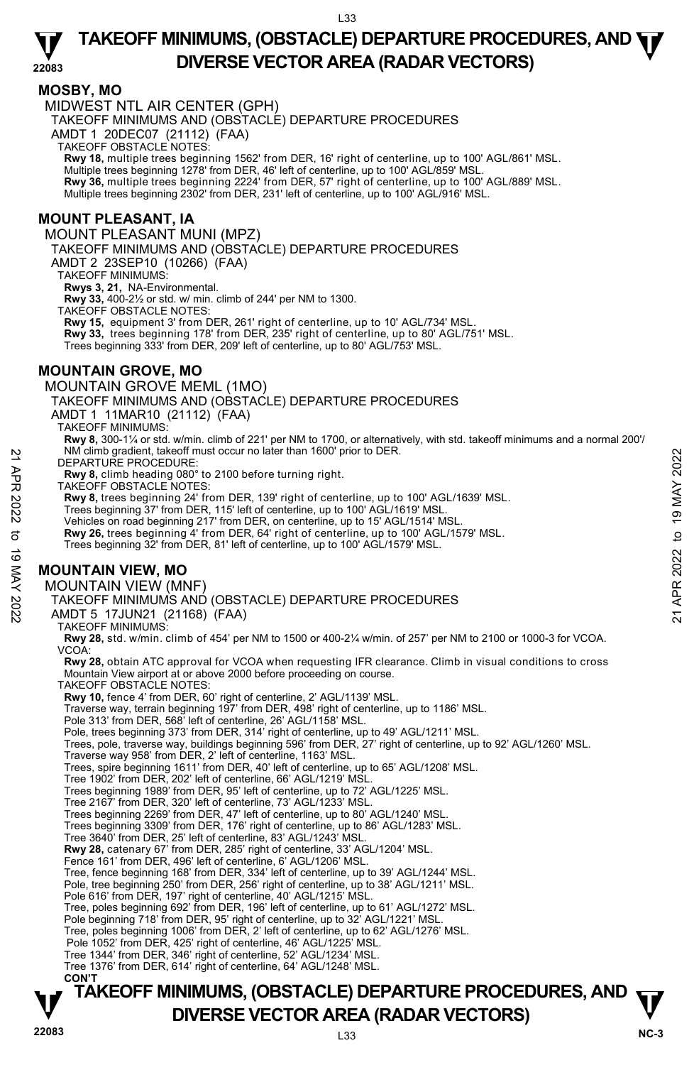#### **MOSBY, MO**

MIDWEST NTL AIR CENTER (GPH)

TAKEOFF MINIMUMS AND (OBSTACLE) DEPARTURE PROCEDURES

AMDT 1 20DEC07 (21112) (FAA)

TAKEOFF OBSTACLE NOTES:

**Rwy 18,** multiple trees beginning 1562' from DER, 16' right of centerline, up to 100' AGL/861' MSL.<br>Multiple trees beginning 1278' from DER, 46' left of centerline, up to 100' AGL/859' MSL. **Rwy 36,** multiple trees beginning 2224' from DER, 57' right of centerline, up to 100' AGL/889' MSL. Multiple trees beginning 2302' from DER, 231' left of centerline, up to 100' AGL/916' MSL.

# **MOUNT PLEASANT, IA**

MOUNT PLEASANT MUNI (MPZ)

TAKEOFF MINIMUMS AND (OBSTACLE) DEPARTURE PROCEDURES

AMDT 2 23SEP10 (10266) (FAA)

TAKEOFF MINIMUMS:

**Rwys 3, 21,** NA-Environmental.

**Rwy 33,** 400-2½ or std. w/ min. climb of 244' per NM to 1300.

TAKEOFF OBSTACLE NOTES:

**Rwy 15,** equipment 3' from DER, 261' right of centerline, up to 10' AGL/734' MSL. **Rwy 33,** trees beginning 178' from DER, 235' right of centerline, up to 80' AGL/751' MSL. Trees beginning 333' from DER, 209' left of centerline, up to 80' AGL/753' MSL.

### **MOUNTAIN GROVE, MO**

MOUNTAIN GROVE MEML (1MO)

TAKEOFF MINIMUMS AND (OBSTACLE) DEPARTURE PROCEDURES

AMDT 1 11MAR10 (21112) (FAA)

TAKEOFF MINIMUMS:

**Rwy 8,** 300-1¼ or std. w/min. climb of 221' per NM to 1700, or alternatively, with std. takeoff minimums and a normal 200'/ NM climb gradient, takeoff must occur no later than 1600' prior to DER. N M climb gradent, takeof must occur no later than 1600' prior to DER.<br>
22 DEPARTURE PROCEDURE:<br>
TAKEOFF OBSTACLE NOTES:<br>
TAW 8, climb heading 080° to 2100 before turning right.<br>
22 TAKEOFF Minicis on rod 2022 from DER, 1

DEPARTURE PROCEDURE:

**Rwy 8,** climb heading 080° to 2100 before turning right. TAKEOFF OBSTACLE NOTES:

**Rwy 8,** trees beginning 24' from DER, 139' right of centerline, up to 100' AGL/1639' MSL.

Trees beginning 37' from DER, 115' left of centerline, up to 100' AGL/1619' MSL.

Vehicles on road beginning 217' from DER, on centerline, up to 15' AGL/1514' MSL.<br>**Rwy 26,** trees beginning 4' from DER, 64' right of centerline, up to 100' AGL/1579' MSL.

Trees beginning 32' from DER, 81' left of centerline, up to 100' AGL/1579' MSL.

# **MOUNTAIN VIEW, MO**

#### MOUNTAIN VIEW (MNF)

TAKEOFF MINIMUMS AND (OBSTACLE) DEPARTURE PROCEDURES

AMDT 5 17JUN21 (21168) (FAA)

TAKEOFF MINIMUMS:

**Rwy 28,** std. w/min. climb of 454' per NM to 1500 or 400-2¼ w/min. of 257' per NM to 2100 or 1000-3 for VCOA. VCOA:

**Rwy 28,** obtain ATC approval for VCOA when requesting IFR clearance. Climb in visual conditions to cross Mountain View airport at or above 2000 before proceeding on course.

TAKEOFF OBSTACLE NOTES:

**Rwy 10,** fence 4' from DER, 60' right of centerline, 2' AGL/1139' MSL.

Traverse way, terrain beginning 197' from DER, 498' right of centerline, up to 1186' MSL.

Pole 313' from DER, 568' left of centerline, 26' AGL/1158' MSL.

Pole, trees beginning 373' from DER, 314' right of centerline, up to 49' AGL/1211' MSL.

Trees, pole, traverse way, buildings beginning 596' from DER, 27' right of centerline, up to 92' AGL/1260' MSL.

Traverse way 958' from DER, 2' left of centerline, 1163' MSL.

Trees, spire beginning 1611' from DER, 40' left of centerline, up to 65' AGL/1208' MSL.

Tree 1902' from DER, 202' left of centerline, 66' AGL/1219' MSL.

Trees beginning 1989' from DER, 95' left of centerline, up to 72' AGL/1225' MSL.

Tree 2167' from DER, 320' left of centerline, 73' AGL/1233' MSL. Trees beginning 2269' from DER, 47' left of centerline, up to 80' AGL/1240' MSL.

Trees beginning 3309' from DER, 176' right of centerline, up to 86' AGL/1283' MSL.

Tree 3640' from DER, 25' left of centerline, 83' AGL/1243' MSL.  **Rwy 28,** catenary 67' from DER, 285' right of centerline, 33' AGL/1204' MSL.

Fence 161' from DER, 496' left of centerline, 6' AGL/1206' MSL.

Tree, fence beginning 168' from DER, 334' left of centerline, up to 39' AGL/1244' MSL.

Pole, tree beginning 250' from DER, 256' right of centerline, up to 38' AGL/1211' MSL. Pole 616' from DER, 197' right of centerline, 40' AGL/1215' MSL.

Tree, poles beginning 692' from DER, 196' left of centerline, up to 61' AGL/1272' MSL.

Pole beginning 718' from DER, 95' right of centerline, up to 32' AGL/1221' MSL.

Tree, poles beginning 1006' from DER, 2' left of centerline, up to 62' AGL/1276' MSL.

Pole 1052' from DER, 425' right of centerline, 46' AGL/1225' MSL.

Tree 1344' from DER, 346' right of centerline, 52' AGL/1234' MSL.<br>Tree 1376' from DER, 614' right of centerline, 64' AGL/1248' MSL.<br>**CON'T**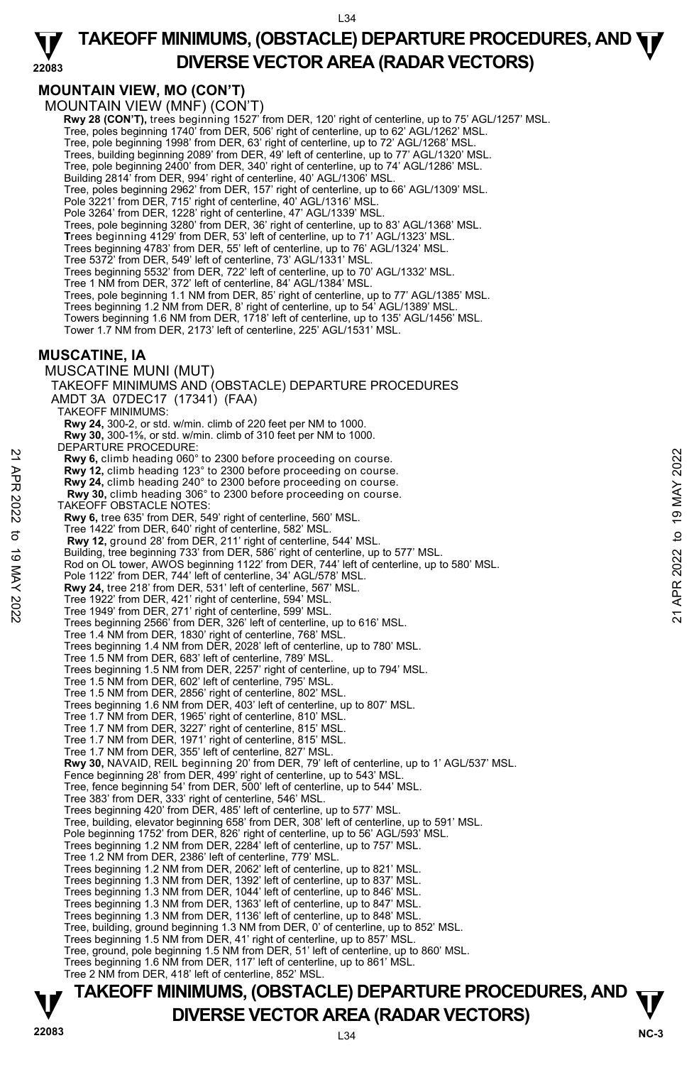#### **22083 TAKEOFF MINIMUMS, (OBSTACLE) DEPARTURE PROCEDURES, AND**  $\Psi$ **DIVERSE VECTOR AREA (RADAR VECTORS)**

# **MOUNTAIN VIEW, MO (CON'T)**

MOUNTAIN VIEW (MNF) (CON'T)

**Rwy 28 (CON'T)**, trees beginning 1527' from DER, 120' right of centerline, up to 75' AGL/1257' MSL.<br>Tree, poles beginning 1740' from DER, 506' right of centerline, up to 62' AGL/1262' MSL.

Tree, pole beginning 1998' from DER, 63' right of centerline, up to 72' AGL/1268' MSL.

Trees, building beginning 2089' from DER, 49' left of centerline, up to 77' AGL/1320' MSL.

Tree, pole beginning 2400' from DER, 340' right of centerline, up to 74' AGL/1286' MSL. Building 2814' from DER, 994' right of centerline, 40' AGL/1306' MSL.

Tree, poles beginning 2962' from DER, 157' right of centerline, up to 66' AGL/1309' MSL.

Pole 3221' from DER, 715' right of centerline, 40' AGL/1316' MSL.

Pole 3264' from DER, 1228' right of centerline, 47' AGL/1339' MSL

Trees, pole beginning 3280' from DER, 36' right of centerline, up to 83' AGL/1368' MSL.

**T**rees beginning 4129' from DER, 53' left of centerline, up to 71' AGL/1323' MSL.

Trees beginning 4783' from DER, 55' left of centerline, up to 76' AGL/1324' MSL.

Tree 5372' from DER, 549' left of centerline, 73' AGL/1331' MSL.

Trees beginning 5532' from DER, 722' left of centerline, up to 70' AGL/1332' MSL.

Tree 1 NM from DER, 372' left of centerline, 84' AGL/1384' MSL.

Trees, pole beginning 1.1 NM from DER, 85' right of centerline, up to 77' AGL/1385' MSL.

Trees beginning 1.2 NM from DER, 8' right of centerline, up to 54' AGL/1389' MSL.

Towers beginning 1.6 NM from DER, 1718' left of centerline, up to 135' AGL/1456' MSL. Tower 1.7 NM from DER, 2173' left of centerline, 225' AGL/1531' MSL.

### **MUSCATINE, IA**

MUSCATINE MUNI (MUT) TAKEOFF MINIMUMS AND (OBSTACLE) DEPARTURE PROCEDURES AMDT 3A 07DEC17 (17341) (FAA) TAKEOFF MINIMUMS: **Rwy 24,** 300-2, or std. w/min. climb of 220 feet per NM to 1000. **Rwy 30,** 300-1⅝, or std. w/min. climb of 310 feet per NM to 1000. DEPARTURE PROCEDURE: **Rwy 6,** climb heading 060° to 2300 before proceeding on course. **Rwy 12,** climb heading 123° to 2300 before proceeding on course. **Rwy 24,** climb heading 240° to 2300 before proceeding on course. **Rwy 30,** climb heading 306° to 2300 before proceeding on course. TAKEOFF OBSTACLE NOTES: **Rwy 6,** tree 635' from DER, 549' right of centerline, 560' MSL. Tree 1422' from DER, 640' right of centerline, 582' MSL. **Rwy 12,** ground 28' from DER, 211' right of centerline, 544' MSL. Building, tree beginning 733' from DER, 586' right of centerline, up to 577' MSL. Rod on OL tower, AWOS beginning 1122' from DER, 744' left of centerline, up to 580' MSL. Pole 1122' from DER, 744' left of centerline, 34' AGL/578' MSL. **Rwy 24,** tree 218' from DER, 531' left of centerline, 567' MSL. Tree 1922' from DER, 421' right of centerline, 594' MSL. Tree 1949' from DER, 271' right of centerline, 599' MSL. Trees beginning 2566' from DER, 326' left of centerline, up to 616' MSL. Tree 1.4 NM from DER, 1830' right of centerline, 768' MSL. Trees beginning 1.4 NM from DER, 2028' left of centerline, up to 780' MSL. Tree 1.5 NM from DER, 683' left of centerline, 789' MSL. Trees beginning 1.5 NM from DER, 2257' right of centerline, up to 794' MSL. Tree 1.5 NM from DER, 602' left of centerline, 795' MSL. Tree 1.5 NM from DER, 2856' right of centerline, 802' MSL. Trees beginning 1.6 NM from DER, 403' left of centerline, up to 807' MSL. Tree 1.7 NM from DER, 1965' right of centerline, 810' MSL. Tree 1.7 NM from DER, 3227' right of centerline, 815' MSL. Tree 1.7 NM from DER, 1971' right of centerline, 815' MSL. Tree 1.7 NM from DER, 355' left of centerline, 827' MSL. **Rwy 30,** NAVAID, REIL beginning 20' from DER, 79' left of centerline, up to 1' AGL/537' MSL.<br>Fence beginning 28' from DER, 499' right of centerline, up to 543' MSL. Tree, fence beginning 54' from DER, 500' left of centerline, up to 544' MSL. Tree 383' from DER, 333' right of centerline, 546' MSL. Trees beginning 420' from DER, 485' left of centerline, up to 577' MSL. Tree, building, elevator beginning 658' from DER, 308' left of centerline, up to 591' MSL. Pole beginning 1752' from DER, 826' right of centerline, up to 56' AGL/593' MSL. Trees beginning 1.2 NM from DER, 2284' left of centerline, up to 757' MSL. Tree 1.2 NM from DER, 2386' left of centerline, 779' MSL. Trees beginning 1.2 NM from DER, 2062' left of centerline, up to 821' MSL. Trees beginning 1.3 NM from DER, 1392' left of centerline, up to 837' MSL. Trees beginning 1.3 NM from DER, 1044' left of centerline, up to 846' MSL. Trees beginning 1.3 NM from DER, 1363' left of centerline, up to 847' MSL. Trees beginning 1.3 NM from DER, 1136' left of centerline, up to 848' MSL. Tree, building, ground beginning 1.3 NM from DER, 0' of centerline, up to 852' MSL. Trees beginning 1.5 NM from DER, 41' right of centerline, up to 857' MSL. Tree, ground, pole beginning 1.5 NM from DER, 51' left of centerline, up to 860' MSL. Trees beginning 1.6 NM from DER, 117' left of centerline, up to 861' MSL. Tree 2 NM from DER, 418' left of centerline, 852' MSL. Envy 6, climb heading 060° to 2300 before proceeding on course.<br>
Rwy 6, climb heading 249° to 2300 before proceeding on course.<br>
Rwy 24, climb heading 240° to 2300 before proceeding on course.<br>
Rwy 30, climb heading 306°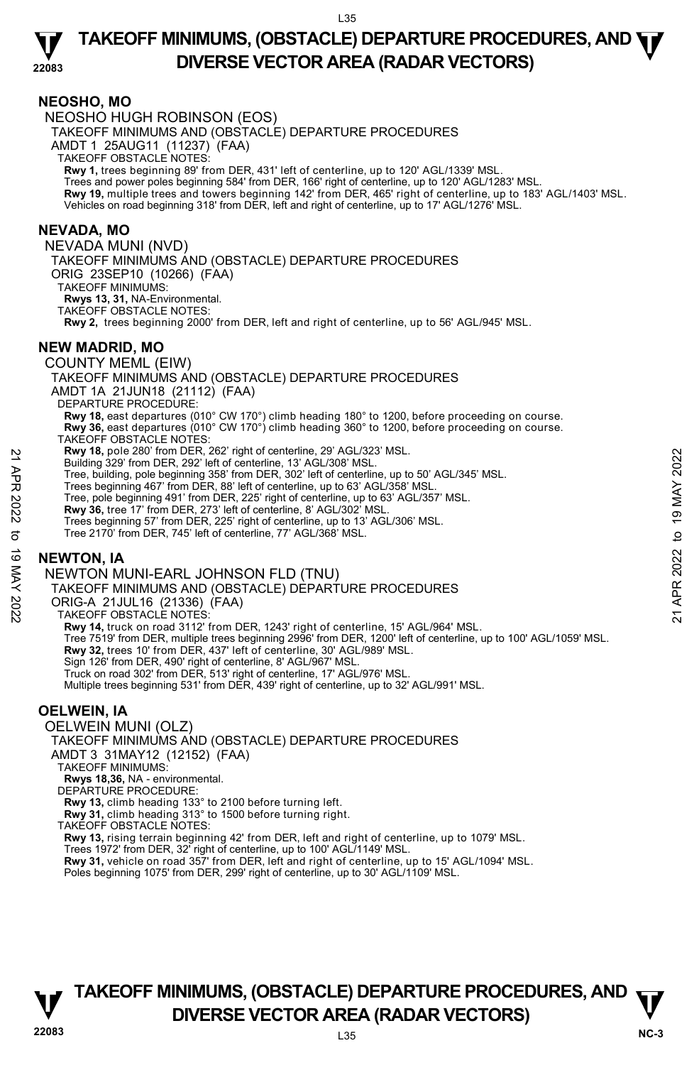#### **22083 TAKEOFF MINIMUMS, (OBSTACLE) DEPARTURE PROCEDURES, AND**  $\Psi$ **DIVERSE VECTOR AREA (RADAR VECTORS)**

### **NEOSHO, MO**

NEOSHO HUGH ROBINSON (EOS) TAKEOFF MINIMUMS AND (OBSTACLE) DEPARTURE PROCEDURES AMDT 1 25AUG11 (11237) (FAA) TAKEOFF OBSTACLE NOTES: **Rwy 1,** trees beginning 89' from DER, 431' left of centerline, up to 120' AGL/1339' MSL. Trees and power poles beginning 584' from DER, 166' right of centerline, up to 120' AGL/1283' MSL. **Rwy 19,** multiple trees and towers beginning 142' from DER, 465' right of centerline, up to 183' AGL/1403' MSL. Vehicles on road beginning 318' from DER, left and right of centerline, up to 17' AGL/1276' MSL.

# **NEVADA, MO**

NEVADA MUNI (NVD) TAKEOFF MINIMUMS AND (OBSTACLE) DEPARTURE PROCEDURES ORIG 23SEP10 (10266) (FAA) TAKEOFF MINIMUMS: **Rwys 13, 31,** NA-Environmental. TAKEOFF OBSTACLE NOTES: **Rwy 2,** trees beginning 2000' from DER, left and right of centerline, up to 56' AGL/945' MSL. **NEW MADRID, MO**  COUNTY MEML (EIW) TAKEOFF MINIMUMS AND (OBSTACLE) DEPARTURE PROCEDURES AMDT 1A 21JUN18 (21112) (FAA) DEPARTURE PROCEDURE: **Rwy 18,** east departures (010° CW 170°) climb heading 180° to 1200, before proceeding on course. **Rwy 36,** east departures (010° CW 170°) climb heading 360° to 1200, before proceeding on course. TAKEOFF OBSTACLE NOTES: **Rwy 18,** pole 280' from DER, 262' right of centerline, 29' AGL/323' MSL. Building 329' from DER, 292' left of centerline, 13' AGL/308' MSL. Tree, building, pole beginning 358' from DER, 302' left of centerline, up to 50' AGL/345' MSL. Trees beginning 467' from DER, 88' left of centerline, up to 63' AGL/358' MSL. Tree, pole beginning 491' from DER, 225' right of centerline, up to 63' AGL/357' MSL. **Rwy 36,** tree 17' from DER, 273' left of centerline, 8' AGL/302' MSL. Trees beginning 57' from DER, 225' right of centerline, up to 13' AGL/306' MSL. Tree 2170' from DER, 745' left of centerline, 77' AGL/368' MSL. **EXAMPLE AND THE SET AND THE SET AND THE SET AND THE SET AND THE SET AND RESPONSE THE CONDUCT THE SUIDER AND THE SET AND THE SET AND THE SET AND THE SET AND THE SET AND THE SET AND THE SET AND THE SET AND THE SET AND THE** 

# **NEWTON, IA**

NEWTON MUNI-EARL JOHNSON FLD (TNU)

TAKEOFF MINIMUMS AND (OBSTACLE) DEPARTURE PROCEDURES

ORIG-A 21JUL16 (21336) (FAA)

TAKEOFF OBSTACLE NOTES:

**Rwy 14,** truck on road 3112' from DER, 1243' right of centerline, 15' AGL/964' MSL.

Tree 7519' from DER, multiple trees beginning 2996' from DER, 1200' left of centerline, up to 100' AGL/1059' MSL.

**Rwy 32,** trees 10' from DER, 437' left of centerline, 30' AGL/989' MSL.

Sign 126' from DER, 490' right of centerline, 8' AGL/967' MSL.

Truck on road 302' from DER, 513' right of centerline, 17' AGL/976' MSL.

Multiple trees beginning 531' from DER, 439' right of centerline, up to 32' AGL/991' MSL.

# **OELWEIN, IA**

OELWEIN MUNI (OLZ) TAKEOFF MINIMUMS AND (OBSTACLE) DEPARTURE PROCEDURES AMDT 3 31MAY12 (12152) (FAA) TAKEOFF MINIMUMS: **Rwys 18,36,** NA - environmental. DEPARTURE PROCEDURE: **Rwy 13,** climb heading 133° to 2100 before turning left. **Rwy 31,** climb heading 313° to 1500 before turning right. TAKEOFF OBSTACLE NOTES: **Rwy 13,** rising terrain beginning 42' from DER, left and right of centerline, up to 1079' MSL.<br>Trees 1972' from DER, 32' right of centerline, up to 100' AGL/1149' MSL.

**Rwy 31,** vehicle on road 357' from DER, left and right of centerline, up to 15' AGL/1094' MSL. Poles beginning 1075' from DER, 299' right of centerline, up to 30' AGL/1109' MSL.

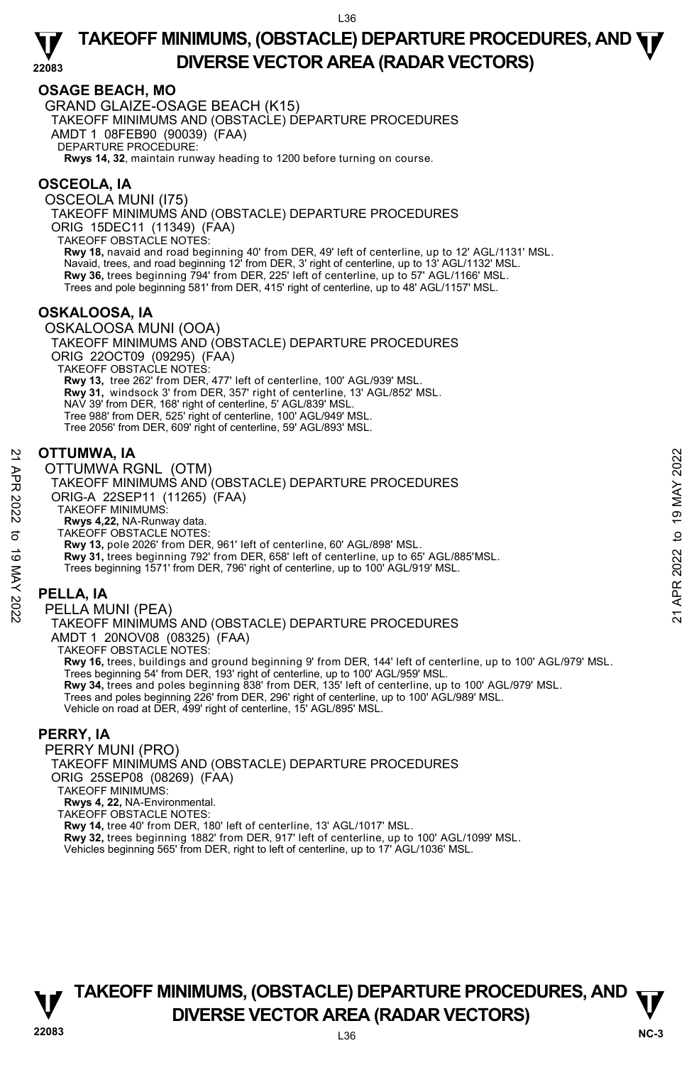# **OSAGE BEACH, MO**

GRAND GLAIZE-OSAGE BEACH (K15) TAKEOFF MINIMUMS AND (OBSTACLE) DEPARTURE PROCEDURES AMDT 1 08FEB90 (90039) (FAA) DEPARTURE PROCEDURE:

**Rwys 14, 32**, maintain runway heading to 1200 before turning on course.

# **OSCEOLA, IA**

OSCEOLA MUNI (I75) TAKEOFF MINIMUMS AND (OBSTACLE) DEPARTURE PROCEDURES ORIG 15DEC11 (11349) (FAA) TAKEOFF OBSTACLE NOTES: **Rwy 18,** navaid and road beginning 40' from DER, 49' left of centerline, up to 12' AGL/1131' MSL. Navaid, trees, and road beginning 12' from DER, 3' right of centerline, up to 13' AGL/1132' MSL. **Rwy 36,** trees beginning 794' from DER, 225' left of centerline, up to 57' AGL/1166' MSL. Trees and pole beginning 581' from DER, 415' right of centerline, up to 48' AGL/1157' MSL.

#### **OSKALOOSA, IA**

OSKALOOSA MUNI (OOA) TAKEOFF MINIMUMS AND (OBSTACLE) DEPARTURE PROCEDURES ORIG 22OCT09 (09295) (FAA) TAKEOFF OBSTACLE NOTES: **Rwy 13,** tree 262' from DER, 477' left of centerline, 100' AGL/939' MSL. **Rwy 31,** windsock 3' from DER, 357' right of centerline, 13' AGL/852' MSL. NAV 39' from DER, 168' right of centerline, 5' AGL/839' MSL. Tree 988' from DER, 525' right of centerline, 100' AGL/949' MSL. Tree 2056' from DER, 609' right of centerline, 59' AGL/893' MSL.

#### **OTTUMWA, IA**

OTTUMWA RGNL (OTM)

TAKEOFF MINIMUMS AND (OBSTACLE) DEPARTURE PROCEDURES ORIG-A 22SEP11 (11265) (FAA) TAKEOFF MINIMUMS:

**Rwys 4,22,** NA-Runway data. TAKEOFF OBSTACLE NOTES:

**Rwy 13,** pole 2026' from DER, 961' left of centerline, 60' AGL/898' MSL. **Rwy 31,** trees beginning 792' from DER, 658' left of centerline, up to 65' AGL/885'MSL. Trees beginning 1571' from DER, 796' right of centerline, up to 100' AGL/919' MSL. 22 **OTTUMWA, IA**<br>
22 **OTTUMWA RGNL** (OTM)<br>
23 TAKEOFF MINIMUMS AND (OBSTACLE) DEPARTURE PROCEDURES<br>
22 TAKEOFF MINIMUMS:<br>
22 NAKEOFF MINIMUMS:<br>
23 TAKEOFF MINIMUMS:<br>
23 TAKEOFF MINIMUMS:<br>
23 TAKEOFF MINIMUMS:<br>
23 TAKEOFF M

# **PELLA, IA**

PELLA MUNI (PEA) TAKEOFF MINIMUMS AND (OBSTACLE) DEPARTURE PROCEDURES AMDT 1 20NOV08 (08325) (FAA) TAKEOFF OBSTACLE NOTES: **Rwy 16,** trees, buildings and ground beginning 9' from DER, 144' left of centerline, up to 100' AGL/979' MSL. Trees beginning 54' from DER, 193' right of centerline, up to 100' AGL/959' MSL.

**Rwy 34,** trees and poles beginning 838' from DER, 135' left of centerline, up to 100' AGL/979' MSL. Trees and poles beginning 226' from DER, 296' right of centerline, up to 100' AGL/989' MSL. Vehicle on road at DER, 499' right of centerline, 15' AGL/895' MSL.

#### **PERRY, IA**

PERRY MUNI (PRO) TAKEOFF MINIMUMS AND (OBSTACLE) DEPARTURE PROCEDURES ORIG 25SEP08 (08269) (FAA) TAKEOFF MINIMUMS: **Rwys 4, 22,** NA-Environmental. TAKEOFF OBSTACLE NOTES:

**Rwy 14,** tree 40' from DER, 180' left of centerline, 13' AGL/1017' MSL.

**Rwy 32,** trees beginning 1882' from DER, 917' left of centerline, up to 100' AGL/1099' MSL.<br>Vehicles beginning 565' from DER, right to left of centerline, up to 17' AGL/1036' MSL.

![](_page_35_Picture_22.jpeg)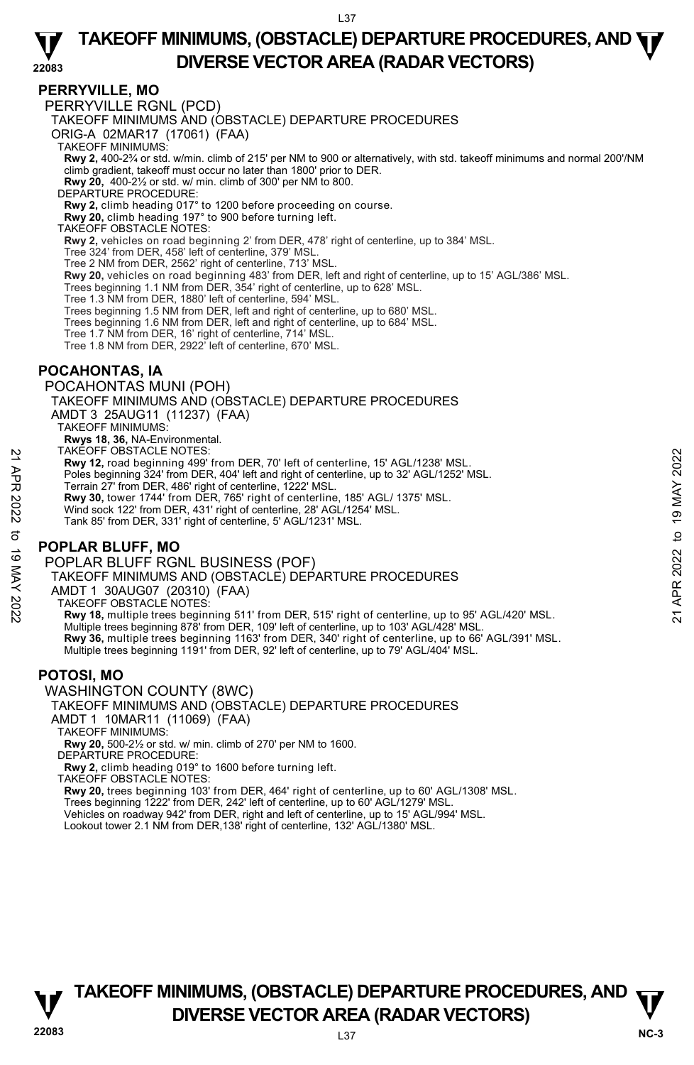**PERRYVILLE, MO**  PERRYVILLE RGNL (PCD) TAKEOFF MINIMUMS AND (OBSTACLE) DEPARTURE PROCEDURES ORIG-A 02MAR17 (17061) (FAA) TAKEOFF MINIMUMS: **Rwy 2,** 400-2¾ or std. w/min. climb of 215' per NM to 900 or alternatively, with std. takeoff minimums and normal 200'/NM climb gradient, takeoff must occur no later than 1800' prior to DER. **Rwy 20,** 400-2½ or std. w/ min. climb of 300' per NM to 800. DEPARTURE PROCEDURE: **Rwy 2,** climb heading 017° to 1200 before proceeding on course. **Rwy 20,** climb heading 197° to 900 before turning left. TAKEOFF OBSTACLE NOTES: **Rwy 2,** vehicles on road beginning 2' from DER, 478' right of centerline, up to 384' MSL. Tree 324' from DER, 458' left of centerline, 379' MSL. Tree 2 NM from DER, 2562' right of centerline, 713' MSL. **Rwy 20,** vehicles on road beginning 483' from DER, left and right of centerline, up to 15' AGL/386' MSL.<br>Trees beginning 1.1 NM from DER, 354' right of centerline, up to 628' MSL. Tree 1.3 NM from DER, 1880' left of centerline, 594' MSL. Trees beginning 1.5 NM from DER, left and right of centerline, up to 680' MSL. Trees beginning 1.6 NM from DER, left and right of centerline, up to 684' MSL. Tree 1.7 NM from DER, 16' right of centerline, 714' MSL. Tree 1.8 NM from DER, 2922' left of centerline, 670' MSL. **POCAHONTAS, IA**  POCAHONTAS MUNI (POH) TAKEOFF MINIMUMS AND (OBSTACLE) DEPARTURE PROCEDURES AMDT 3 25AUG11 (11237) (FAA) TAKEOFF MINIMUMS: **Rwys 18, 36,** NA-Environmental. TAKEOFF OBSTACLE NOTES: **Rwy 12,** road beginning 499' from DER, 70' left of centerline, 15' AGL/1238' MSL. Poles beginning 324' from DER, 404' left and right of centerline, up to 32' AGL/1252' MSL. Terrain 27' from DER, 486' right of centerline, 1222' MSL. **Rwy 30,** tower 1744' from DER, 765' right of centerline, 185' AGL/ 1375' MSL. Wind sock 122' from DER, 431' right of centerline, 28' AGL/1254' MSL. Tank 85' from DER, 331' right of centerline, 5' AGL/1231' MSL. **POPLAR BLUFF, MO**  POPLAR BLUFF RGNL BUSINESS (POF) TAKEOFF MINIMUMS AND (OBSTACLE) DEPARTURE PROCEDURES AMDT 1 30AUG07 (20310) (FAA) 21 ARCUF USSTACLE NOTES:<br>
22 Tending 499 from DER, 70' left of centerline, 15' AGL/1238' MSL.<br>
22 May 12, road beginning 499' from DER, 404' left and right of centerline, up to 32' AGL/1252' MSL.<br>
22 May 30, tower 1744' f

TAKEOFF OBSTACLE NOTES:

**Rwy 18,** multiple trees beginning 511' from DER, 515' right of centerline, up to 95' AGL/420' MSL. Multiple trees beginning 878' from DER, 109' left of centerline, up to 103' AGL/428' MSL. **Rwy 36,** multiple trees beginning 1163' from DER, 340' right of centerline, up to 66' AGL/391' MSL.<br>Multiple trees beginning 1191' from DER, 92' left of centerline, up to 79' AGL/404' MSL.

# **POTOSI, MO**

WASHINGTON COUNTY (8WC)

# TAKEOFF MINIMUMS AND (OBSTACLE) DEPARTURE PROCEDURES

AMDT 1 10MAR11 (11069) (FAA)

TAKEOFF MINIMUMS:

**Rwy 20,** 500-2½ or std. w/ min. climb of 270' per NM to 1600.

DEPARTURE PROCEDURE

**Rwy 2,** climb heading 019° to 1600 before turning left.

TAKEOFF OBSTACLE NOTES:

**Rwy 20,** trees beginning 103' from DER, 464' right of centerline, up to 60' AGL/1308' MSL.

Trees beginning 1222' from DER, 242' left of centerline, up to 60' AGL/1279' MSL. Vehicles on roadway 942' from DER, right and left of centerline, up to 15' AGL/994' MSL.

Lookout tower 2.1 NM from DER,138' right of centerline, 132' AGL/1380' MSL.

![](_page_36_Picture_18.jpeg)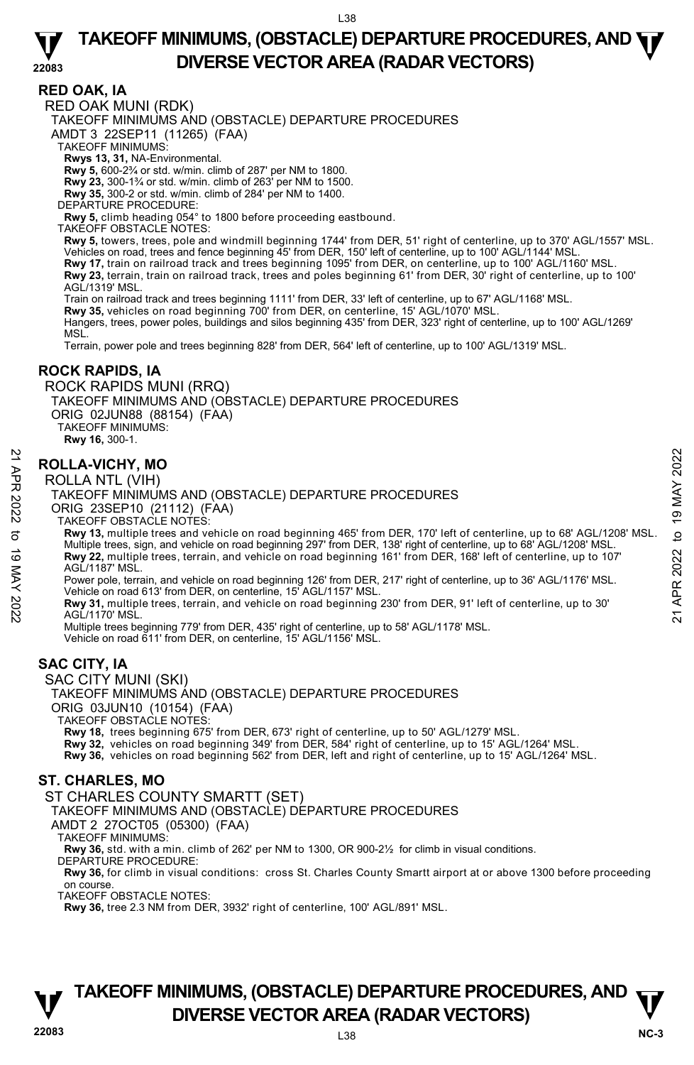#### **RED OAK, IA**

RED OAK MUNI (RDK)

TAKEOFF MINIMUMS AND (OBSTACLE) DEPARTURE PROCEDURES

AMDT 3 22SEP11 (11265) (FAA)

TAKEOFF MINIMUMS:

**Rwys 13, 31,** NA-Environmental.

**Rwy 5,** 600-2¾ or std. w/min. climb of 287' per NM to 1800.

**Rwy 23,** 300-1¾ or std. w/min. climb of 263' per NM to 1500.

**Rwy 35,** 300-2 or std. w/min. climb of 284' per NM to 1400.

DEPARTURE PROCEDURE:

**Rwy 5,** climb heading 054° to 1800 before proceeding eastbound.

TAKEOFF OBSTACLE NOTES:

**Rwy 5,** towers, trees, pole and windmill beginning 1744' from DER, 51' right of centerline, up to 370' AGL/1557' MSL. Vehicles on road, trees and fence beginning 45' from DER, 150' left of centerline, up to 100' AGL/1144' MSL.

**Rwy 17,** train on railroad track and trees beginning 1095' from DER, on centerline, up to 100' AGL/1160' MSL. **Rwy 23,** terrain, train on railroad track, trees and poles beginning 61' from DER, 30' right of centerline, up to 100' AGL/1319' MSL.

Train on railroad track and trees beginning 1111' from DER, 33' left of centerline, up to 67' AGL/1168' MSL.<br>**Rwy 35,** vehicles on road beginning 700' from DER, on centerline, 15' AGL/1070' MSL.

Hangers, trees, power poles, buildings and silos beginning 435' from DER, 323' right of centerline, up to 100' AGL/1269' M<sub>SL</sub>

Terrain, power pole and trees beginning 828' from DER, 564' left of centerline, up to 100' AGL/1319' MSL.

#### **ROCK RAPIDS, IA**

ROCK RAPIDS MUNI (RRQ)

TAKEOFF MINIMUMS AND (OBSTACLE) DEPARTURE PROCEDURES

ORIG 02JUN88 (88154) (FAA) TAKEOFF MINIMUMS:

**Rwy 16,** 300-1.

#### **ROLLA-VICHY, MO**

ROLLA NTL (VIH)

TAKEOFF MINIMUMS AND (OBSTACLE) DEPARTURE PROCEDURES ORIG 23SEP10 (21112) (FAA)

TAKEOFF OBSTACLE NOTES:

**Rwy 13,** multiple trees and vehicle on road beginning 465' from DER, 170' left of centerline, up to 68' AGL/1208' MSL. Multiple trees, sign, and vehicle on road beginning 297' from DER, 138' right of centerline, up to 68' AGL/1208' MSL. **Rwy 22,** multiple trees, terrain, and vehicle on road beginning 161' from DER, 168' left of centerline, up to 107' AGL/1187' MSL. **ROLLA-VICHY, MO**<br> **POLLA NTL (VIH)**<br>
TAKEOFF MINIMUMS AND (OBSTACLE) DEPARTURE PROCEDURES<br>
ORIG 23SEP10 (21112) (FAA)<br>
TAKEOFF MINIMUMS AND (OBSTACLE) DEPARTURE PROCEDURES<br>
ORIG 23SEP10 (21112) (FAA)<br>
TAKEOFF MINIMUMS AN

Power pole, terrain, and vehicle on road beginning 126' from DER, 217' right of centerline, up to 36' AGL/1176' MSL. Vehicle on road 613' from DER, on centerline, 15' AGL/1157' MSL.

**Rwy 31,** multiple trees, terrain, and vehicle on road beginning 230' from DER, 91' left of centerline, up to 30' AGL/1170' MSL.

Multiple trees beginning 779' from DER, 435' right of centerline, up to 58' AGL/1178' MSL. Vehicle on road 611' from DER, on centerline, 15' AGL/1156' MSL.

#### **SAC CITY, IA**

SAC CITY MUNI (SKI)

TAKEOFF MINIMUMS AND (OBSTACLE) DEPARTURE PROCEDURES

ORIG 03JUN10 (10154) (FAA)

TAKEOFF OBSTACLE NOTES:

**Rwy 18,** trees beginning 675' from DER, 673' right of centerline, up to 50' AGL/1279' MSL.

**Rwy 32,** vehicles on road beginning 349' from DER, 584' right of centerline, up to 15' AGL/1264' MSL.

**Rwy 36,** vehicles on road beginning 562' from DER, left and right of centerline, up to 15' AGL/1264' MSL.

#### **ST. CHARLES, MO**

#### ST CHARLES COUNTY SMARTT (SET)

TAKEOFF MINIMUMS AND (OBSTACLE) DEPARTURE PROCEDURES

AMDT 2 27OCT05 (05300) (FAA)

TAKEOFF MINIMUMS:

**Rwy 36,** std. with a min. climb of 262' per NM to 1300, OR 900-2½ for climb in visual conditions.

DEPARTURE PROCEDURE:

**Rwy 36,** for climb in visual conditions: cross St. Charles County Smartt airport at or above 1300 before proceeding on course.

TAKEOFF OBSTACLE NOTES:

**Rwy 36,** tree 2.3 NM from DER, 3932' right of centerline, 100' AGL/891' MSL.

![](_page_37_Picture_51.jpeg)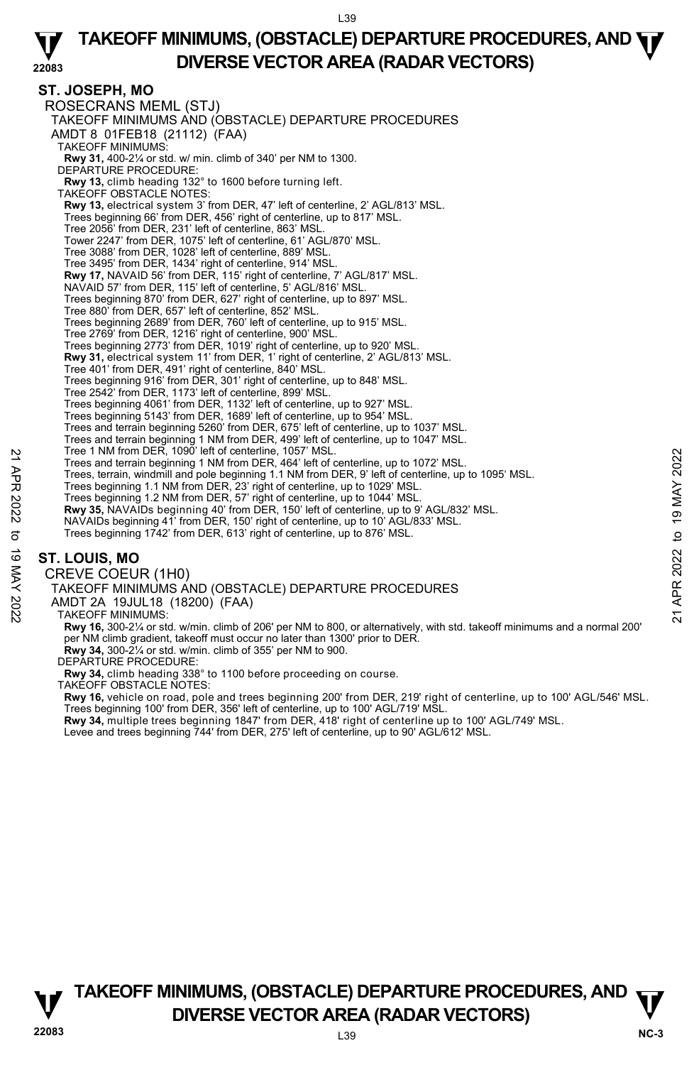# **ST. JOSEPH, MO**

ROSECRANS MEML (STJ) TAKEOFF MINIMUMS AND (OBSTACLE) DEPARTURE PROCEDURES AMDT 8 01FEB18 (21112) (FAA) TAKEOFF MINIMUMS: **Rwy 31,** 400-2¼ or std. w/ min. climb of 340' per NM to 1300. DEPARTURE PROCEDURE: **Rwy 13,** climb heading 132° to 1600 before turning left. TAKEOFF OBSTACLE NOTES: **Rwy 13,** electrical system 3' from DER, 47' left of centerline, 2' AGL/813' MSL.<br>Trees beginning 66' from DER, 456' right of centerline, up to 817' MSL. Tree 2056' from DER, 231' left of centerline, 863' MSL. Tower 2247' from DER, 1075' left of centerline, 61' AGL/870' MSL. Tree 3088' from DER, 1028' left of centerline, 889' MSL. Tree 3495' from DER, 1434' right of centerline, 914' MSL. **Rwy 17,** NAVAID 56' from DER, 115' right of centerline, 7' AGL/817' MSL. NAVAID 57' from DER, 115' left of centerline, 5' AGL/816' MSL. Trees beginning 870' from DER, 627' right of centerline, up to 897' MSL. Tree 880' from DER, 657' left of centerline, 852' MSL. Trees beginning 2689' from DER, 760' left of centerline, up to 915' MSL. Tree 2769' from DER, 1216' right of centerline, 900' MSL. Trees beginning 2773' from DER, 1019' right of centerline, up to 920' MSL. **Rwy 31,** electrical system 11' from DER, 1' right of centerline, 2' AGL/813' MSL. Tree 401' from DER, 491' right of centerline, 840' MSL. Trees beginning 916' from DER, 301' right of centerline, up to 848' MSL. Tree 2542' from DER, 1173' left of centerline, 899' MSL. Trees beginning 4061' from DER, 1132' left of centerline, up to 927' MSL. Trees beginning 5143' from DER, 1689' left of centerline, up to 954' MSL. Trees and terrain beginning 5260' from DER, 675' left of centerline, up to 1037' MSL. Trees and terrain beginning 1 NM from DER, 499' left of centerline, up to 1047' MSL. Tree 1 NM from DER, 1090' left of centerline, 1057' MSL. Trees and terrain beginning 1 NM from DER, 464' left of centerline, up to 1072' MSL. Trees, terrain, windmill and pole beginning 1.1 NM from DER, 9' left of centerline, up to 1095' MSL. Trees beginning 1.1 NM from DER, 23' right of centerline, up to 1029' MSL. Trees beginning 1.2 NM from DER, 57' right of centerline, up to 1044' MSL. **Rwy 35,** NAVAIDs beginning 40' from DER, 150' left of centerline, up to 9' AGL/832' MSL. NAVAIDs beginning 41' from DER, 150' right of centerline, up to 10' AGL/833' MSL. Trees beginning 1742' from DER, 613' right of centerline, up to 876' MSL. CREVE COEUR (1H0) Tree 1 MM from DER, 1090' let of centerline, up to 1072' MSL.<br>
Trees and terrain beginning 1 NM from DER, 464' left of centerline, up to 1072' MSL.<br>
Trees beginning 1.1 NM from DER, 23' right of centerline, up to 1029' MSL

# **ST. LOUIS, MO**

TAKEOFF MINIMUMS AND (OBSTACLE) DEPARTURE PROCEDURES

AMDT 2A 19JUL18 (18200) (FAA)

TAKEOFF MINIMUMS:

**Rwy 16,** 300-2¼ or std. w/min. climb of 206' per NM to 800, or alternatively, with std. takeoff minimums and a normal 200' per NM climb gradient, takeoff must occur no later than 1300' prior to DER. **Rwy 34,** 300-2¼ or std. w/min. climb of 355' per NM to 900.

DEPARTURE PROCEDURE:

**Rwy 34,** climb heading 338° to 1100 before proceeding on course.

TAKEOFF OBSTACLE NOTES:

**Rwy 16,** vehicle on road, pole and trees beginning 200' from DER, 219' right of centerline, up to 100' AGL/546' MSL. Trees beginning 100' from DER, 356' left of centerline, up to 100' AGL/719' MSL.

**Rwy 34,** multiple trees beginning 1847' from DER, 418' right of centerline up to 100' AGL/749' MSL.<br>Levee and trees beginning 744' from DER, 275' left of centerline, up to 90' AGL/612' MSL.

![](_page_38_Picture_15.jpeg)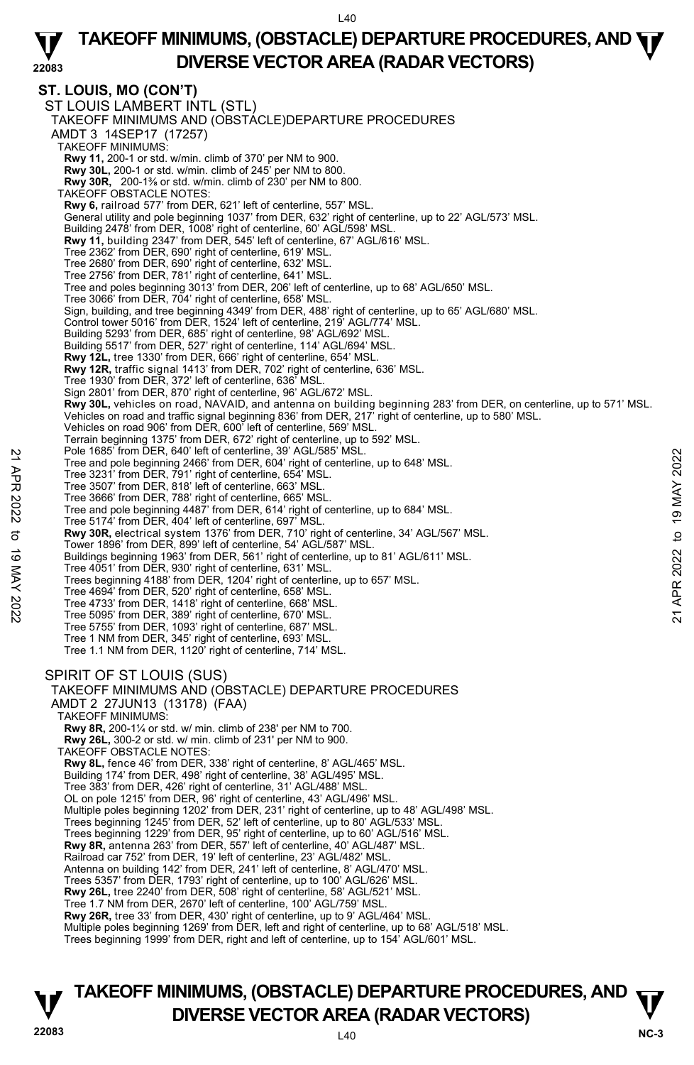#### **22083 TAKEOFF MINIMUMS, (OBSTACLE) DEPARTURE PROCEDURES, AND**  $\Psi$ **DIVERSE VECTOR AREA (RADAR VECTORS)**

**ST. LOUIS, MO (CON'T)**  ST LOUIS LAMBERT INTL (STL) TAKEOFF MINIMUMS AND (OBSTACLE)DEPARTURE PROCEDURES AMDT 3 14SEP17 (17257) TAKEOFF MINIMUMS: **Rwy 11,** 200-1 or std. w/min. climb of 370' per NM to 900. **Rwy 30L,** 200-1 or std. w/min. climb of 245' per NM to 800. **Rwy 30R,** 200-1⅜ or std. w/min. climb of 230' per NM to 800. TAKEOFF OBSTACLE NOTES: **Rwy 6,** railroad 577' from DER, 621' left of centerline, 557' MSL. General utility and pole beginning 1037' from DER, 632' right of centerline, up to 22' AGL/573' MSL. Building 2478' from DER, 1008' right of centerline, 60' AGL/598' MSL. **Rwy 11,** building 2347' from DER, 545' left of centerline, 67' AGL/616' MSL.<br>Tree 2362' from DER, 690' right of centerline, 619' MSL. Tree 2680' from DER, 690' right of centerline, 632' MSL. Tree 2756' from DER, 781' right of centerline, 641' MSL. Tree and poles beginning 3013' from DER, 206' left of centerline, up to 68' AGL/650' MSL. Tree 3066' from DER, 704' right of centerline, 658' MSL. Sign, building, and tree beginning 4349' from DER, 488' right of centerline, up to 65' AGL/680' MSL. Control tower 5016' from DER, 1524' left of centerline, 219' AGL/774' MSL. Building 5293' from DER, 685' right of centerline, 98' AGL/692' MSL. Building 5517' from DER, 527' right of centerline, 114' AGL/694' MSL. **Rwy 12L,** tree 1330' from DER, 666' right of centerline, 654' MSL. **Rwy 12R,** traffic signal 1413' from DER, 702' right of centerline, 636' MSL. Tree 1930' from DER, 372' left of centerline, 636' MSL Sign 2801' from DER, 870' right of centerline, 96' AGL/672' MSL. **Rwy 30L,** vehicles on road, NAVAID, and antenna on building beginning 283' from DER, on centerline, up to 571' MSL.<br>Vehicles on road and traffic signal beginning 836' from DER, 217' right of centerline, up to 580' MSL. Vehicles on road 906' from DER, 600' left of centerline, 569' MSL. Terrain beginning 1375' from DER, 672' right of centerline, up to 592' MSL. Pole 1685' from DER, 640' left of centerline, 39' AGL/585' MSL. Tree and pole beginning 2466' from DER, 604' right of centerline, up to 648' MSL. Tree 3231' from DER, 791' right of centerline, 654' MSL. Tree 3507' from DER, 818' left of centerline, 663' MSL. Tree 3666' from DER, 788' right of centerline, 665' MSL. Tree and pole beginning 4487' from DER, 614' right of centerline, up to 684' MSL. Tree 5174' from DER, 404' left of centerline, 697' MSL. **Rwy 30R,** electrical system 1376' from DER, 710' right of centerline, 34' AGL/567' MSL. Tower 1896' from DER, 899' left of centerline, 54' AGL/587' MSL. Buildings beginning 1963' from DER, 561' right of centerline, up to 81' AGL/611' MSL. Tree 4051' from DER, 930' right of centerline, 631' MSL. Trees beginning 4188' from DER, 1204' right of centerline, up to 657' MSL. Tree 4694' from DER, 520' right of centerline, 658' MSL. Tree 4733' from DER, 1418' right of centerline, 668' MSL. Tree 5095' from DER, 389' right of centerline, 670' MSL. Tree 5755' from DER, 1093' right of centerline, 687' MSL. Tree 1 NM from DER, 345' right of centerline, 693' MSL. Tree 1.1 NM from DER, 1120' right of centerline, 714' MSL. SPIRIT OF ST LOUIS (SUS) TAKEOFF MINIMUMS AND (OBSTACLE) DEPARTURE PROCEDURES AMDT 2 27JUN13 (13178) (FAA) TAKEOFF MINIMUMS: **Rwy 8R,** 200-1¼ or std. w/ min. climb of 238' per NM to 700. **Rwy 26L,** 300-2 or std. w/ min. climb of 231' per NM to 900. TAKEOFF OBSTACLE NOTES: **Rwy 8L,** fence 46' from DER, 338' right of centerline, 8' AGL/465' MSL. Building 174' from DER, 498' right of centerline, 38' AGL/495' MSL. Tree 383' from DER, 426' right of centerline, 31' AGL/488' MSL. OL on pole 1215' from DER, 96' right of centerline, 43' AGL/496' MSL. Multiple poles beginning 1202' from DER, 231' right of centerline, up to 48' AGL/498' MSL. Trees beginning 1245' from DER, 52' left of centerline, up to 80' AGL/533' MSL. Trees beginning 1229' from DER, 95' right of centerline, up to 60' AGL/516' MSL. **Rwy 8R,** antenna 263' from DER, 557' left of centerline, 40' AGL/487' MSL. Railroad car 752' from DER, 19' left of centerline, 23' AGL/482' MSL. Antenna on building 142' from DER, 241' left of centerline, 8' AGL/470' MSL. Trees 5357' from DER, 1793' right of centerline, up to 100' AGL/626' MSL. **Rwy 26L,** tree 2240' from DER, 508' right of centerline, 58' AGL/521' MSL. Tree 1.7 NM from DER, 2670' left of centerline, 100' AGL/759' MSL. **Rwy 26R,** tree 33' from DER, 430' right of centerline, up to 9' AGL/464' MSL.<br>Multiple poles beginning 1269' from DER, left and right of centerline, up to 68' AGL/518' MSL. Trees beginning 1999' from DER, right and left of centerline, up to 154' AGL/601' MSL. 22 Tree and pole beginning 2466' from DER, 604' right of centerline, up to 648' MSL.<br>
Tree and pole beginning 2466' from DER, 604' right of centerline, up to 648' MSL.<br>
Tree 3231' from DER, 791' right of centerline, 653'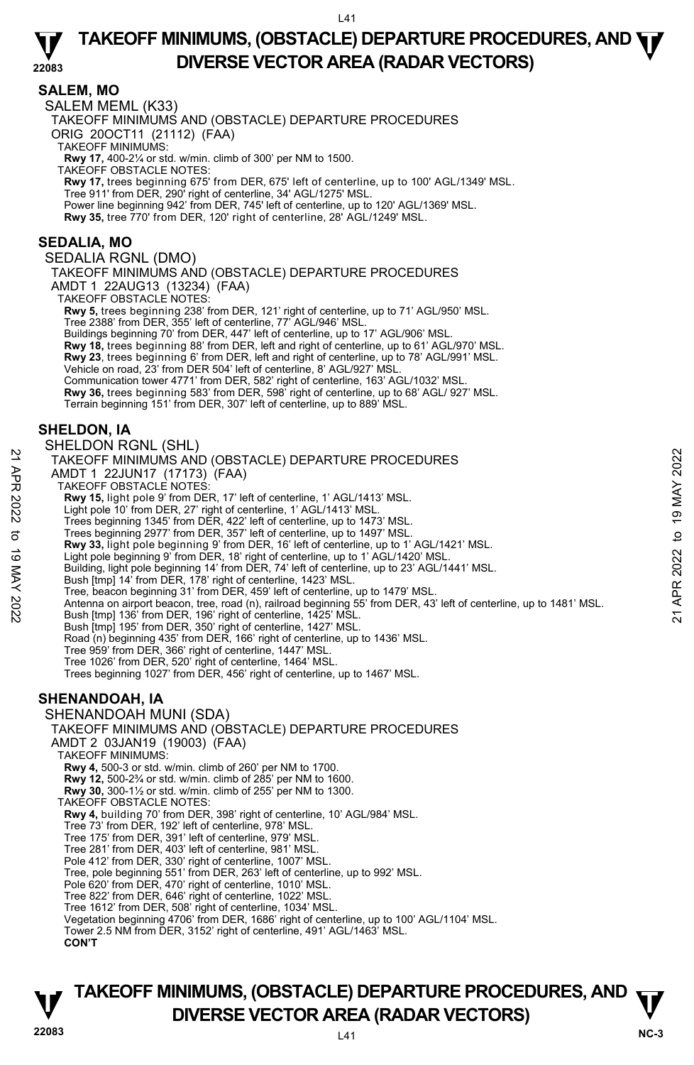**SALEM, MO**  SALEM MEML (K33) TAKEOFF MINIMUMS AND (OBSTACLE) DEPARTURE PROCEDURES ORIG 20OCT11 (21112) (FAA) TAKEOFF MINIMUMS: **Rwy 17,** 400-2¼ or std. w/min. climb of 300' per NM to 1500. TAKEOFF OBSTACLE NOTES: **Rwy 17,** trees beginning 675' from DER, 675' left of centerline, up to 100' AGL/1349' MSL. Tree 911' from DER, 290' right of centerline, 34' AGL/1275' MSL. Power line beginning 942' from DER, 745' left of centerline, up to 120' AGL/1369' MSL.<br>**Rwy 35,** tree 770' from DER, 120' right of centerline, 28' AGL/1249' MSL. **SEDALIA, MO**  SEDALIA RGNL (DMO) TAKEOFF MINIMUMS AND (OBSTACLE) DEPARTURE PROCEDURES AMDT 1 22AUG13 (13234) (FAA) TAKEOFF OBSTACLE NOTES: **Rwy 5,** trees beginning 238' from DER, 121' right of centerline, up to 71' AGL/950' MSL. Tree 2388' from DER, 355' left of centerline, 77' AGL/946' MSL. Buildings beginning 70' from DER, 447' left of centerline, up to 17' AGL/906' MSL. **Rwy 18,** trees beginning 88' from DER, left and right of centerline, up to 61' AGL/970' MSL. **Rwy 23**, trees beginning 6' from DER, left and right of centerline, up to 78' AGL/991' MSL. Vehicle on road, 23' from DER 504' left of centerline, 8' AGL/927' MSL. Communication tower 4771' from DER, 582' right of centerline, 163' AGL/1032' MSL. **Rwy 36,** trees beginning 583' from DER, 598' right of centerline, up to 68' AGL/ 927' MSL. Terrain beginning 151' from DER, 307' left of centerline, up to 889' MSL. **SHELDON, IA**  SHELDON RGNL (SHL) TAKEOFF MINIMUMS AND (OBSTACLE) DEPARTURE PROCEDURES AMDT 1 22JUN17 (17173) (FAA) TAKEOFF OBSTACLE NOTES: **Rwy 15,** light pole 9' from DER, 17' left of centerline, 1' AGL/1413' MSL. Light pole 10' from DER, 27' right of centerline, 1' AGL/1413' MSL. Trees beginning 1345' from DER, 422' left of centerline, up to 1473' MSL. Trees beginning 2977' from DER, 357' left of centerline, up to 1497' MSL. **Rwy 33,** light pole beginning 9' from DER, 16' left of centerline, up to 1' AGL/1421' MSL. Light pole beginning 9' from DER, 18' right of centerline, up to 1' AGL/1420' MSL. Building, light pole beginning 14' from DER, 74' left of centerline, up to 23' AGL/1441' MSL. Bush [tmp] 14' from DER, 178' right of centerline, 1423' MSL. Tree, beacon beginning 31' from DER, 459' left of centerline, up to 1479' MSL. NAMED TO THE TRIVITY OF THE PROCEDURES<br>
TAKEOFF MINIMUMS AND (OBSTACLE) DEPARTURE PROCEDURES<br>
TAKEOFF MINIMUMS AND (OBSTACLE) DEPARTURE PROCEDURES<br>
NOT 1 22JUN17 (17173) (FAA)<br>
NAMED TO EXP. 27 right of centerline, 1' AG Bush [tmp] 195' from DER, 350' right of centerline, 1427' MSL. Road (n) beginning 435' from DER, 166' right of centerline, up to 1436' MSL. Tree 959' from DER, 366' right of centerline, 1447' MSL. Tree 1026' from DER, 520' right of centerline, 1464' MSL. Trees beginning 1027' from DER, 456' right of centerline, up to 1467' MSL. **SHENANDOAH, IA**  SHENANDOAH MUNI (SDA) TAKEOFF MINIMUMS AND (OBSTACLE) DEPARTURE PROCEDURES AMDT 2 03JAN19 (19003) (FAA) TAKEOFF MINIMUMS: **Rwy 4,** 500-3 or std. w/min. climb of 260' per NM to 1700. **Rwy 12,** 500-2¾ or std. w/min. climb of 285' per NM to 1600. **Rwy 30,** 300-1½ or std. w/min. climb of 255' per NM to 1300. TAKEOFF OBSTACLE NOTES: **Rwy 4,** building 70' from DER, 398' right of centerline, 10' AGL/984' MSL. Tree 73' from DER, 192' left of centerline, 978' MSL. Tree 175' from DER, 391' left of centerline, 979' MSL. Tree 281' from DER, 403' left of centerline, 981' MSL. Pole 412' from DER, 330' right of centerline, 1007' MSL. Tree, pole beginning 551' from DER, 263' left of centerline, up to 992' MSL. Pole 620' from DER, 470' right of centerline, 1010' MSL. Tree 822' from DER, 646' right of centerline, 1022' MSL. Tree 1612' from DER, 508' right of centerline, 1034' MSL.

# **22083** L41 **NC-3 TAKEOFF MINIMUMS, (OBSTACLE) DEPARTURE PROCEDURES, AND**  $\mathbf{\nabla}$ **DIVERSE VECTOR AREA (RADAR VECTORS)**

Vegetation beginning 4706' from DER, 1686' right of centerline, up to 100' AGL/1104' MSL. Tower 2.5 NM from DER, 3152' right of centerline, 491' AGL/1463' MSL.

 **CON'T**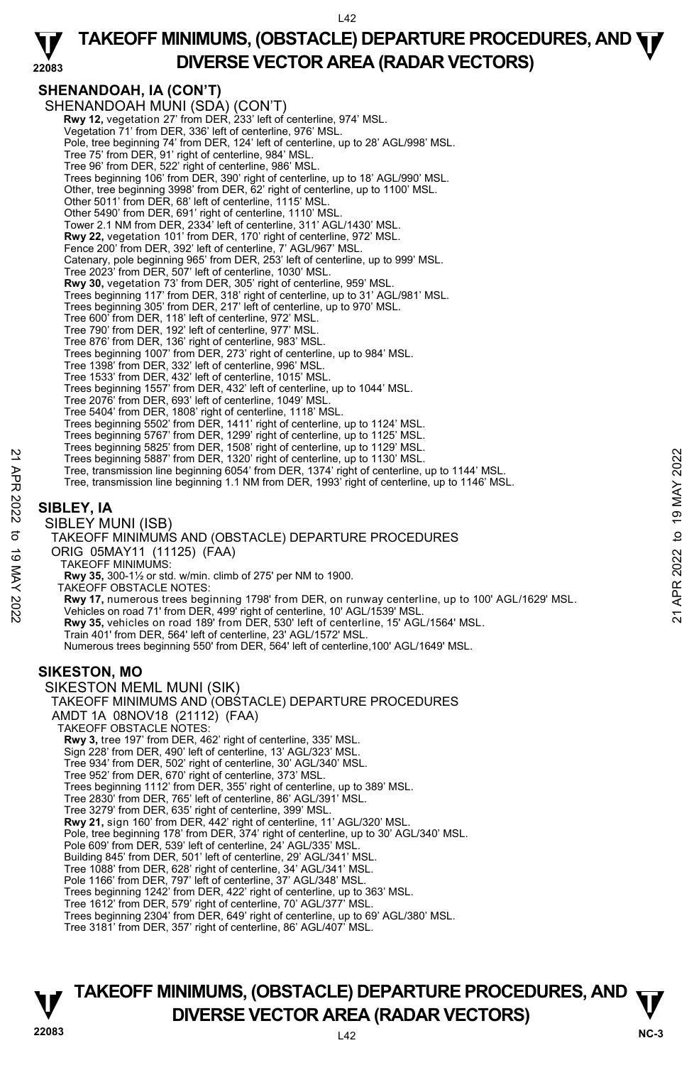#### **22083 TAKEOFF MINIMUMS, (OBSTACLE) DEPARTURE PROCEDURES, AND**  $\Psi$ **DIVERSE VECTOR AREA (RADAR VECTORS)**

# **SHENANDOAH, IA (CON'T)**

SHENANDOAH MUNI (SDA) (CON'T)  **Rwy 12,** vegetation 27' from DER, 233' left of centerline, 974' MSL. Vegetation 71' from DER, 336' left of centerline, 976' MSL. Pole, tree beginning 74' from DER, 124' left of centerline, up to 28' AGL/998' MSL. Tree 75' from DER, 91' right of centerline, 984' MSL. Tree 96' from DER, 522' right of centerline, 986' MSL. Trees beginning 106' from DER, 390' right of centerline, up to 18' AGL/990' MSL. Other, tree beginning 3998' from DER, 62' right of centerline, up to 1100' MSL. Other 5011' from DER, 68' left of centerline, 1115' MSL. Other 5490' from DER, 691' right of centerline, 1110' MSL. Tower 2.1 NM from DER, 2334' left of centerline, 311' AGL/1430' MSL. **Rwy 22,** vegetation 101' from DER, 170' right of centerline, 972' MSL. Fence 200' from DER, 392' left of centerline, 7' AGL/967' MSL. Catenary, pole beginning 965' from DER, 253' left of centerline, up to 999' MSL. Tree 2023' from DER, 507' left of centerline, 1030' MSL. **Rwy 30,** vegetation 73' from DER, 305' right of centerline, 959' MSL.<br>Trees beginning 117' from DER, 318' right of centerline, up to 31' AGL/981' MSL. Trees beginning 305' from DER, 217' left of centerline, up to 970' MSL. Tree 600' from DER, 118' left of centerline, 972' MSL. Tree 790' from DER, 192' left of centerline, 977' MSL. Tree 876' from DER, 136' right of centerline, 983' MSL. Trees beginning 1007' from DER, 273' right of centerline, up to 984' MSL. Tree 1398' from DER, 332' left of centerline, 996' MSL. Tree 1533' from DER, 432' left of centerline, 1015' MSL. Trees beginning 1557' from DER, 432' left of centerline, up to 1044' MSL. Tree 2076' from DER, 693' left of centerline, 1049' MSL.<br>Tree 5404' from DER, 1808' right of centerline, 1118' MSL.<br>Trees beginning 5502' from DER, 1411' right of centerline, up to 1124' MSL. Trees beginning 5767' from DER, 1299' right of centerline, up to 1125' MSL. Trees beginning 5825' from DER, 1508' right of centerline, up to 1129' MSL. Trees beginning 5887' from DER, 1320' right of centerline, up to 1130' MSL. Tree, transmission line beginning 6054' from DER, 1374' right of centerline, up to 1144' MSL. Tree, transmission line beginning 1.1 NM from DER, 1993' right of centerline, up to 1146' MSL. **SIBLEY, IA**  SIBLEY MUNI (ISB) TAKEOFF MINIMUMS AND (OBSTACLE) DEPARTURE PROCEDURES ORIG 05MAY11 (11125) (FAA) TAKEOFF MINIMUMS: **Rwy 35,** 300-1½ or std. w/min. climb of 275' per NM to 1900. TAKEOFF OBSTACLE NOTES: Trees beginning 5887' from DER, 1320' right of centerline, up to 1130' MSL.<br>
Tree, transmission line beginning 6054' from DER, 1374' right of centerline, up to 1144' MSL.<br>
Tree, transmission line beginning 6054' from DER, **Rwy 35,** vehicles on road 189' from DER, 530' left of centerline, 15' AGL/1564' MSL. Train 401' from DER, 564' left of centerline, 23' AGL/1572' MSL. Numerous trees beginning 550' from DER, 564' left of centerline,100' AGL/1649' MSL. **SIKESTON, MO**  SIKESTON MEML MUNI (SIK) TAKEOFF MINIMUMS AND (OBSTACLE) DEPARTURE PROCEDURES AMDT 1A 08NOV18 (21112) (FAA) TAKEOFF OBSTACLE NOTES: **Rwy 3,** tree 197' from DER, 462' right of centerline, 335' MSL. Sign 228' from DER, 490' left of centerline, 13' AGL/323' MSL. Tree 934' from DER, 502' right of centerline, 30' AGL/340' MSL. Tree 952' from DER, 670' right of centerline, 373' MSL. Trees beginning 1112' from DER, 355' right of centerline, up to 389' MSL. Tree 2830' from DER, 765' left of centerline, 86' AGL/391' MSL. Tree 3279' from DER, 635' right of centerline, 399' MSL. **Rwy 21,** sign 160' from DER, 442' right of centerline, 11' AGL/320' MSL. Pole, tree beginning 178' from DER, 374' right of centerline, up to 30' AGL/340' MSL. Pole 609' from DER, 539' left of centerline, 24' AGL/335' MSL. Building 845' from DER, 501' left of centerline, 29' AGL/341' MSL. Tree 1088' from DER, 628' right of centerline, 34' AGL/341' MSL. Pole 1166' from DER, 797' left of centerline, 37' AGL/348' MSL. Trees beginning 1242' from DER, 422' right of centerline, up to 363' MSL. Tree 1612' from DER, 579' right of centerline, 70' AGL/377' MSL. Trees beginning 2304' from DER, 649' right of centerline, up to 69' AGL/380' MSL. Tree 3181' from DER, 357' right of centerline, 86' AGL/407' MSL.

![](_page_41_Picture_4.jpeg)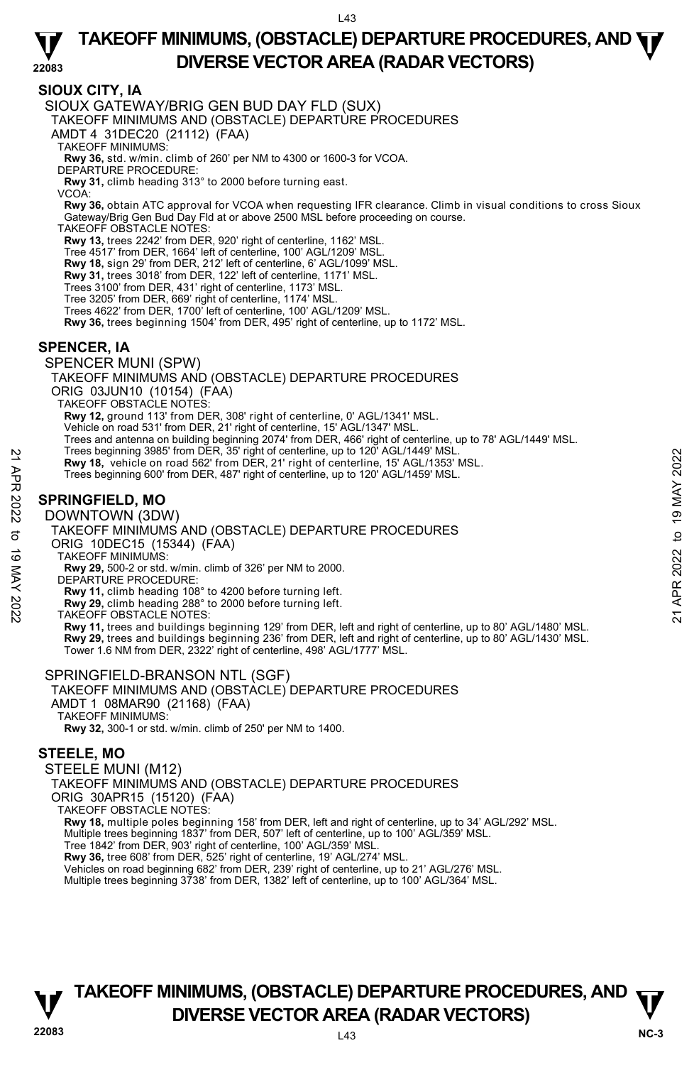#### **22083 TAKEOFF MINIMUMS, (OBSTACLE) DEPARTURE PROCEDURES, AND**  $\Psi$ **DIVERSE VECTOR AREA (RADAR VECTORS)**

# **SIOUX CITY, IA**

SIOUX GATEWAY/BRIG GEN BUD DAY FLD (SUX)

TAKEOFF MINIMUMS AND (OBSTACLE) DEPARTURE PROCEDURES

AMDT 4 31DEC20 (21112) (FAA)

TAKEOFF MINIMUMS:

**Rwy 36,** std. w/min. climb of 260' per NM to 4300 or 1600-3 for VCOA. DEPARTURE PROCEDURE:

**Rwy 31,** climb heading 313° to 2000 before turning east.

VCOA:

**Rwy 36,** obtain ATC approval for VCOA when requesting IFR clearance. Climb in visual conditions to cross Sioux Gateway/Brig Gen Bud Day Fld at or above 2500 MSL before proceeding on course.

TAKEOFF OBSTACLE NOTES:

**Rwy 13,** trees 2242' from DER, 920' right of centerline, 1162' MSL.

Tree 4517' from DER, 1664' left of centerline, 100' AGL/1209' MSL.

**Rwy 18,** sign 29' from DER, 212' left of centerline, 6' AGL/1099' MSL.

**Rwy 31,** trees 3018' from DER, 122' left of centerline, 1171' MSL.

Trees 3100' from DER, 431' right of centerline, 1173' MSL.

- Tree 3205' from DER, 669' right of centerline, 1174' MSL.
- Trees 4622' from DER, 1700' left of centerline, 100' AGL/1209' MSL.

**Rwy 36,** trees beginning 1504' from DER, 495' right of centerline, up to 1172' MSL.

# **SPENCER, IA**

SPENCER MUNI (SPW)

TAKEOFF MINIMUMS AND (OBSTACLE) DEPARTURE PROCEDURES

ORIG 03JUN10 (10154) (FAA)

TAKEOFF OBSTACLE NOTES:

**Rwy 12,** ground 113' from DER, 308' right of centerline, 0' AGL/1341' MSL.

Vehicle on road 531' from DER, 21' right of centerline, 15' AGL/1347' MSL.

Trees and antenna on building beginning 2074' from DER, 466' right of centerline, up to 78' AGL/1449' MSL.<br>Trees beginning 3985' from DER, 35' right of centerline, up to 120' AGL/1449' MSL.

**Rwy 18,** vehicle on road 562' from DER, 21' right of centerline, 15' AGL/1353' MSL.

Trees beginning 600' from DER, 487' right of centerline, up to 120' AGL/1459' MSL.

# **SPRINGFIELD, MO**

DOWNTOWN (3DW)

TAKEOFF MINIMUMS AND (OBSTACLE) DEPARTURE PROCEDURES ORIG 10DEC15 (15344) (FAA) **Example 398°** from DER, 21' right of centerline, up to 120' AGL/1449' MSL.<br> **ENVIRONEMENT CONTRACT ACTS AND CONTRACT CONTRACT THE SET ON A CONTRACT THE SET ON DOWNTOWN (3DW)<br>
<b>EXAMPLE SET ON DOWNTOWN (3DW)**<br> **SPRINGFIELD** 

TAKEOFF MINIMUMS:

**Rwy 29,** 500-2 or std. w/min. climb of 326' per NM to 2000.

DEPARTURE PROCEDURE:

**Rwy 11,** climb heading 108° to 4200 before turning left.

**Rwy 29,** climb heading 288° to 2000 before turning left. TAKEOFF OBSTACLE NOTES:

**Rwy 11,** trees and buildings beginning 129' from DER, left and right of centerline, up to 80' AGL/1480' MSL.<br>**Rwy 29,** trees and buildings beginning 236' from DER, left and right of centerline, up to 80' AGL/1430' MSL.<br>To

#### SPRINGFIELD-BRANSON NTL (SGF)

#### TAKEOFF MINIMUMS AND (OBSTACLE) DEPARTURE PROCEDURES AMDT 1 08MAR90 (21168) (FAA)

TAKEOFF MINIMUMS:

**Rwy 32,** 300-1 or std. w/min. climb of 250' per NM to 1400.

# **STEELE, MO**

#### STEELE MUNI (M12)

TAKEOFF MINIMUMS AND (OBSTACLE) DEPARTURE PROCEDURES

ORIG 30APR15 (15120) (FAA)

TAKEOFF OBSTACLE NOTES:

**Rwy 18,** multiple poles beginning 158' from DER, left and right of centerline, up to 34' AGL/292' MSL.

Multiple trees beginning 1837' from DER, 507' left of centerline, up to 100' AGL/359' MSL.

Tree 1842' from DER, 903' right of centerline, 100' AGL/359' MSL. **Rwy 36,** tree 608' from DER, 525' right of centerline, 19' AGL/274' MSL.

Vehicles on road beginning 682' from DER, 239' right of centerline, up to 21' AGL/276' MSL. Multiple trees beginning 3738' from DER, 1382' left of centerline, up to 100' AGL/364' MSL.

![](_page_42_Picture_56.jpeg)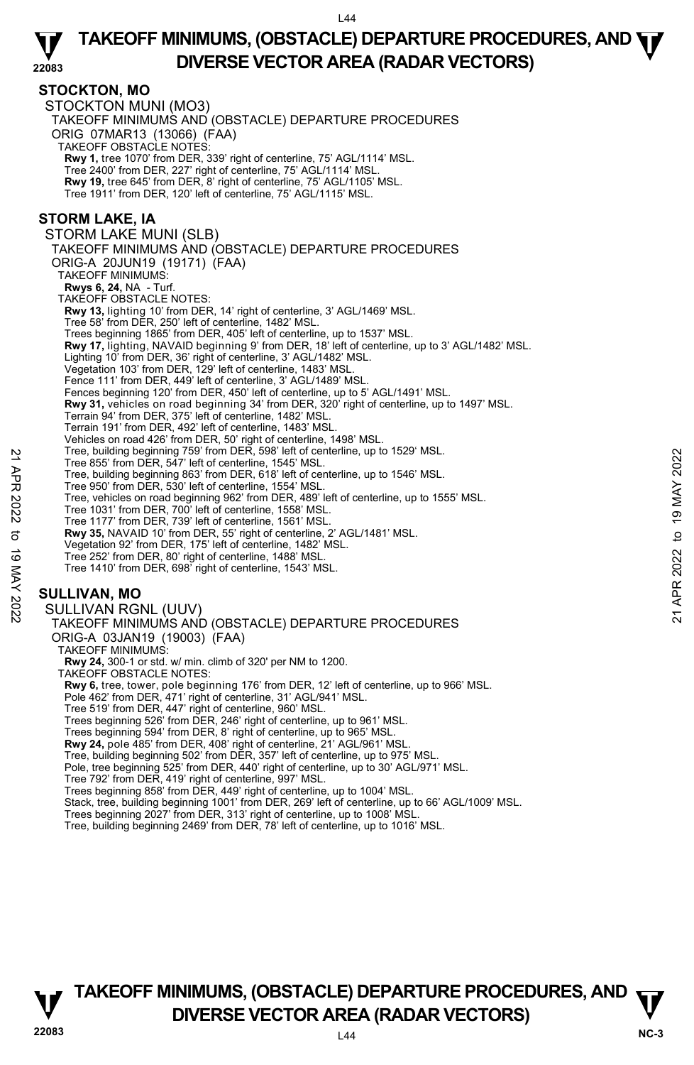#### **STOCKTON, MO**

STOCKTON MUNI (MO3) TAKEOFF MINIMUMS AND (OBSTACLE) DEPARTURE PROCEDURES ORIG 07MAR13 (13066) (FAA) TAKEOFF OBSTACLE NOTES: **Rwy 1,** tree 1070' from DER, 339' right of centerline, 75' AGL/1114' MSL. Tree 2400' from DER, 227' right of centerline, 75' AGL/1114' MSL. **Rwy 19,** tree 645' from DER, 8' right of centerline, 75' AGL/1105' MSL. Tree 1911' from DER, 120' left of centerline, 75' AGL/1115' MSL. **STORM LAKE, IA**  STORM LAKE MUNI (SLB) TAKEOFF MINIMUMS AND (OBSTACLE) DEPARTURE PROCEDURES ORIG-A 20JUN19 (19171) (FAA) TAKEOFF MINIMUMS: **Rwys 6, 24,** NA - Turf. TAKEOFF OBSTACLE NOTES: **Rwy 13,** lighting 10' from DER, 14' right of centerline, 3' AGL/1469' MSL. Tree 58' from DER, 250' left of centerline, 1482' MSL. Trees beginning 1865' from DER, 405' left of centerline, up to 1537' MSL. **Rwy 17,** lighting, NAVAID beginning 9' from DER, 18' left of centerline, up to 3' AGL/1482' MSL. Lighting 10' from DER, 36' right of centerline, 3' AGL/1482' MSL. Vegetation 103' from DER, 129' left of centerline, 1483' MSL. Fence 111' from DER, 449' left of centerline, 3' AGL/1489' MSL. Fences beginning 120' from DER, 450' left of centerline, up to 5' AGL/1491' MSL. **Rwy 31,** vehicles on road beginning 34' from DER, 320' right of centerline, up to 1497' MSL. Terrain 94' from DER, 375' left of centerline, 1482' MSL. Terrain 191' from DER, 492' left of centerline, 1483' MSL. Vehicles on road 426' from DER, 50' right of centerline, 1498' MSL. Tree, building beginning 759' from DER, 598' left of centerline, up to 1529' MSL. Tree 855' from DER, 547' left of centerline, 1545' MSL. Tree, building beginning 863' from DER, 618' left of centerline, up to 1546' MSL. Tree 950' from DER, 530' left of centerline, 1554' MSL. Tree, vehicles on road beginning 962' from DER, 489' left of centerline, up to 1555' MSL. Tree 1031' from DER, 700' left of centerline, 1558' MSL. Tree 1177' from DER, 739' left of centerline, 1561' MSL. **Rwy 35,** NAVAID 10' from DER, 55' right of centerline, 2' AGL/1481' MSL. Vegetation 92' from DER, 175' left of centerline, 1482' MSL. Tree 252' from DER, 80' right of centerline, 1488' MSL. Tree 1410' from DER, 698' right of centerline, 1543' MSL. **SULLIVAN, MO**  SULLIVAN RGNL (UUV) TAKEOFF MINIMUMS AND (OBSTACLE) DEPARTURE PROCEDURES ORIG-A 03JAN19 (19003) (FAA) TAKEOFF MINIMUMS: **Rwy 24,** 300-1 or std. w/ min. climb of 320' per NM to 1200. TAKEOFF OBSTACLE NOTES: **Rwy 6,** tree, tower, pole beginning 176' from DER, 12' left of centerline, up to 966' MSL.<br>Pole 462' from DER, 471' right of centerline, 31' AGL/941' MSL. Tree 519' from DER, 447' right of centerline, 960' MSL. Trees beginning 526' from DER, 246' right of centerline, up to 961' MSL. Trees beginning 594' from DER, 8' right of centerline, up to 965' MSL. **Rwy 24,** pole 485' from DER, 408' right of centerline, 21' AGL/961' MSL. Tree, building beginning 502' from DER, 357' left of centerline, up to 975' MSL. Pole, tree beginning 525' from DER, 440' right of centerline, up to 30' AGL/971' MSL. Tree 792' from DER, 419' right of centerline, 997' MSL. Trees beginning 858' from DER, 449' right of centerline, up to 1004' MSL. Tree, building beginning (39 Yom DER, 39' ento Tenterine, 19 to 1929' MSL.<br>
Tree 855' from DER, 547' left of centerline, 1545' MSL.<br>
Tree 950' from DER, 530' left of centerline, 19 to 1946' MSL.<br>
Tree 950' from DER, 739' l

- Stack, tree, building beginning 1001' from DER, 269' left of centerline, up to 66' AGL/1009' MSL.<br>Trees beginning 2027' from DER, 313' right of centerline, up to 1008' MSL.
- 
- Tree, building beginning 2469' from DER, 78' left of centerline, up to 1016' MSL.

![](_page_43_Picture_7.jpeg)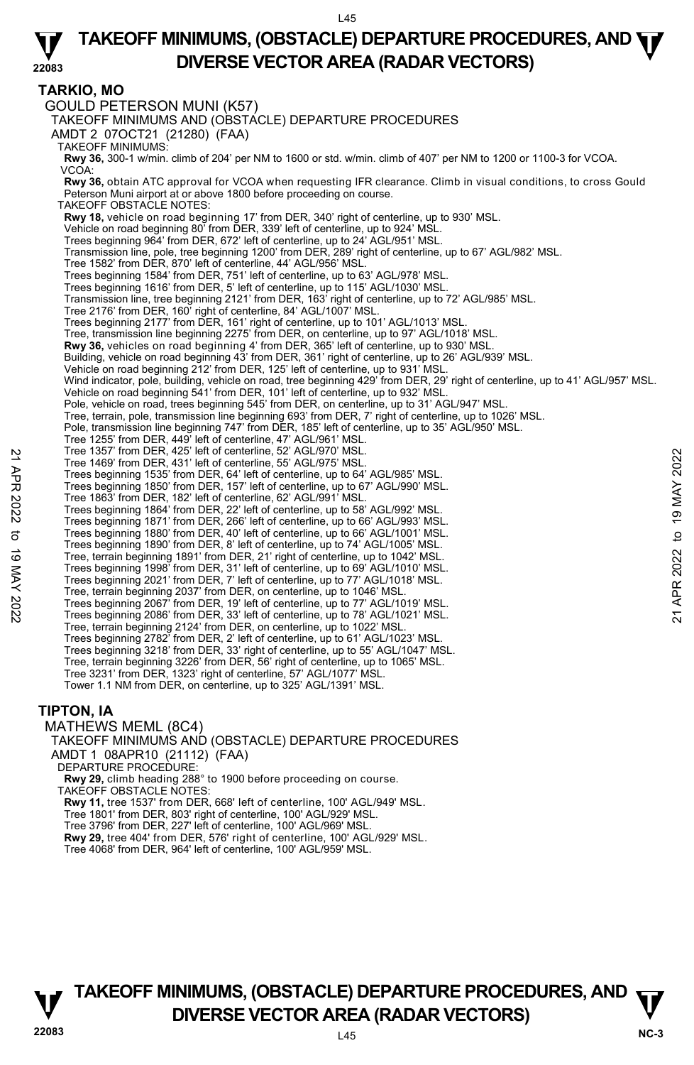#### **22083 TAKEOFF MINIMUMS, (OBSTACLE) DEPARTURE PROCEDURES, AND**  $\Psi$ **DIVERSE VECTOR AREA (RADAR VECTORS)**

# **TARKIO, MO**

GOULD PETERSON MUNI (K57) TAKEOFF MINIMUMS AND (OBSTACLE) DEPARTURE PROCEDURES AMDT 2 07OCT21 (21280) (FAA) TAKEOFF MINIMUMS: **Rwy 36,** 300-1 w/min. climb of 204' per NM to 1600 or std. w/min. climb of 407' per NM to 1200 or 1100-3 for VCOA. VCOA: **Rwy 36,** obtain ATC approval for VCOA when requesting IFR clearance. Climb in visual conditions, to cross Gould Peterson Muni airport at or above 1800 before proceeding on course. TAKEOFF OBSTACLE NOTES: **Rwy 18,** vehicle on road beginning 17' from DER, 340' right of centerline, up to 930' MSL. Vehicle on road beginning 80' from DER, 339' left of centerline, up to 924' MSL. Trees beginning 964' from DER, 672' left of centerline, up to 24' AGL/951' MSL. Transmission line, pole, tree beginning 1200' from DER, 289' right of centerline, up to 67' AGL/982' MSL. Tree 1582' from DER, 870' left of centerline, 44' AGL/956' MSL. Trees beginning 1584' from DER, 751' left of centerline, up to 63' AGL/978' MSL. Trees beginning 1616' from DER, 5' left of centerline, up to 115' AGL/1030' MSL. Transmission line, tree beginning 2121' from DER, 163' right of centerline, up to 72' AGL/985' MSL. Tree 2176' from DER, 160' right of centerline, 84' AGL/1007' MSL. Trees beginning 2177' from DER, 161' right of centerline, up to 101' AGL/1013' MSL.<br>Tree, transmission line beginning 2275' from DER, on centerline, up to 97' AGL/1018' MSL. **Rwy 36,** vehicles on road beginning 4' from DER, 365' left of centerline, up to 930' MSL. Building, vehicle on road beginning 43' from DER, 361' right of centerline, up to 26' AGL/939' MSL. Vehicle on road beginning 212' from DER, 125' left of centerline, up to 931' MSL. Wind indicator, pole, building, vehicle on road, tree beginning 429' from DER, 29' right of centerline, up to 41' AGL/957' MSL. Vehicle on road beginning 541' from DER, 101' left of centerline, up to 932' MSL. Pole, vehicle on road, trees beginning 545' from DER, on centerline, up to 31' AGL/947' MSL.<br>Tree, terrain, pole, transmission line beginning 693' from DER, 7' right of centerline, up to 1026' MSL. Pole, transmission line beginning 747' from DER, 185' left of centerline, up to 35' AGL/950' MSL. Tree 1255' from DER, 449' left of centerline, 47' AGL/961' MSL. Tree 1357' from DER, 425' left of centerline, 52' AGL/970' MSL. Tree 1469' from DER, 431' left of centerline, 55' AGL/975' MSL. Trees beginning 1535' from DER, 64' left of centerline, up to 64' AGL/985' MSL. Trees beginning 1850' from DER, 157' left of centerline, up to 67' AGL/990' MSL. Tree 1863' from DER, 182' left of centerline, 62' AGL/991' MSL. Trees beginning 1864' from DER, 22' left of centerline, up to 58' AGL/992' MSL. Trees beginning 1871' from DER, 266' left of centerline, up to 66' AGL/993' MSL. Trees beginning 1880' from DER, 40' left of centerline, up to 66' AGL/1001' MSL. Trees beginning 1890' from DER, 8' left of centerline, up to 74' AGL/1005' MSL. Tree, terrain beginning 1891' from DER, 21' right of centerline, up to 1042' MSL. Trees beginning 1998' from DER, 31' left of centerline, up to 69' AGL/1010' MSL. Trees beginning 2021' from DER, 7' left of centerline, up to 77' AGL/1018' MSL. Tree, terrain beginning 2037' from DER, on centerline, up to 1046' MSL. Trees beginning 2067' from DER, 19' left of centerline, up to 77' AGL/1019' MSL. Trees beginning 2086' from DER, 33' left of centerline, up to 78' AGL/1021' MSL. Tree, terrain beginning 2124' from DER, on centerline, up to 1022' MSL. Trees beginning 2782' from DER, 2' left of centerline, up to 61' AGL/1023' MSL. Trees beginning 3218' from DER, 33' right of centerline, up to 55' AGL/1047' MSL. Tree, terrain beginning 3226' from DER, 56' right of centerline, up to 1065' MSL. Tree 3231' from DER, 1323' right of centerline, 57' AGL/1077' MSL. Tower 1.1 NM from DER, on centerline, up to 325' AGL/1391' MSL. **TIPTON, IA**  Tree 1367 'from DER, 425' left of centerline, 52' AGL/975' MSL.<br>
Tree 1469' from DER, 431' left of centerline, 55' AGL/975' MSL.<br>
Trees beginning 1535' from DER, 157' left of centerline, up to 64' AGL/985' MSL.<br>
Trees beg

MATHEWS MEML (8C4)

TAKEOFF MINIMUMS AND (OBSTACLE) DEPARTURE PROCEDURES AMDT 1 08APR10 (21112) (FAA)

DEPARTURE PROCEDURE

**Rwy 29,** climb heading 288° to 1900 before proceeding on course.

TAKEOFF OBSTACLE NOTES:

**Rwy 11,** tree 1537' from DER, 668' left of centerline, 100' AGL/949' MSL.

Tree 1801' from DER, 803' right of centerline, 100' AGL/929' MSL.

Tree 3796' from DER, 227' left of centerline, 100' AGL/969' MSL.

**Rwy 29,** tree 404' from DER, 576' right of centerline, 100' AGL/929' MSL. Tree 4068' from DER, 964' left of centerline, 100' AGL/959' MSL.

![](_page_44_Picture_14.jpeg)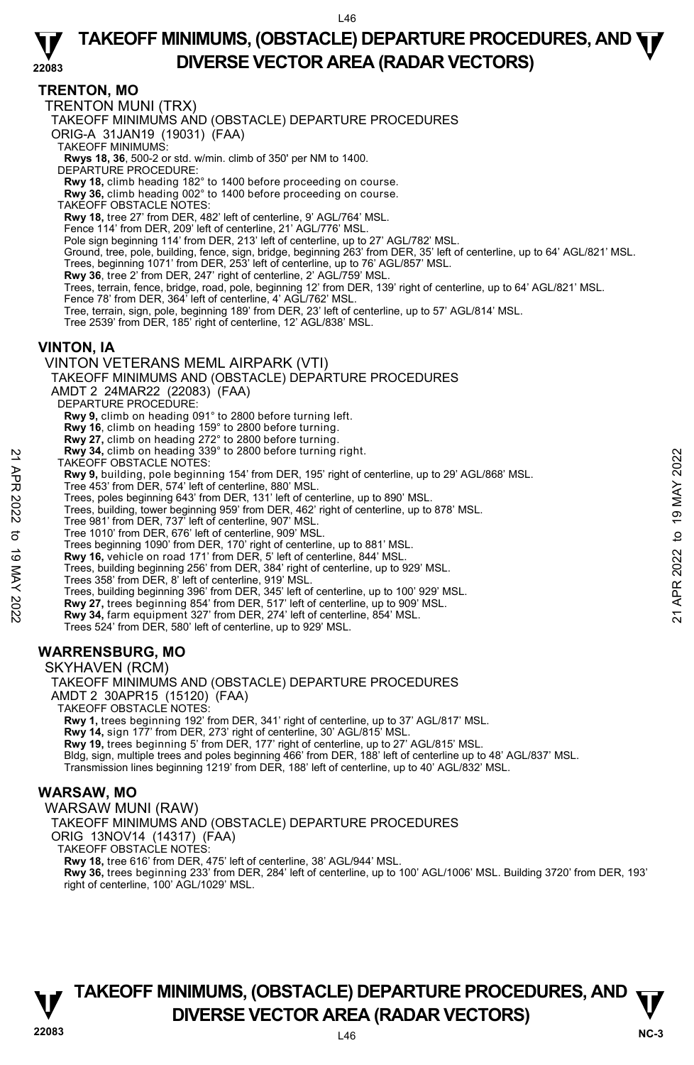#### **22083 TAKEOFF MINIMUMS, (OBSTACLE) DEPARTURE PROCEDURES, AND**  $\Psi$ **DIVERSE VECTOR AREA (RADAR VECTORS)**

# **TRENTON, MO**

TRENTON MUNI (TRX)

TAKEOFF MINIMUMS AND (OBSTACLE) DEPARTURE PROCEDURES

ORIG-A 31JAN19 (19031) (FAA)

TAKEOFF MINIMUMS:

**Rwys 18, 36**, 500-2 or std. w/min. climb of 350' per NM to 1400. DEPARTURE PROCEDURE:

**Rwy 18,** climb heading 182° to 1400 before proceeding on course. **Rwy 36,** climb heading 002° to 1400 before proceeding on course.

TAKEOFF OBSTACLE NOTES: **Rwy 18,** tree 27' from DER, 482' left of centerline, 9' AGL/764' MSL.

Fence 114' from DER, 209' left of centerline, 21' AGL/776' MSL.

Pole sign beginning 114' from DER, 213' left of centerline, up to 27' AGL/782' MSL.

- Ground, tree, pole, building, fence, sign, bridge, beginning 263' from DER, 35' left of centerline, up to 64' AGL/821' MSL.
- Trees, beginning 1071' from DER, 253' left of centerline, up to 76' AGL/857' MSL.

**Rwy 36**, tree 2' from DER, 247' right of centerline, 2' AGL/759' MSL.

- Trees, terrain, fence, bridge, road, pole, beginning 12' from DER, 139' right of centerline, up to 64' AGL/821' MSL.
- Fence 78' from DER, 364' left of centerline, 4' AGL/762' MSL.
- Tree, terrain, sign, pole, beginning 189' from DER, 23' left of centerline, up to 57' AGL/814' MSL.

Tree 2539' from DER, 185' right of centerline, 12' AGL/838' MSL.

### **VINTON, IA**

#### VINTON VETERANS MEML AIRPARK (VTI)

TAKEOFF MINIMUMS AND (OBSTACLE) DEPARTURE PROCEDURES

AMDT 2 24MAR22 (22083) (FAA)

DEPARTURE PROCEDURE:

**Rwy 9,** climb on heading 091° to 2800 before turning left.

**Rwy 16**, climb on heading 159° to 2800 before turning.

- 
- **Rwy 27,** climb on heading 272° to 2800 before turning.  **Rwy 34,** climb on heading 339° to 2800 before turning right.
- TAKEOFF OBSTACLE NOTES:
- **Rwy 9,** building, pole beginning 154' from DER, 195' right of centerline, up to 29' AGL/868' MSL.<br>Tree 453' from DER, 574' left of centerline, 880' MSL. EXAM 34, climb on heading 399° to 2800 before turning right.<br>
TAKEOFF OBSTACLE NOTES:<br>
Tree 453' from DER, 195' right of centerline, up to 29' AGL/868' MSL.<br>
Tree 453' from DER, 131' left of centerline, up to 890' MSL.<br>
T

Trees, poles beginning 643' from DER, 131' left of centerline, up to 890' MSL.

- Trees, building, tower beginning 959' from DER, 462' right of centerline, up to 878' MSL.
- Tree 981' from DER, 737' left of centerline, 907' MSL.
- Tree 1010' from DER, 676' left of centerline, 909' MSL.
- Trees beginning 1090' from DER, 170' right of centerline, up to 881' MSL.
- **Rwy 16,** vehicle on road 171' from DER, 5' left of centerline, 844' MSL.
- Trees, building beginning 256' from DER, 384' right of centerline, up to 929' MSL.
- Trees 358' from DER, 8' left of centerline, 919' MSL.
- Trees, building beginning 396' from DER, 345' left of centerline, up to 100' 929' MSL.
- **Rwy 27,** trees beginning 854' from DER, 517' left of centerline, up to 909' MSL. **Rwy 34,** farm equipment 327' from DER, 274' left of centerline, 854' MSL.
- 
- Trees 524' from DER, 580' left of centerline, up to 929' MSL.

# **WARRENSBURG, MO**

SKYHAVEN (RCM)

TAKEOFF MINIMUMS AND (OBSTACLE) DEPARTURE PROCEDURES AMDT 2 30APR15 (15120) (FAA)

TAKEOFF OBSTACLE NOTES:

**Rwy 1,** trees beginning 192' from DER, 341' right of centerline, up to 37' AGL/817' MSL.

**Rwy 14,** sign 177' from DER, 273' right of centerline, 30' AGL/815' MSL.

**Rwy 19,** trees beginning 5' from DER, 177' right of centerline, up to 27' AGL/815' MSL.

Bldg, sign, multiple trees and poles beginning 466' from DER, 188' left of centerline up to 48' AGL/837' MSL.<br>Transmission lines beginning 1219' from DER, 188' left of centerline, up to 40' AGL/832' MSL.

#### **WARSAW, MO**

WARSAW MUNI (RAW) TAKEOFF MINIMUMS AND (OBSTACLE) DEPARTURE PROCEDURES ORIG 13NOV14 (14317) (FAA) TAKEOFF OBSTACLE NOTES: **Rwy 18,** tree 616' from DER, 475' left of centerline, 38' AGL/944' MSL. **Rwy 36,** trees beginning 233' from DER, 284' left of centerline, up to 100' AGL/1006' MSL. Building 3720' from DER, 193' right of centerline, 100' AGL/1029' MSL.

![](_page_45_Picture_55.jpeg)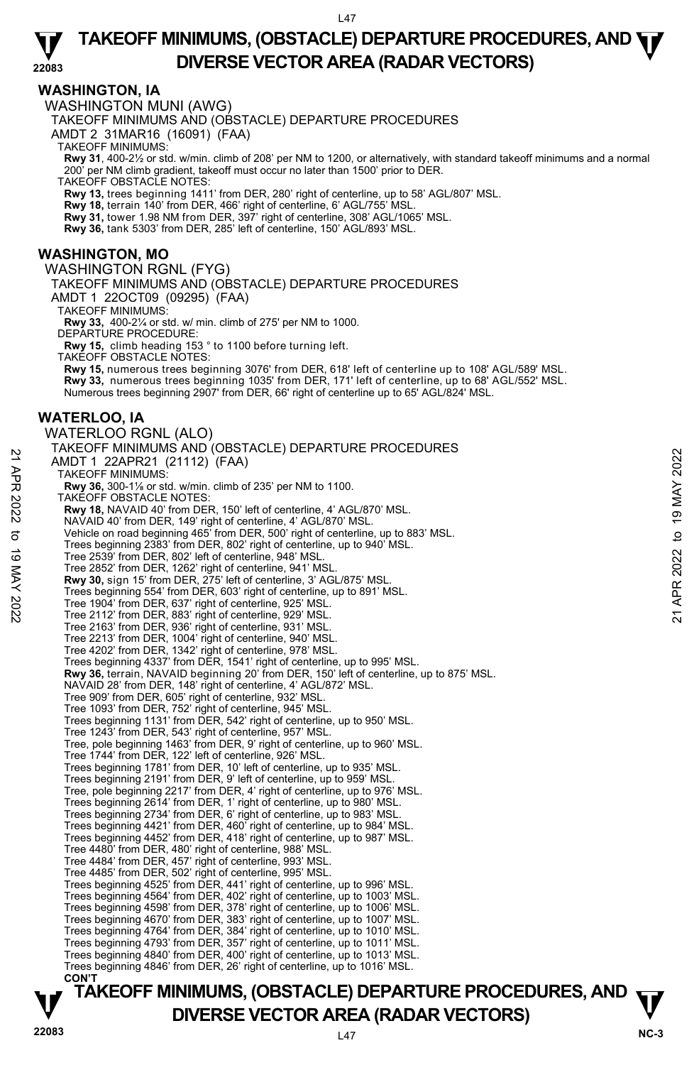### **WASHINGTON, IA**

WASHINGTON MUNI (AWG)

TAKEOFF MINIMUMS AND (OBSTACLE) DEPARTURE PROCEDURES

AMDT 2 31MAR16 (16091) (FAA)

TAKEOFF MINIMUMS:

**Rwy 31**, 400-2½ or std. w/min. climb of 208' per NM to 1200, or alternatively, with standard takeoff minimums and a normal per NM climb gradient, takeoff must occur no later than 1500' prior to DER.

TAKEOFF OBSTACLE NOTES:

**Rwy 13,** trees beginning 1411' from DER, 280' right of centerline, up to 58' AGL/807' MSL.

**Rwy 18,** terrain 140' from DER, 466' right of centerline, 6' AGL/755' MSL. **Rwy 31,** tower 1.98 NM from DER, 397' right of centerline, 308' AGL/1065' MSL.

**Rwy 36,** tank 5303' from DER, 285' left of centerline, 150' AGL/893' MSL.

### **WASHINGTON, MO**

#### WASHINGTON RGNL (FYG)

TAKEOFF MINIMUMS AND (OBSTACLE) DEPARTURE PROCEDURES

AMDT 1 22OCT09 (09295) (FAA)

TAKEOFF MINIMUMS:

**Rwy 33,** 400-2¼ or std. w/ min. climb of 275' per NM to 1000. DEPARTURE PROCEDURE:

**Rwy 15,** climb heading 153 ° to 1100 before turning left.

TAKEOFF OBSTACLE NOTES:

**Rwy 15,** numerous trees beginning 3076' from DER, 618' left of centerline up to 108' AGL/589' MSL. **Rwy 33,** numerous trees beginning 1035' from DER, 171' left of centerline, up to 68' AGL/552' MSL. Numerous trees beginning 2907' from DER, 66' right of centerline up to 65' AGL/824' MSL.

### **WATERLOO, IA**

WATERLOO RGNL (ALO) TAKEOFF MINIMUMS AND (OBSTACLE) DEPARTURE PROCEDURES AMDT 1 22APR21 (21112) (FAA) TAKEOFF MINIMUMS: **Rwy 36,** 300-1⅛ or std. w/min. climb of 235' per NM to 1100. TAKEOFF OBSTACLE NOTES: **Rwy 18,** NAVAID 40' from DER, 150' left of centerline, 4' AGL/870' MSL. NAVAID 40' from DER, 149' right of centerline, 4' AGL/870' MSL. Vehicle on road beginning 465' from DER, 500' right of centerline, up to 883' MSL. Trees beginning 2383' from DER, 802' right of centerline, up to 940' MSL. Tree 2539' from DER, 802' left of centerline, 948' MSL. Tree 2852' from DER, 1262' right of centerline, 941' MSL. **Rwy 30,** sign 15' from DER, 275' left of centerline, 3' AGL/875' MSL. Trees beginning 554' from DER, 603' right of centerline, up to 891' MSL. Tree 1904' from DER, 637' right of centerline, 925' MSL. Tree 2112' from DER, 883' right of centerline, 929' MSL. Tree 2163' from DER, 936' right of centerline, 931' MSL. Tree 2213' from DER, 1004' right of centerline, 940' MSL. Tree 4202' from DER, 1342' right of centerline, 978' MSL. Trees beginning 4337' from DER, 1541' right of centerline, up to 995' MSL. **Rwy 36,** terrain, NAVAID beginning 20' from DER, 150' left of centerline, up to 875' MSL. NAVAID 28' from DER, 148' right of centerline, 4' AGL/872' MSL. Tree 909' from DER, 605' right of centerline, 932' MSL. Tree 1093' from DER, 752' right of centerline, 945' MSL. Trees beginning 1131' from DER, 542' right of centerline, up to 950' MSL. Tree 1243' from DER, 543' right of centerline, 957' MSL. Tree, pole beginning 1463' from DER, 9' right of centerline, up to 960' MSL. Tree 1744' from DER, 122' left of centerline, 926' MSL.<br>Trees beginning 1781' from DER, 10' left of centerline, up to 935' MSL.<br>Trees beginning 2191' from DER, 9' left of centerline, up to 959' MSL. Tree, pole beginning 2217' from DER, 4' right of centerline, up to 976' MSL. Trees beginning 2614' from DER, 1' right of centerline, up to 980' MSL. Trees beginning 2734' from DER, 6' right of centerline, up to 983' MSL. Trees beginning 4421' from DER, 460' right of centerline, up to 984' MSL. Trees beginning 4452' from DER, 418' right of centerline, up to 987' MSL. Tree 4480' from DER, 480' right of centerline, 988' MSL. Tree 4484' from DER, 457' right of centerline, 993' MSL. Tree 4485' from DER, 502' right of centerline, 995' MSL. Trees beginning 4525' from DER, 441' right of centerline, up to 996' MSL. Trees beginning 4564' from DER, 402' right of centerline, up to 1003' MSL. Trees beginning 4598' from DER, 378' right of centerline, up to 1006' MSL. Trees beginning 4670' from DER, 383' right of centerline, up to 1007' MSL.<br>Trees beginning 4764' from DER, 384' right of centerline, up to 1010' MSL.<br>Trees beginning 4793' from DER, 357' right of centerline, up to 1011' MS Trees beginning 4840' from DER, 400' right of centerline, up to 1013' MSL. Trees beginning 4846' from DER, 26' right of centerline, up to 1016' MSL. **CON'T** AMIDT 1 22APR21 (21112) (FAA)<br>
TAKEOFF MINIMUMS:<br>
TAKEOFF MINIMUMS:<br>
RWY 36, 300-1% or std. w/min. climb of 235' per NM to 1100.<br>
RWY 18, NAVAID 40' from DER, 150' left of centerline, 4' AGL/870' MSL.<br>
NAVAID 40' from DER,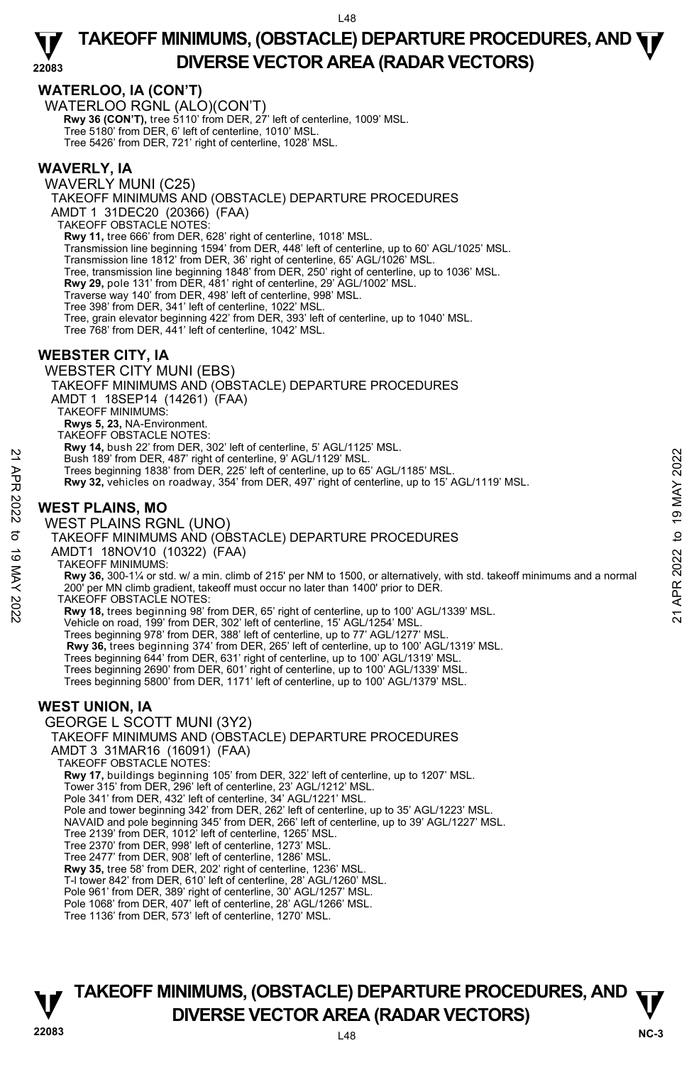# **WATERLOO, IA (CON'T)**

WATERLOO RGNL (ALO)(CON'T) **Rwy 36 (CON'T),** tree 5110' from DER, 27' left of centerline, 1009' MSL. Tree 5180' from DER, 6' left of centerline, 1010' MSL. Tree 5426' from DER, 721' right of centerline, 1028' MSL.

# **WAVERLY, IA**

WAVERLY MUNI (C25) TAKEOFF MINIMUMS AND (OBSTACLE) DEPARTURE PROCEDURES AMDT 1 31DEC20 (20366) (FAA) TAKEOFF OBSTACLE NOTES:  **Rwy 11,** tree 666' from DER, 628' right of centerline, 1018' MSL. Transmission line beginning 1594' from DER, 448' left of centerline, up to 60' AGL/1025' MSL. Transmission line 1812' from DER, 36' right of centerline, 65' AGL/1026' MSL. Tree, transmission line beginning 1848' from DER, 250' right of centerline, up to 1036' MSL. **Rwy 29,** pole 131' from DER, 481' right of centerline, 29' AGL/1002' MSL.<br>Traverse way 140' from DER, 498' left of centerline, 998' MSL. Tree 398' from DER, 341' left of centerline, 1022' MSL. Tree, grain elevator beginning 422' from DER, 393' left of centerline, up to 1040' MSL. Tree 768' from DER, 441' left of centerline, 1042' MSL.

# **WEBSTER CITY, IA**

WEBSTER CITY MUNI (EBS) TAKEOFF MINIMUMS AND (OBSTACLE) DEPARTURE PROCEDURES AMDT 1 18SEP14 (14261) (FAA) TAKEOFF MINIMUMS: **Rwys 5, 23,** NA-Environment. TAKEOFF OBSTACLE NOTES: **Rwy 14,** bush 22' from DER, 302' left of centerline, 5' AGL/1125' MSL.<br>Bush 189' from DER, 487' right of centerline, 9' AGL/1129' MSL. Trees beginning 1838' from DER, 225' left of centerline, up to 65' AGL/1185' MSL. **Rwy 32,** vehicles on roadway, 354' from DER, 497' right of centerline, up to 15' AGL/1119' MSL. **WEST PLAINS, MO**  WEST PLAINS RGNL (UNO) TAKEOFF MINIMUMS AND (OBSTACLE) DEPARTURE PROCEDURES AMDT1 18NOV10 (10322) (FAA) TAKEOFF MINIMUMS: **Rwy 36,** 300-1¼ or std. w/ a min. climb of 215' per NM to 1500, or alternatively, with std. takeoff minimums and a normal 200' per MN climb gradient, takeoff must occur no later than 1400' prior to DER. TAKEOFF OBSTACLE NOTES: **Rwy 18,** trees beginning 98' from DER, 65' right of centerline, up to 100' AGL/1339' MSL. Vehicle on road, 199' from DER, 302' left of centerline, 15' AGL/1254' MSL. Trees beginning 978' from DER, 388' left of centerline, up to 77' AGL/1277' MSL. **Rwy 36,** trees beginning 374' from DER, 265' left of centerline, up to 100' AGL/1319' MSL. Trees beginning 644' from DER, 631' right of centerline, up to 100' AGL/1319' MSL. Trees beginning 2690' from DER, 601' right of centerline, up to 100' AGL/1339' MSL. Trees beginning 5800' from DER, 1171' left of centerline, up to 100' AGL/1379' MSL. **WEST UNION, IA**  GEORGE L SCOTT MUNI (3Y2) TAKEOFF MINIMUMS AND (OBSTACLE) DEPARTURE PROCEDURES AMDT 3 31MAR16 (16091) (FAA) TAKEOFF OBSTACLE NOTES: **Rwy 17,** buildings beginning 105' from DER, 322' left of centerline, up to 1207' MSL. Tower 315' from DER, 296' left of centerline, 23' AGL/1212' MSL. Pole 341' from DER, 432' left of centerline, 34' AGL/1221' MSL. Pole and tower beginning 342' from DER, 262' left of centerline, up to 35' AGL/1223' MSL. NAVAID and pole beginning 345' from DER, 266' left of centerline, up to 39' AGL/1227' MSL. Tree 2139' from DER, 1012' left of centerline, 1265' MSL. Tree 2370' from DER, 998' left of centerline, 1273' MSL. Tree 2477' from DER, 908' left of centerline, 1286' MSL. **Rwy 35,** tree 58' from DER, 202' right of centerline, 1236' MSL. T-l tower 842' from DER, 610' left of centerline, 28' AGL/1260' MSL. Pole 961' from DER, 389' right of centerline, 30' AGL/1257' MSL. Pole 1068' from DER, 407' left of centerline, 28' AGL/1266' MSL. 22 Eush 189 from DER, 487 right of centerline, 9 AGL/1129 MSL.<br>
Trees beginning 1838 from DER, 225' left of centerline, up to 65' AGL/1185' MSL.<br>
Trees beginning 1838 from DER, 225' left of centerline, up to 15' AGL/1119'

Tree 1136' from DER, 573' left of centerline, 1270' MSL.